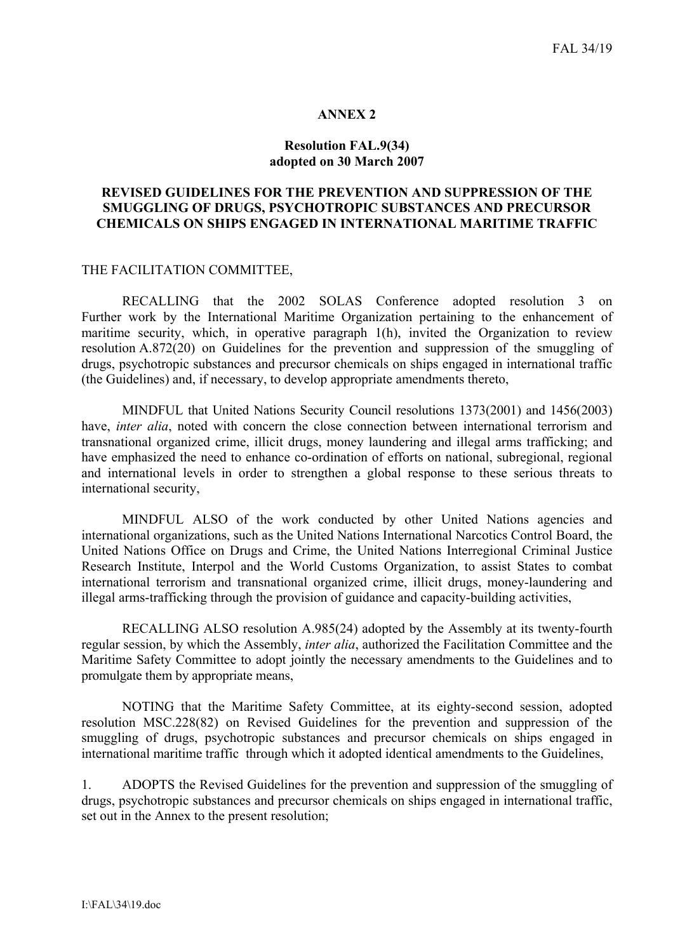## **ANNEX 2**

### **Resolution FAL.9(34) adopted on 30 March 2007**

## **REVISED GUIDELINES FOR THE PREVENTION AND SUPPRESSION OF THE SMUGGLING OF DRUGS, PSYCHOTROPIC SUBSTANCES AND PRECURSOR CHEMICALS ON SHIPS ENGAGED IN INTERNATIONAL MARITIME TRAFFIC**

## THE FACILITATION COMMITTEE,

RECALLING that the 2002 SOLAS Conference adopted resolution 3 on Further work by the International Maritime Organization pertaining to the enhancement of maritime security, which, in operative paragraph 1(h), invited the Organization to review resolution A.872(20) on Guidelines for the prevention and suppression of the smuggling of drugs, psychotropic substances and precursor chemicals on ships engaged in international traffic (the Guidelines) and, if necessary, to develop appropriate amendments thereto,

MINDFUL that United Nations Security Council resolutions 1373(2001) and 1456(2003) have, *inter alia*, noted with concern the close connection between international terrorism and transnational organized crime, illicit drugs, money laundering and illegal arms trafficking; and have emphasized the need to enhance co-ordination of efforts on national, subregional, regional and international levels in order to strengthen a global response to these serious threats to international security,

MINDFUL ALSO of the work conducted by other United Nations agencies and international organizations, such as the United Nations International Narcotics Control Board, the United Nations Office on Drugs and Crime, the United Nations Interregional Criminal Justice Research Institute, Interpol and the World Customs Organization, to assist States to combat international terrorism and transnational organized crime, illicit drugs, money-laundering and illegal arms-trafficking through the provision of guidance and capacity-building activities,

 RECALLING ALSO resolution A.985(24) adopted by the Assembly at its twenty-fourth regular session, by which the Assembly, *inter alia*, authorized the Facilitation Committee and the Maritime Safety Committee to adopt jointly the necessary amendments to the Guidelines and to promulgate them by appropriate means,

NOTING that the Maritime Safety Committee, at its eighty-second session, adopted resolution MSC.228(82) on Revised Guidelines for the prevention and suppression of the smuggling of drugs, psychotropic substances and precursor chemicals on ships engaged in international maritime traffic through which it adopted identical amendments to the Guidelines,

1. ADOPTS the Revised Guidelines for the prevention and suppression of the smuggling of drugs, psychotropic substances and precursor chemicals on ships engaged in international traffic, set out in the Annex to the present resolution;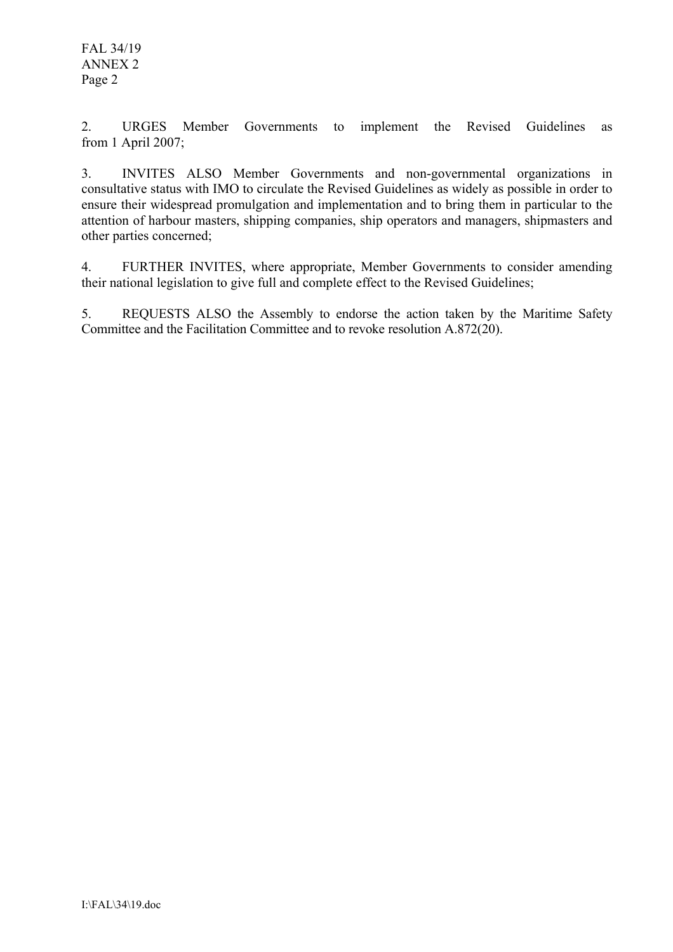2. URGES Member Governments to implement the Revised Guidelines as from 1 April 2007;

3. INVITES ALSO Member Governments and non-governmental organizations in consultative status with IMO to circulate the Revised Guidelines as widely as possible in order to ensure their widespread promulgation and implementation and to bring them in particular to the attention of harbour masters, shipping companies, ship operators and managers, shipmasters and other parties concerned;

4. FURTHER INVITES, where appropriate, Member Governments to consider amending their national legislation to give full and complete effect to the Revised Guidelines;

5. REQUESTS ALSO the Assembly to endorse the action taken by the Maritime Safety Committee and the Facilitation Committee and to revoke resolution A.872(20).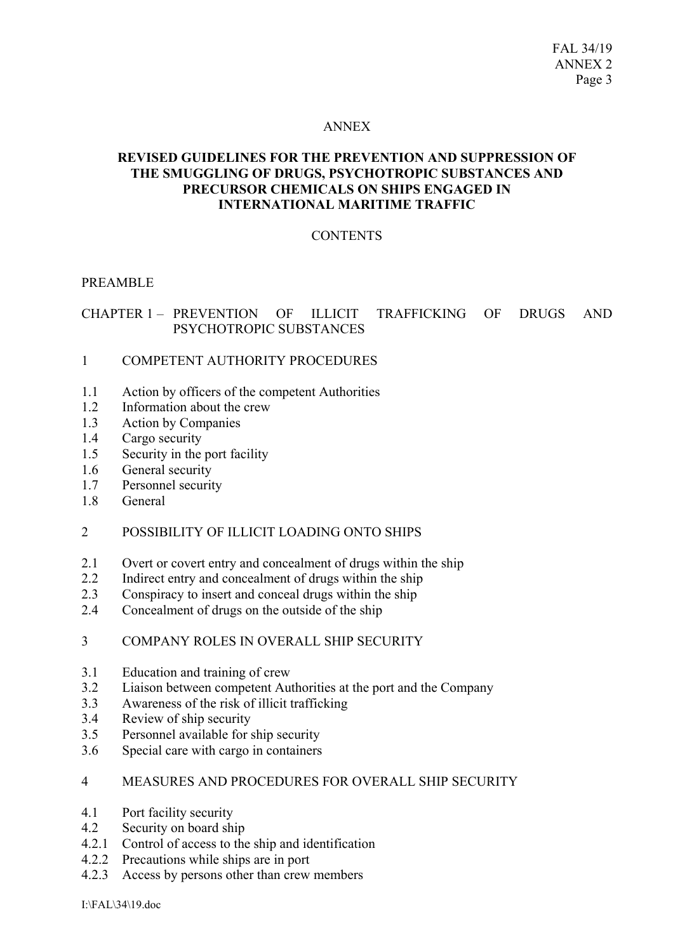### ANNEX

# **REVISED GUIDELINES FOR THE PREVENTION AND SUPPRESSION OF THE SMUGGLING OF DRUGS, PSYCHOTROPIC SUBSTANCES AND PRECURSOR CHEMICALS ON SHIPS ENGAGED IN INTERNATIONAL MARITIME TRAFFIC**

# **CONTENTS**

## PREAMBLE

# CHAPTER 1 – PREVENTION OF ILLICIT TRAFFICKING OF DRUGS AND PSYCHOTROPIC SUBSTANCES

## 1 COMPETENT AUTHORITY PROCEDURES

- 1.1 Action by officers of the competent Authorities
- 1.2 Information about the crew
- 1.3 Action by Companies
- 1.4 Cargo security
- 1.5 Security in the port facility
- 1.6 General security
- 1.7 Personnel security
- 1.8 General

### 2 POSSIBILITY OF ILLICIT LOADING ONTO SHIPS

- 2.1 Overt or covert entry and concealment of drugs within the ship
- 2.2 Indirect entry and concealment of drugs within the ship
- 2.3 Conspiracy to insert and conceal drugs within the ship
- 2.4 Concealment of drugs on the outside of the ship

### 3 COMPANY ROLES IN OVERALL SHIP SECURITY

- 3.1 Education and training of crew
- 3.2 Liaison between competent Authorities at the port and the Company
- 3.3 Awareness of the risk of illicit trafficking
- 3.4 Review of ship security
- 3.5 Personnel available for ship security
- 3.6 Special care with cargo in containers

## 4 MEASURES AND PROCEDURES FOR OVERALL SHIP SECURITY

- 4.1 Port facility security
- 4.2 Security on board ship
- 4.2.1 Control of access to the ship and identification
- 4.2.2 Precautions while ships are in port
- 4.2.3 Access by persons other than crew members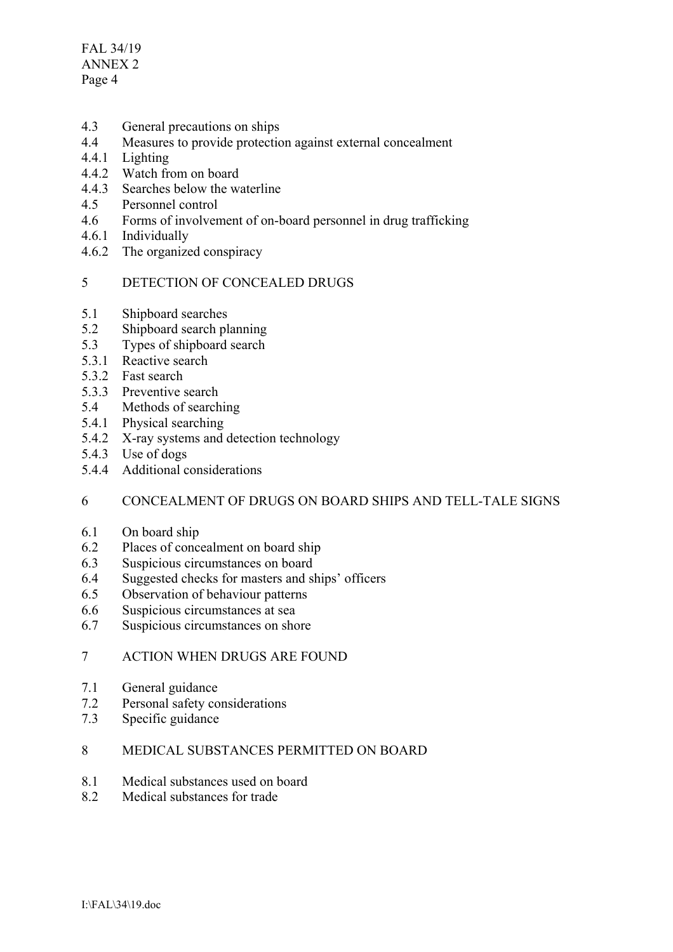FAL 34/19 ANNEX 2 Page 4

- 4.3 General precautions on ships
- 4.4 Measures to provide protection against external concealment
- 4.4.1 Lighting
- 4.4.2 Watch from on board
- 4.4.3 Searches below the waterline
- 4.5 Personnel control
- 4.6 Forms of involvement of on-board personnel in drug trafficking
- 4.6.1 Individually
- 4.6.2 The organized conspiracy

# 5 DETECTION OF CONCEALED DRUGS

- 5.1 Shipboard searches
- 5.2 Shipboard search planning
- 5.3 Types of shipboard search
- 5.3.1 Reactive search
- 5.3.2 Fast search
- 5.3.3 Preventive search
- 5.4 Methods of searching
- 5.4.1 Physical searching
- 5.4.2 X-ray systems and detection technology
- 5.4.3 Use of dogs
- 5.4.4 Additional considerations

### 6 CONCEALMENT OF DRUGS ON BOARD SHIPS AND TELL-TALE SIGNS

- 6.1 On board ship
- 6.2 Places of concealment on board ship
- 6.3 Suspicious circumstances on board
- 6.4 Suggested checks for masters and ships' officers
- 6.5 Observation of behaviour patterns
- 6.6 Suspicious circumstances at sea
- 6.7 Suspicious circumstances on shore
- 7 ACTION WHEN DRUGS ARE FOUND
- 7.1 General guidance
- 7.2 Personal safety considerations
- 7.3 Specific guidance
- 8 MEDICAL SUBSTANCES PERMITTED ON BOARD
- 8.1 Medical substances used on board
- 8.2 Medical substances for trade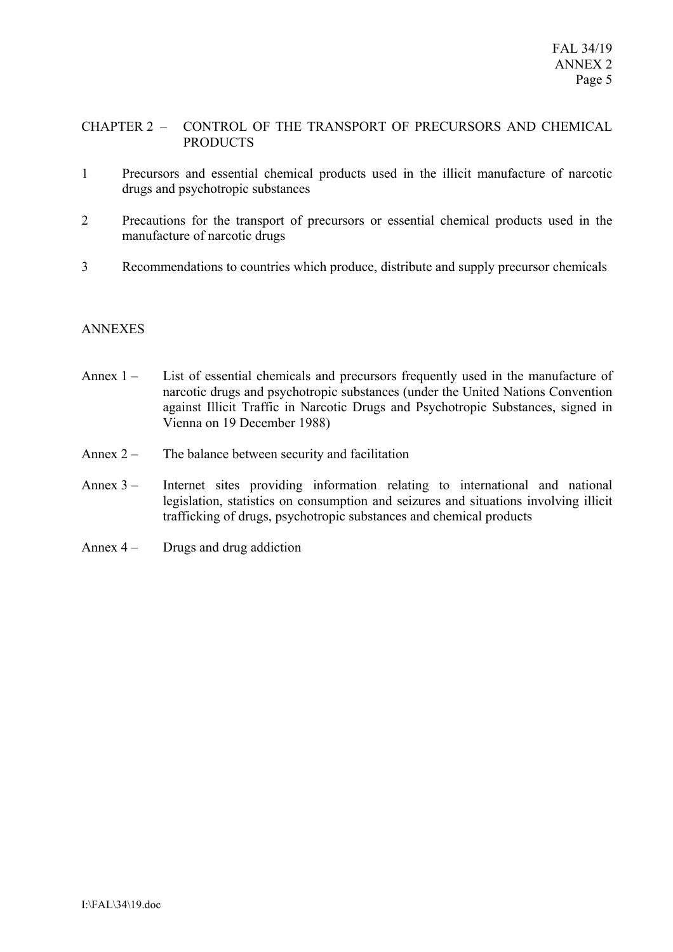## CHAPTER 2 – CONTROL OF THE TRANSPORT OF PRECURSORS AND CHEMICAL PRODUCTS

- 1 Precursors and essential chemical products used in the illicit manufacture of narcotic drugs and psychotropic substances
- 2 Precautions for the transport of precursors or essential chemical products used in the manufacture of narcotic drugs
- 3 Recommendations to countries which produce, distribute and supply precursor chemicals

## ANNEXES

- Annex 1 List of essential chemicals and precursors frequently used in the manufacture of narcotic drugs and psychotropic substances (under the United Nations Convention against Illicit Traffic in Narcotic Drugs and Psychotropic Substances, signed in Vienna on 19 December 1988)
- Annex 2 The balance between security and facilitation
- Annex 3 Internet sites providing information relating to international and national legislation, statistics on consumption and seizures and situations involving illicit trafficking of drugs, psychotropic substances and chemical products
- Annex  $4 -$  Drugs and drug addiction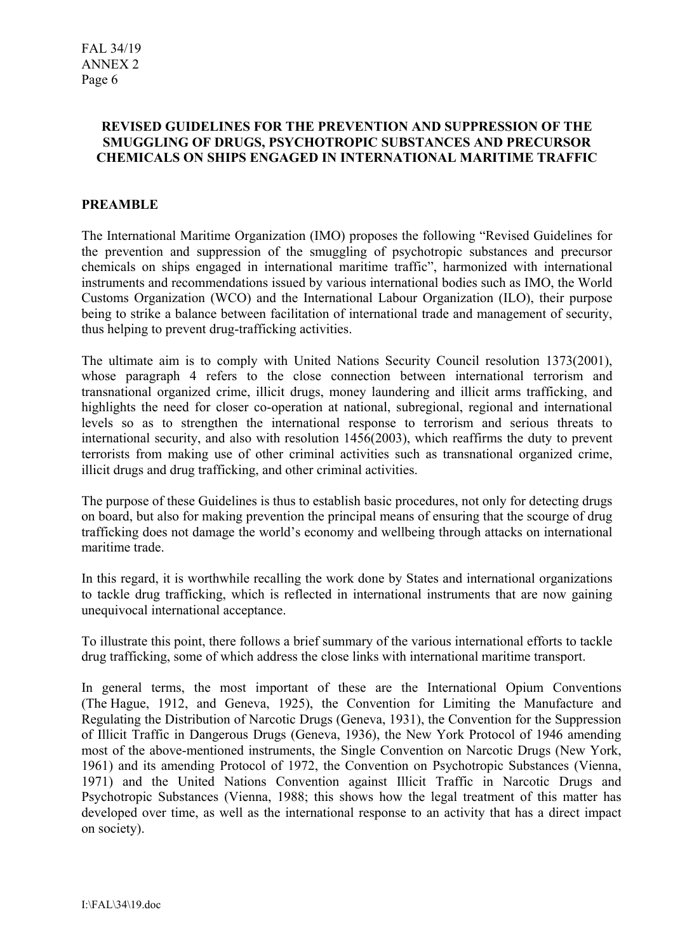## **REVISED GUIDELINES FOR THE PREVENTION AND SUPPRESSION OF THE SMUGGLING OF DRUGS, PSYCHOTROPIC SUBSTANCES AND PRECURSOR CHEMICALS ON SHIPS ENGAGED IN INTERNATIONAL MARITIME TRAFFIC**

# **PREAMBLE**

The International Maritime Organization (IMO) proposes the following "Revised Guidelines for the prevention and suppression of the smuggling of psychotropic substances and precursor chemicals on ships engaged in international maritime traffic", harmonized with international instruments and recommendations issued by various international bodies such as IMO, the World Customs Organization (WCO) and the International Labour Organization (ILO), their purpose being to strike a balance between facilitation of international trade and management of security, thus helping to prevent drug-trafficking activities.

The ultimate aim is to comply with United Nations Security Council resolution 1373(2001), whose paragraph 4 refers to the close connection between international terrorism and transnational organized crime, illicit drugs, money laundering and illicit arms trafficking, and highlights the need for closer co-operation at national, subregional, regional and international levels so as to strengthen the international response to terrorism and serious threats to international security, and also with resolution 1456(2003), which reaffirms the duty to prevent terrorists from making use of other criminal activities such as transnational organized crime, illicit drugs and drug trafficking, and other criminal activities.

The purpose of these Guidelines is thus to establish basic procedures, not only for detecting drugs on board, but also for making prevention the principal means of ensuring that the scourge of drug trafficking does not damage the world's economy and wellbeing through attacks on international maritime trade.

In this regard, it is worthwhile recalling the work done by States and international organizations to tackle drug trafficking, which is reflected in international instruments that are now gaining unequivocal international acceptance.

To illustrate this point, there follows a brief summary of the various international efforts to tackle drug trafficking, some of which address the close links with international maritime transport.

In general terms, the most important of these are the International Opium Conventions (The Hague, 1912, and Geneva, 1925), the Convention for Limiting the Manufacture and Regulating the Distribution of Narcotic Drugs (Geneva, 1931), the Convention for the Suppression of Illicit Traffic in Dangerous Drugs (Geneva, 1936), the New York Protocol of 1946 amending most of the above-mentioned instruments, the Single Convention on Narcotic Drugs (New York, 1961) and its amending Protocol of 1972, the Convention on Psychotropic Substances (Vienna, 1971) and the United Nations Convention against Illicit Traffic in Narcotic Drugs and Psychotropic Substances (Vienna, 1988; this shows how the legal treatment of this matter has developed over time, as well as the international response to an activity that has a direct impact on society).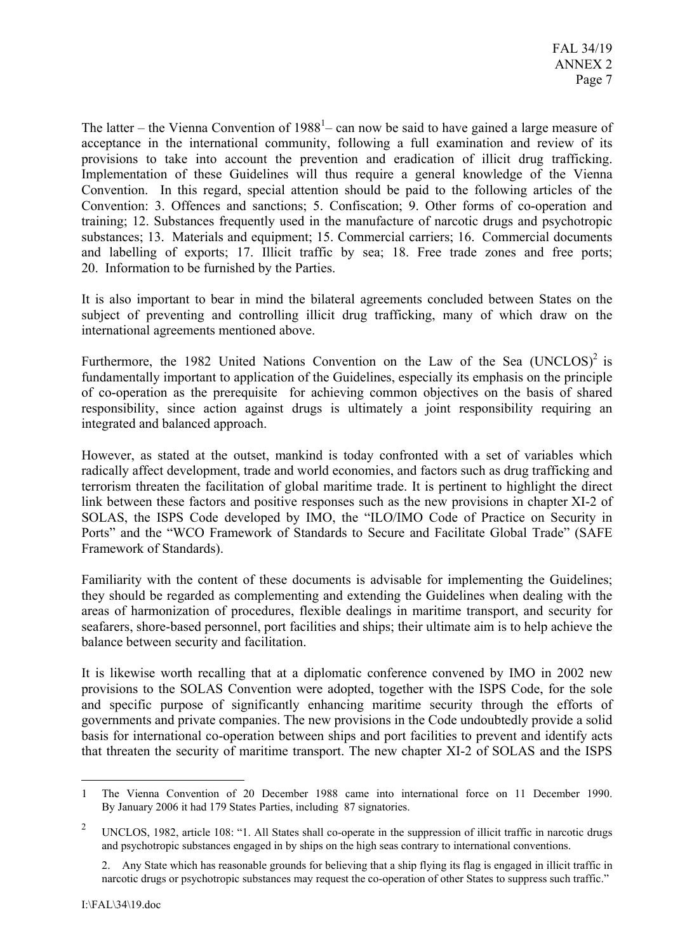The latter – the Vienna Convention of  $1988<sup>1</sup>$  – can now be said to have gained a large measure of acceptance in the international community, following a full examination and review of its provisions to take into account the prevention and eradication of illicit drug trafficking. Implementation of these Guidelines will thus require a general knowledge of the Vienna Convention. In this regard, special attention should be paid to the following articles of the Convention: 3. Offences and sanctions; 5. Confiscation; 9. Other forms of co-operation and training; 12. Substances frequently used in the manufacture of narcotic drugs and psychotropic substances; 13. Materials and equipment; 15. Commercial carriers; 16. Commercial documents and labelling of exports; 17. Illicit traffic by sea; 18. Free trade zones and free ports; 20. Information to be furnished by the Parties.

It is also important to bear in mind the bilateral agreements concluded between States on the subject of preventing and controlling illicit drug trafficking, many of which draw on the international agreements mentioned above.

Furthermore, the 1982 United Nations Convention on the Law of the Sea  $(UNCLOS)^2$  is fundamentally important to application of the Guidelines, especially its emphasis on the principle of co-operation as the prerequisite for achieving common objectives on the basis of shared responsibility, since action against drugs is ultimately a joint responsibility requiring an integrated and balanced approach.

However, as stated at the outset, mankind is today confronted with a set of variables which radically affect development, trade and world economies, and factors such as drug trafficking and terrorism threaten the facilitation of global maritime trade. It is pertinent to highlight the direct link between these factors and positive responses such as the new provisions in chapter XI-2 of SOLAS, the ISPS Code developed by IMO, the "ILO/IMO Code of Practice on Security in Ports" and the "WCO Framework of Standards to Secure and Facilitate Global Trade" (SAFE Framework of Standards).

Familiarity with the content of these documents is advisable for implementing the Guidelines; they should be regarded as complementing and extending the Guidelines when dealing with the areas of harmonization of procedures, flexible dealings in maritime transport, and security for seafarers, shore-based personnel, port facilities and ships; their ultimate aim is to help achieve the balance between security and facilitation.

It is likewise worth recalling that at a diplomatic conference convened by IMO in 2002 new provisions to the SOLAS Convention were adopted, together with the ISPS Code, for the sole and specific purpose of significantly enhancing maritime security through the efforts of governments and private companies. The new provisions in the Code undoubtedly provide a solid basis for international co-operation between ships and port facilities to prevent and identify acts that threaten the security of maritime transport. The new chapter XI-2 of SOLAS and the ISPS

 $\overline{a}$ 

<sup>1</sup> The Vienna Convention of 20 December 1988 came into international force on 11 December 1990. By January 2006 it had 179 States Parties, including 87 signatories.

<sup>2</sup> UNCLOS, 1982, article 108: "1. All States shall co-operate in the suppression of illicit traffic in narcotic drugs and psychotropic substances engaged in by ships on the high seas contrary to international conventions.

<sup>2.</sup> Any State which has reasonable grounds for believing that a ship flying its flag is engaged in illicit traffic in narcotic drugs or psychotropic substances may request the co-operation of other States to suppress such traffic."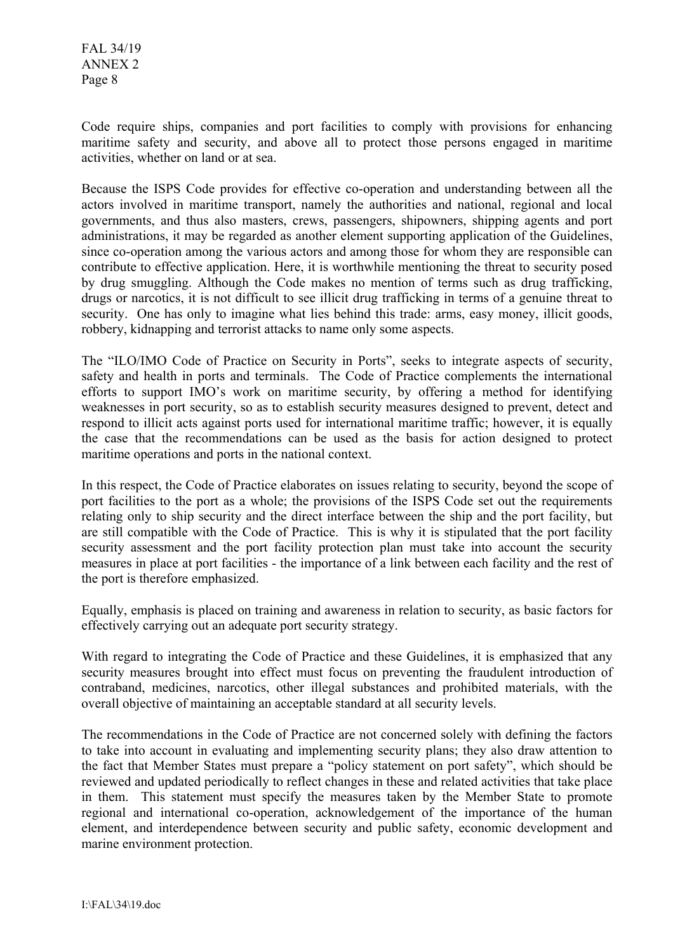FAL 34/19 ANNEX 2 Page 8

Code require ships, companies and port facilities to comply with provisions for enhancing maritime safety and security, and above all to protect those persons engaged in maritime activities, whether on land or at sea.

Because the ISPS Code provides for effective co-operation and understanding between all the actors involved in maritime transport, namely the authorities and national, regional and local governments, and thus also masters, crews, passengers, shipowners, shipping agents and port administrations, it may be regarded as another element supporting application of the Guidelines, since co-operation among the various actors and among those for whom they are responsible can contribute to effective application. Here, it is worthwhile mentioning the threat to security posed by drug smuggling. Although the Code makes no mention of terms such as drug trafficking, drugs or narcotics, it is not difficult to see illicit drug trafficking in terms of a genuine threat to security. One has only to imagine what lies behind this trade: arms, easy money, illicit goods, robbery, kidnapping and terrorist attacks to name only some aspects.

The "ILO/IMO Code of Practice on Security in Ports", seeks to integrate aspects of security, safety and health in ports and terminals. The Code of Practice complements the international efforts to support IMO's work on maritime security, by offering a method for identifying weaknesses in port security, so as to establish security measures designed to prevent, detect and respond to illicit acts against ports used for international maritime traffic; however, it is equally the case that the recommendations can be used as the basis for action designed to protect maritime operations and ports in the national context.

In this respect, the Code of Practice elaborates on issues relating to security, beyond the scope of port facilities to the port as a whole; the provisions of the ISPS Code set out the requirements relating only to ship security and the direct interface between the ship and the port facility, but are still compatible with the Code of Practice. This is why it is stipulated that the port facility security assessment and the port facility protection plan must take into account the security measures in place at port facilities - the importance of a link between each facility and the rest of the port is therefore emphasized.

Equally, emphasis is placed on training and awareness in relation to security, as basic factors for effectively carrying out an adequate port security strategy.

With regard to integrating the Code of Practice and these Guidelines, it is emphasized that any security measures brought into effect must focus on preventing the fraudulent introduction of contraband, medicines, narcotics, other illegal substances and prohibited materials, with the overall objective of maintaining an acceptable standard at all security levels.

The recommendations in the Code of Practice are not concerned solely with defining the factors to take into account in evaluating and implementing security plans; they also draw attention to the fact that Member States must prepare a "policy statement on port safety", which should be reviewed and updated periodically to reflect changes in these and related activities that take place in them. This statement must specify the measures taken by the Member State to promote regional and international co-operation, acknowledgement of the importance of the human element, and interdependence between security and public safety, economic development and marine environment protection.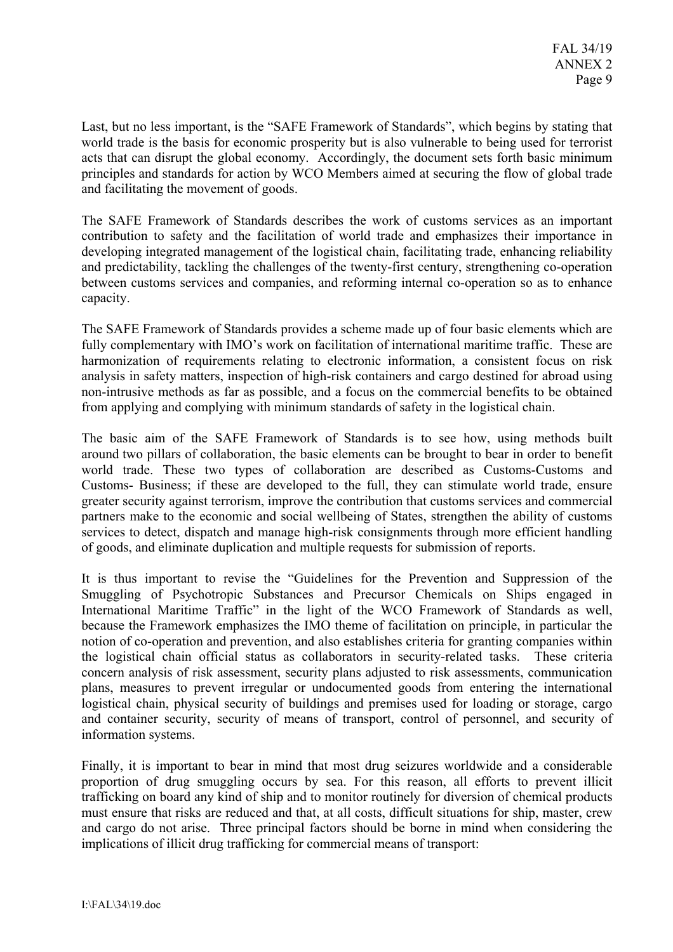Last, but no less important, is the "SAFE Framework of Standards", which begins by stating that world trade is the basis for economic prosperity but is also vulnerable to being used for terrorist acts that can disrupt the global economy. Accordingly, the document sets forth basic minimum principles and standards for action by WCO Members aimed at securing the flow of global trade and facilitating the movement of goods.

The SAFE Framework of Standards describes the work of customs services as an important contribution to safety and the facilitation of world trade and emphasizes their importance in developing integrated management of the logistical chain, facilitating trade, enhancing reliability and predictability, tackling the challenges of the twenty-first century, strengthening co-operation between customs services and companies, and reforming internal co-operation so as to enhance capacity.

The SAFE Framework of Standards provides a scheme made up of four basic elements which are fully complementary with IMO's work on facilitation of international maritime traffic. These are harmonization of requirements relating to electronic information, a consistent focus on risk analysis in safety matters, inspection of high-risk containers and cargo destined for abroad using non-intrusive methods as far as possible, and a focus on the commercial benefits to be obtained from applying and complying with minimum standards of safety in the logistical chain.

The basic aim of the SAFE Framework of Standards is to see how, using methods built around two pillars of collaboration, the basic elements can be brought to bear in order to benefit world trade. These two types of collaboration are described as Customs-Customs and Customs- Business; if these are developed to the full, they can stimulate world trade, ensure greater security against terrorism, improve the contribution that customs services and commercial partners make to the economic and social wellbeing of States, strengthen the ability of customs services to detect, dispatch and manage high-risk consignments through more efficient handling of goods, and eliminate duplication and multiple requests for submission of reports.

It is thus important to revise the "Guidelines for the Prevention and Suppression of the Smuggling of Psychotropic Substances and Precursor Chemicals on Ships engaged in International Maritime Traffic" in the light of the WCO Framework of Standards as well, because the Framework emphasizes the IMO theme of facilitation on principle, in particular the notion of co-operation and prevention, and also establishes criteria for granting companies within the logistical chain official status as collaborators in security-related tasks. These criteria concern analysis of risk assessment, security plans adjusted to risk assessments, communication plans, measures to prevent irregular or undocumented goods from entering the international logistical chain, physical security of buildings and premises used for loading or storage, cargo and container security, security of means of transport, control of personnel, and security of information systems.

Finally, it is important to bear in mind that most drug seizures worldwide and a considerable proportion of drug smuggling occurs by sea. For this reason, all efforts to prevent illicit trafficking on board any kind of ship and to monitor routinely for diversion of chemical products must ensure that risks are reduced and that, at all costs, difficult situations for ship, master, crew and cargo do not arise. Three principal factors should be borne in mind when considering the implications of illicit drug trafficking for commercial means of transport: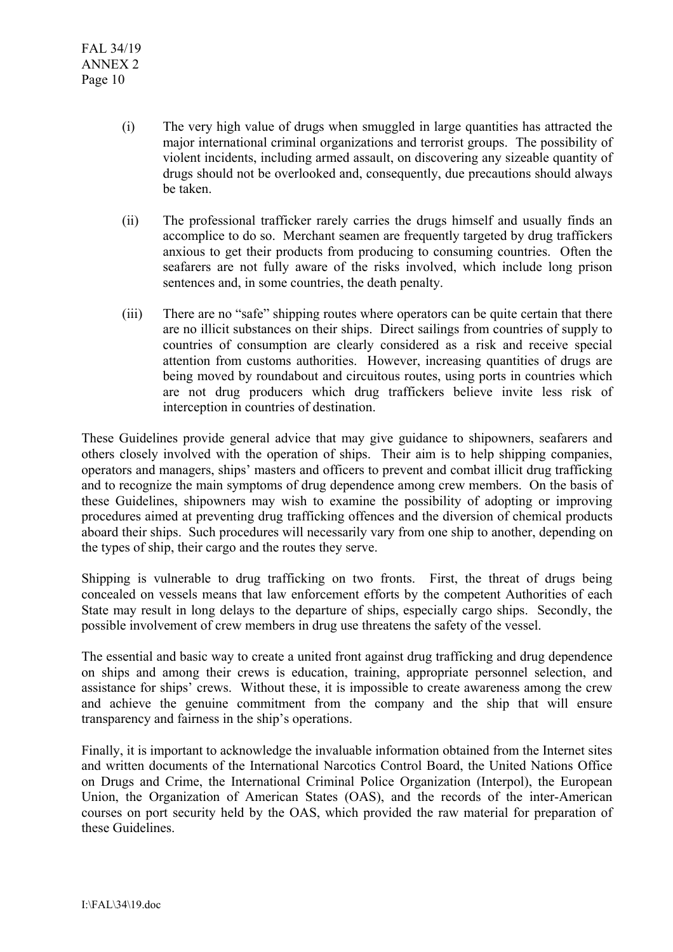- (i) The very high value of drugs when smuggled in large quantities has attracted the major international criminal organizations and terrorist groups. The possibility of violent incidents, including armed assault, on discovering any sizeable quantity of drugs should not be overlooked and, consequently, due precautions should always be taken.
- (ii) The professional trafficker rarely carries the drugs himself and usually finds an accomplice to do so. Merchant seamen are frequently targeted by drug traffickers anxious to get their products from producing to consuming countries. Often the seafarers are not fully aware of the risks involved, which include long prison sentences and, in some countries, the death penalty.
- (iii) There are no "safe" shipping routes where operators can be quite certain that there are no illicit substances on their ships. Direct sailings from countries of supply to countries of consumption are clearly considered as a risk and receive special attention from customs authorities. However, increasing quantities of drugs are being moved by roundabout and circuitous routes, using ports in countries which are not drug producers which drug traffickers believe invite less risk of interception in countries of destination.

These Guidelines provide general advice that may give guidance to shipowners, seafarers and others closely involved with the operation of ships. Their aim is to help shipping companies, operators and managers, ships' masters and officers to prevent and combat illicit drug trafficking and to recognize the main symptoms of drug dependence among crew members. On the basis of these Guidelines, shipowners may wish to examine the possibility of adopting or improving procedures aimed at preventing drug trafficking offences and the diversion of chemical products aboard their ships. Such procedures will necessarily vary from one ship to another, depending on the types of ship, their cargo and the routes they serve.

Shipping is vulnerable to drug trafficking on two fronts. First, the threat of drugs being concealed on vessels means that law enforcement efforts by the competent Authorities of each State may result in long delays to the departure of ships, especially cargo ships. Secondly, the possible involvement of crew members in drug use threatens the safety of the vessel.

The essential and basic way to create a united front against drug trafficking and drug dependence on ships and among their crews is education, training, appropriate personnel selection, and assistance for ships' crews. Without these, it is impossible to create awareness among the crew and achieve the genuine commitment from the company and the ship that will ensure transparency and fairness in the ship's operations.

Finally, it is important to acknowledge the invaluable information obtained from the Internet sites and written documents of the International Narcotics Control Board, the United Nations Office on Drugs and Crime, the International Criminal Police Organization (Interpol), the European Union, the Organization of American States (OAS), and the records of the inter-American courses on port security held by the OAS, which provided the raw material for preparation of these Guidelines.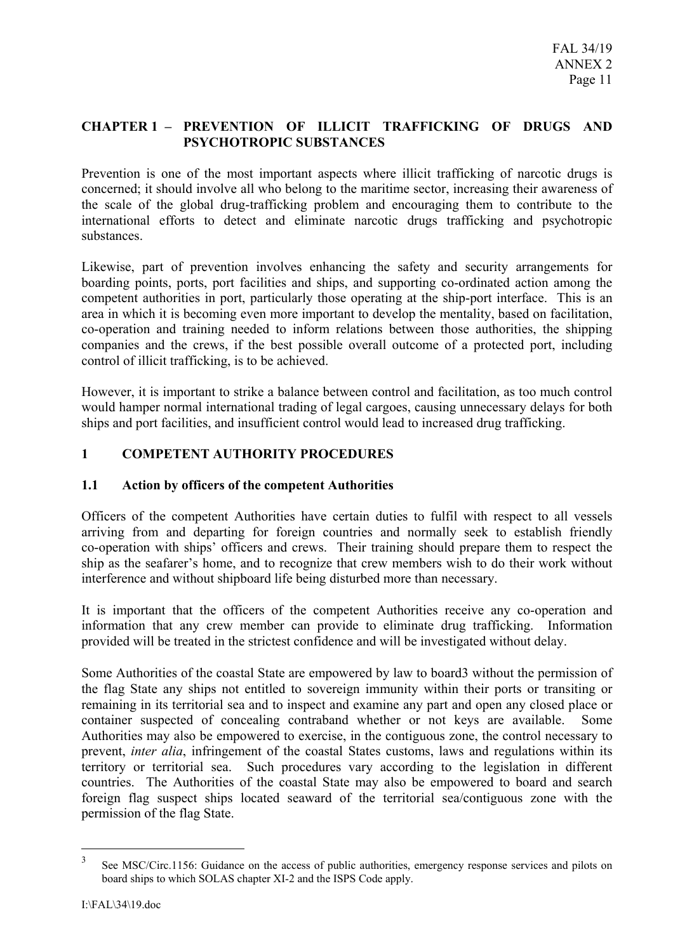# **CHAPTER 1 – PREVENTION OF ILLICIT TRAFFICKING OF DRUGS AND PSYCHOTROPIC SUBSTANCES**

Prevention is one of the most important aspects where illicit trafficking of narcotic drugs is concerned; it should involve all who belong to the maritime sector, increasing their awareness of the scale of the global drug-trafficking problem and encouraging them to contribute to the international efforts to detect and eliminate narcotic drugs trafficking and psychotropic substances.

Likewise, part of prevention involves enhancing the safety and security arrangements for boarding points, ports, port facilities and ships, and supporting co-ordinated action among the competent authorities in port, particularly those operating at the ship-port interface. This is an area in which it is becoming even more important to develop the mentality, based on facilitation, co-operation and training needed to inform relations between those authorities, the shipping companies and the crews, if the best possible overall outcome of a protected port, including control of illicit trafficking, is to be achieved.

However, it is important to strike a balance between control and facilitation, as too much control would hamper normal international trading of legal cargoes, causing unnecessary delays for both ships and port facilities, and insufficient control would lead to increased drug trafficking.

# **1 COMPETENT AUTHORITY PROCEDURES**

# **1.1 Action by officers of the competent Authorities**

Officers of the competent Authorities have certain duties to fulfil with respect to all vessels arriving from and departing for foreign countries and normally seek to establish friendly co-operation with ships' officers and crews. Their training should prepare them to respect the ship as the seafarer's home, and to recognize that crew members wish to do their work without interference and without shipboard life being disturbed more than necessary.

It is important that the officers of the competent Authorities receive any co-operation and information that any crew member can provide to eliminate drug trafficking. Information provided will be treated in the strictest confidence and will be investigated without delay.

Some Authorities of the coastal State are empowered by law to board3 without the permission of the flag State any ships not entitled to sovereign immunity within their ports or transiting or remaining in its territorial sea and to inspect and examine any part and open any closed place or container suspected of concealing contraband whether or not keys are available. Some Authorities may also be empowered to exercise, in the contiguous zone, the control necessary to prevent, *inter alia*, infringement of the coastal States customs, laws and regulations within its territory or territorial sea. Such procedures vary according to the legislation in different countries. The Authorities of the coastal State may also be empowered to board and search foreign flag suspect ships located seaward of the territorial sea/contiguous zone with the permission of the flag State.

 $\overline{a}$ 

<sup>&</sup>lt;sup>3</sup> See MSC/Circ.1156: Guidance on the access of public authorities, emergency response services and pilots on board ships to which SOLAS chapter XI-2 and the ISPS Code apply.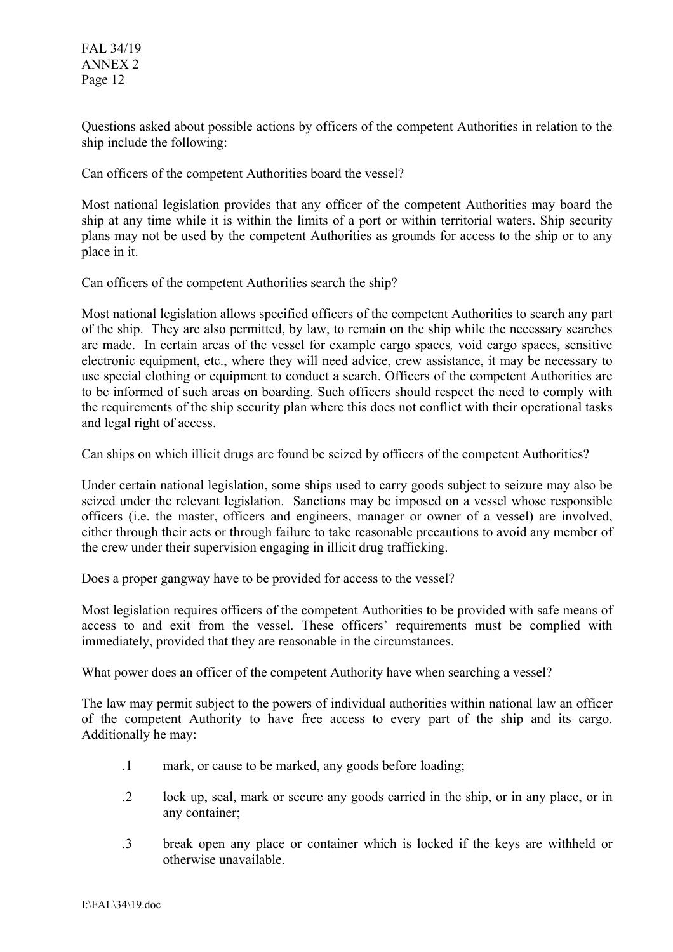FAL 34/19 ANNEX 2 Page 12

Questions asked about possible actions by officers of the competent Authorities in relation to the ship include the following:

Can officers of the competent Authorities board the vessel?

Most national legislation provides that any officer of the competent Authorities may board the ship at any time while it is within the limits of a port or within territorial waters. Ship security plans may not be used by the competent Authorities as grounds for access to the ship or to any place in it.

Can officers of the competent Authorities search the ship?

Most national legislation allows specified officers of the competent Authorities to search any part of the ship. They are also permitted, by law, to remain on the ship while the necessary searches are made. In certain areas of the vessel for example cargo spaces*,* void cargo spaces, sensitive electronic equipment, etc., where they will need advice, crew assistance, it may be necessary to use special clothing or equipment to conduct a search. Officers of the competent Authorities are to be informed of such areas on boarding. Such officers should respect the need to comply with the requirements of the ship security plan where this does not conflict with their operational tasks and legal right of access.

Can ships on which illicit drugs are found be seized by officers of the competent Authorities?

Under certain national legislation, some ships used to carry goods subject to seizure may also be seized under the relevant legislation. Sanctions may be imposed on a vessel whose responsible officers (i.e. the master, officers and engineers, manager or owner of a vessel) are involved, either through their acts or through failure to take reasonable precautions to avoid any member of the crew under their supervision engaging in illicit drug trafficking.

Does a proper gangway have to be provided for access to the vessel?

Most legislation requires officers of the competent Authorities to be provided with safe means of access to and exit from the vessel. These officers' requirements must be complied with immediately, provided that they are reasonable in the circumstances.

What power does an officer of the competent Authority have when searching a vessel?

The law may permit subject to the powers of individual authorities within national law an officer of the competent Authority to have free access to every part of the ship and its cargo. Additionally he may:

- .1 mark, or cause to be marked, any goods before loading;
- .2 lock up, seal, mark or secure any goods carried in the ship, or in any place, or in any container;
- .3 break open any place or container which is locked if the keys are withheld or otherwise unavailable.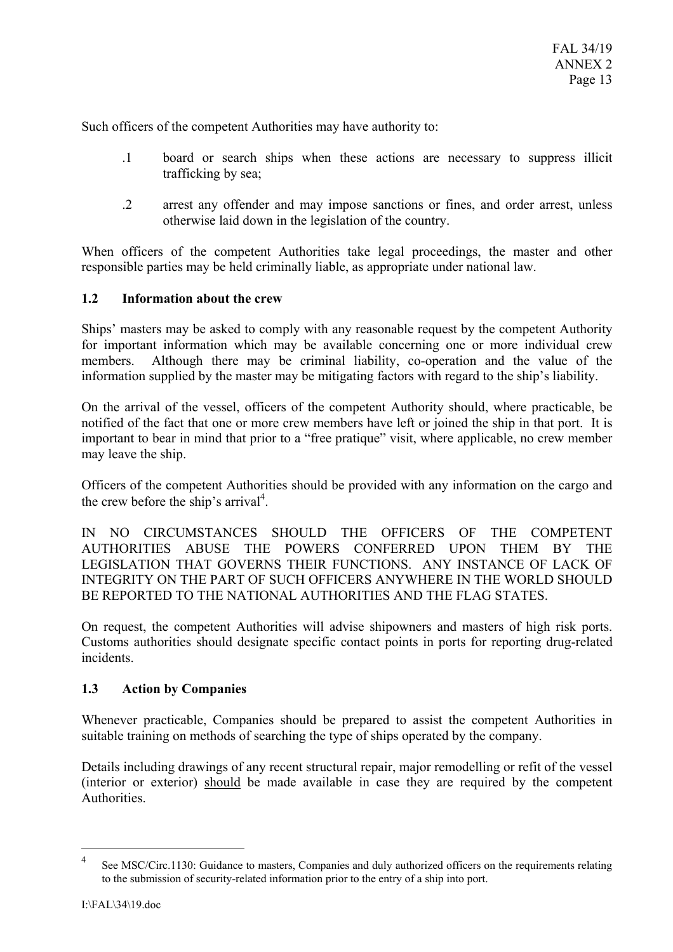Such officers of the competent Authorities may have authority to:

- .1 board or search ships when these actions are necessary to suppress illicit trafficking by sea;
- .2 arrest any offender and may impose sanctions or fines, and order arrest, unless otherwise laid down in the legislation of the country.

When officers of the competent Authorities take legal proceedings, the master and other responsible parties may be held criminally liable, as appropriate under national law.

## **1.2 Information about the crew**

Ships' masters may be asked to comply with any reasonable request by the competent Authority for important information which may be available concerning one or more individual crew members. Although there may be criminal liability, co-operation and the value of the information supplied by the master may be mitigating factors with regard to the ship's liability.

On the arrival of the vessel, officers of the competent Authority should, where practicable, be notified of the fact that one or more crew members have left or joined the ship in that port. It is important to bear in mind that prior to a "free pratique" visit, where applicable, no crew member may leave the ship.

Officers of the competent Authorities should be provided with any information on the cargo and the crew before the ship's arrival<sup>4</sup>.

IN NO CIRCUMSTANCES SHOULD THE OFFICERS OF THE COMPETENT AUTHORITIES ABUSE THE POWERS CONFERRED UPON THEM BY THE LEGISLATION THAT GOVERNS THEIR FUNCTIONS. ANY INSTANCE OF LACK OF INTEGRITY ON THE PART OF SUCH OFFICERS ANYWHERE IN THE WORLD SHOULD BE REPORTED TO THE NATIONAL AUTHORITIES AND THE FLAG STATES.

On request, the competent Authorities will advise shipowners and masters of high risk ports. Customs authorities should designate specific contact points in ports for reporting drug-related incidents.

### **1.3 Action by Companies**

Whenever practicable, Companies should be prepared to assist the competent Authorities in suitable training on methods of searching the type of ships operated by the company.

Details including drawings of any recent structural repair, major remodelling or refit of the vessel (interior or exterior) should be made available in case they are required by the competent Authorities.

 $\overline{a}$ 

See MSC/Circ.1130: Guidance to masters, Companies and duly authorized officers on the requirements relating to the submission of security-related information prior to the entry of a ship into port.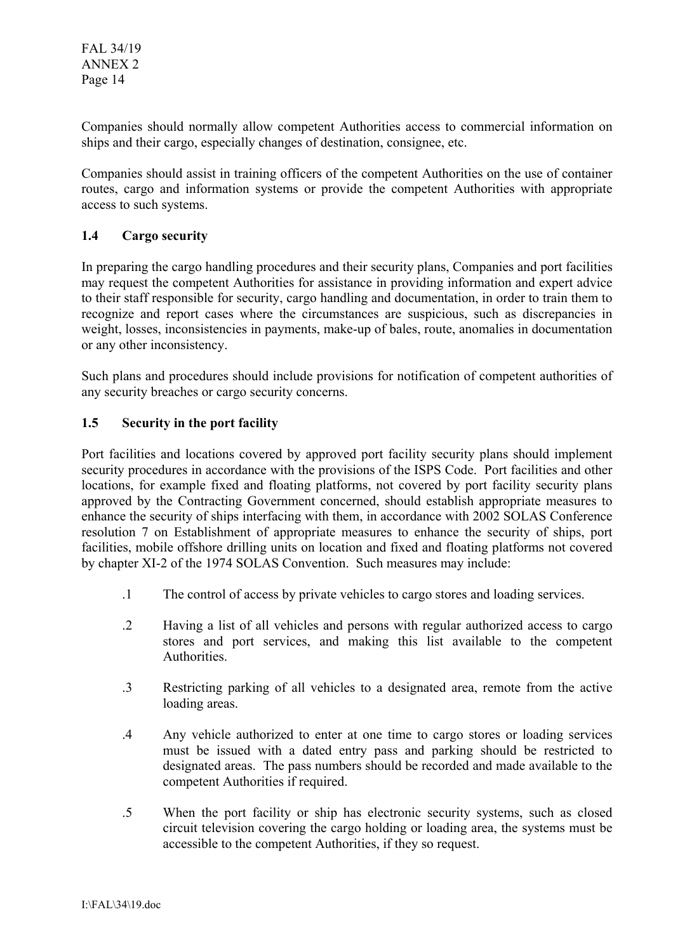Companies should normally allow competent Authorities access to commercial information on ships and their cargo, especially changes of destination, consignee, etc.

Companies should assist in training officers of the competent Authorities on the use of container routes, cargo and information systems or provide the competent Authorities with appropriate access to such systems.

# **1.4 Cargo security**

In preparing the cargo handling procedures and their security plans, Companies and port facilities may request the competent Authorities for assistance in providing information and expert advice to their staff responsible for security, cargo handling and documentation, in order to train them to recognize and report cases where the circumstances are suspicious, such as discrepancies in weight, losses, inconsistencies in payments, make-up of bales, route, anomalies in documentation or any other inconsistency.

Such plans and procedures should include provisions for notification of competent authorities of any security breaches or cargo security concerns.

# **1.5 Security in the port facility**

Port facilities and locations covered by approved port facility security plans should implement security procedures in accordance with the provisions of the ISPS Code. Port facilities and other locations, for example fixed and floating platforms, not covered by port facility security plans approved by the Contracting Government concerned, should establish appropriate measures to enhance the security of ships interfacing with them, in accordance with 2002 SOLAS Conference resolution 7 on Establishment of appropriate measures to enhance the security of ships, port facilities, mobile offshore drilling units on location and fixed and floating platforms not covered by chapter XI-2 of the 1974 SOLAS Convention. Such measures may include:

- .1 The control of access by private vehicles to cargo stores and loading services.
- .2 Having a list of all vehicles and persons with regular authorized access to cargo stores and port services, and making this list available to the competent Authorities.
- .3 Restricting parking of all vehicles to a designated area, remote from the active loading areas.
- .4 Any vehicle authorized to enter at one time to cargo stores or loading services must be issued with a dated entry pass and parking should be restricted to designated areas. The pass numbers should be recorded and made available to the competent Authorities if required.
- .5 When the port facility or ship has electronic security systems, such as closed circuit television covering the cargo holding or loading area, the systems must be accessible to the competent Authorities, if they so request.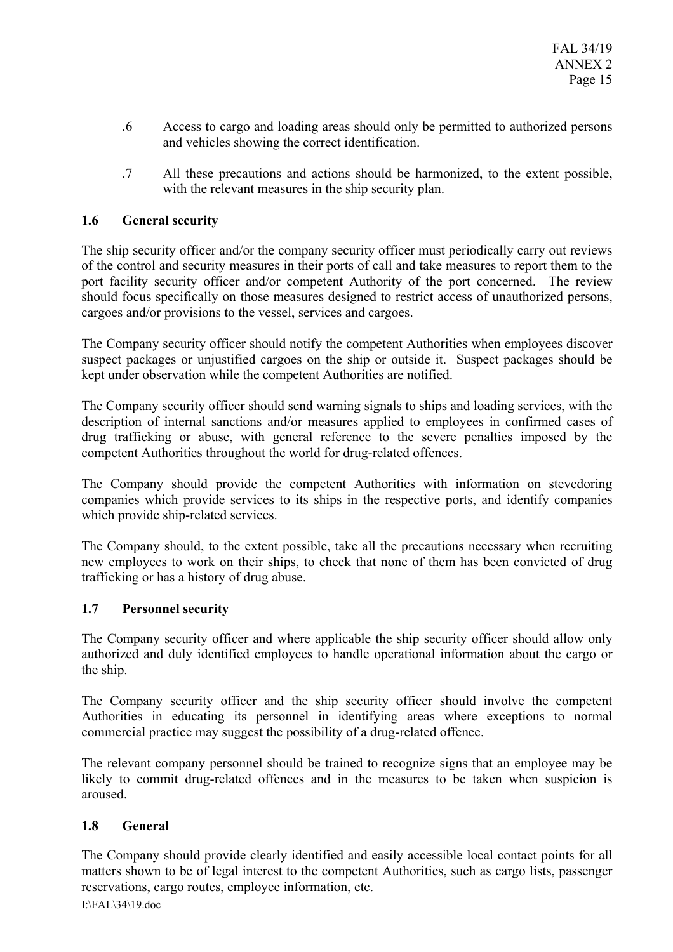- .6 Access to cargo and loading areas should only be permitted to authorized persons and vehicles showing the correct identification.
- .7 All these precautions and actions should be harmonized, to the extent possible, with the relevant measures in the ship security plan.

# **1.6 General security**

The ship security officer and/or the company security officer must periodically carry out reviews of the control and security measures in their ports of call and take measures to report them to the port facility security officer and/or competent Authority of the port concerned. The review should focus specifically on those measures designed to restrict access of unauthorized persons, cargoes and/or provisions to the vessel, services and cargoes.

The Company security officer should notify the competent Authorities when employees discover suspect packages or unjustified cargoes on the ship or outside it. Suspect packages should be kept under observation while the competent Authorities are notified.

The Company security officer should send warning signals to ships and loading services, with the description of internal sanctions and/or measures applied to employees in confirmed cases of drug trafficking or abuse, with general reference to the severe penalties imposed by the competent Authorities throughout the world for drug-related offences.

The Company should provide the competent Authorities with information on stevedoring companies which provide services to its ships in the respective ports, and identify companies which provide ship-related services.

The Company should, to the extent possible, take all the precautions necessary when recruiting new employees to work on their ships, to check that none of them has been convicted of drug trafficking or has a history of drug abuse.

# **1.7 Personnel security**

The Company security officer and where applicable the ship security officer should allow only authorized and duly identified employees to handle operational information about the cargo or the ship.

The Company security officer and the ship security officer should involve the competent Authorities in educating its personnel in identifying areas where exceptions to normal commercial practice may suggest the possibility of a drug-related offence.

The relevant company personnel should be trained to recognize signs that an employee may be likely to commit drug-related offences and in the measures to be taken when suspicion is aroused.

# **1.8 General**

The Company should provide clearly identified and easily accessible local contact points for all matters shown to be of legal interest to the competent Authorities, such as cargo lists, passenger reservations, cargo routes, employee information, etc.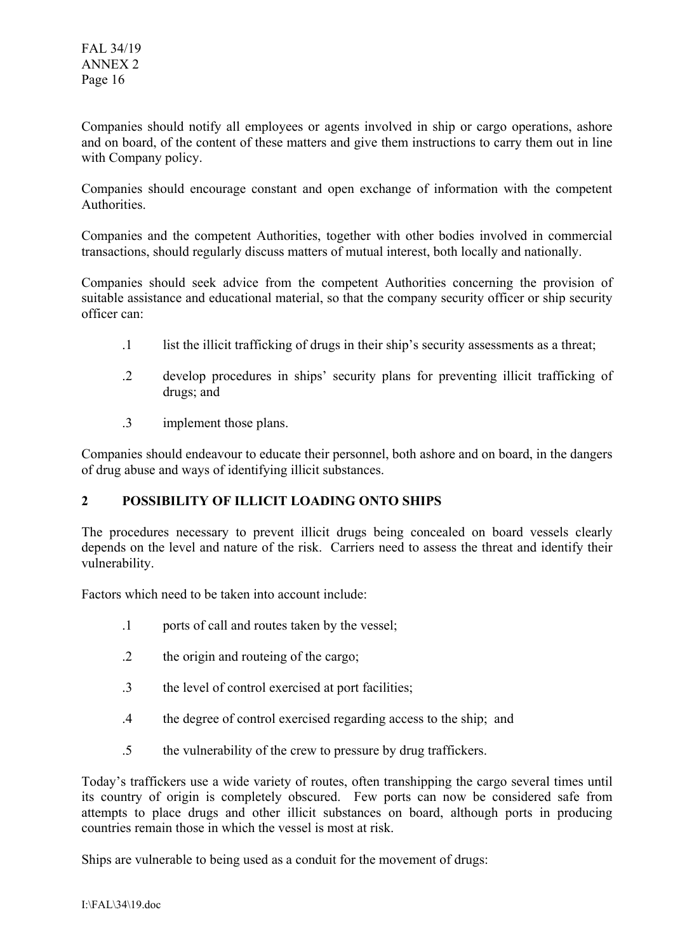Companies should notify all employees or agents involved in ship or cargo operations, ashore and on board, of the content of these matters and give them instructions to carry them out in line with Company policy.

Companies should encourage constant and open exchange of information with the competent **Authorities** 

Companies and the competent Authorities, together with other bodies involved in commercial transactions, should regularly discuss matters of mutual interest, both locally and nationally.

Companies should seek advice from the competent Authorities concerning the provision of suitable assistance and educational material, so that the company security officer or ship security officer can:

- .1 list the illicit trafficking of drugs in their ship's security assessments as a threat;
- .2 develop procedures in ships' security plans for preventing illicit trafficking of drugs; and
- .3 implement those plans.

Companies should endeavour to educate their personnel, both ashore and on board, in the dangers of drug abuse and ways of identifying illicit substances.

# **2 POSSIBILITY OF ILLICIT LOADING ONTO SHIPS**

The procedures necessary to prevent illicit drugs being concealed on board vessels clearly depends on the level and nature of the risk. Carriers need to assess the threat and identify their vulnerability.

Factors which need to be taken into account include:

- .1 ports of call and routes taken by the vessel;
- .2 the origin and routeing of the cargo;
- .3 the level of control exercised at port facilities;
- .4 the degree of control exercised regarding access to the ship; and
- .5 the vulnerability of the crew to pressure by drug traffickers.

Today's traffickers use a wide variety of routes, often transhipping the cargo several times until its country of origin is completely obscured. Few ports can now be considered safe from attempts to place drugs and other illicit substances on board, although ports in producing countries remain those in which the vessel is most at risk.

Ships are vulnerable to being used as a conduit for the movement of drugs: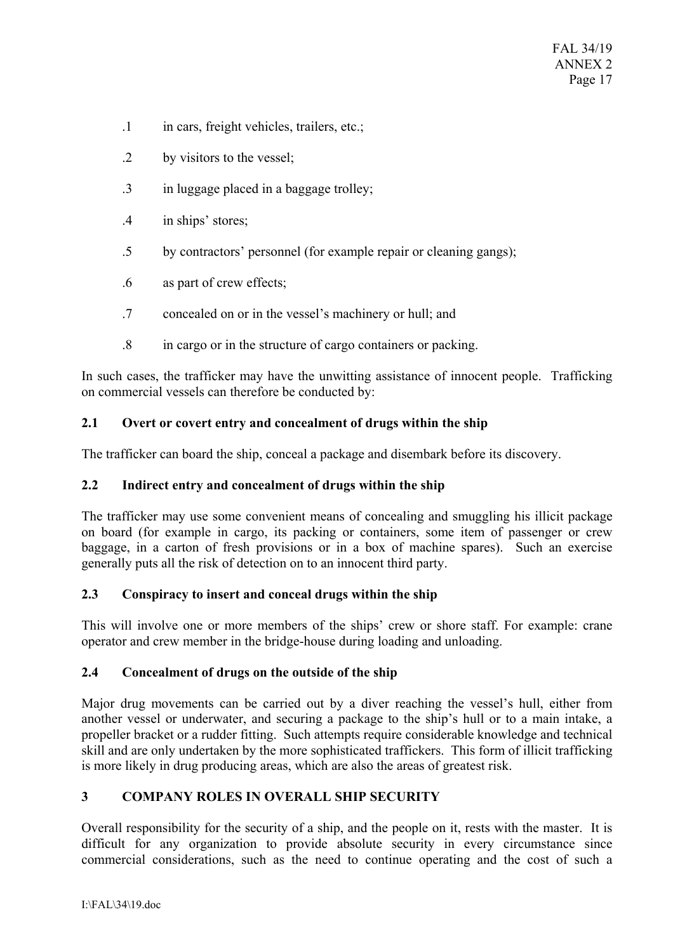- .1 in cars, freight vehicles, trailers, etc.;
- .2 by visitors to the vessel;
- .3 in luggage placed in a baggage trolley;
- .4 in ships' stores;
- .5 by contractors' personnel (for example repair or cleaning gangs);
- .6 as part of crew effects;
- .7 concealed on or in the vessel's machinery or hull; and
- .8 in cargo or in the structure of cargo containers or packing.

In such cases, the trafficker may have the unwitting assistance of innocent people. Trafficking on commercial vessels can therefore be conducted by:

# **2.1 Overt or covert entry and concealment of drugs within the ship**

The trafficker can board the ship, conceal a package and disembark before its discovery.

# **2.2 Indirect entry and concealment of drugs within the ship**

The trafficker may use some convenient means of concealing and smuggling his illicit package on board (for example in cargo, its packing or containers, some item of passenger or crew baggage, in a carton of fresh provisions or in a box of machine spares). Such an exercise generally puts all the risk of detection on to an innocent third party.

# **2.3 Conspiracy to insert and conceal drugs within the ship**

This will involve one or more members of the ships' crew or shore staff. For example: crane operator and crew member in the bridge-house during loading and unloading.

# **2.4 Concealment of drugs on the outside of the ship**

Major drug movements can be carried out by a diver reaching the vessel's hull, either from another vessel or underwater, and securing a package to the ship's hull or to a main intake, a propeller bracket or a rudder fitting. Such attempts require considerable knowledge and technical skill and are only undertaken by the more sophisticated traffickers. This form of illicit trafficking is more likely in drug producing areas, which are also the areas of greatest risk.

# **3 COMPANY ROLES IN OVERALL SHIP SECURITY**

Overall responsibility for the security of a ship, and the people on it, rests with the master. It is difficult for any organization to provide absolute security in every circumstance since commercial considerations, such as the need to continue operating and the cost of such a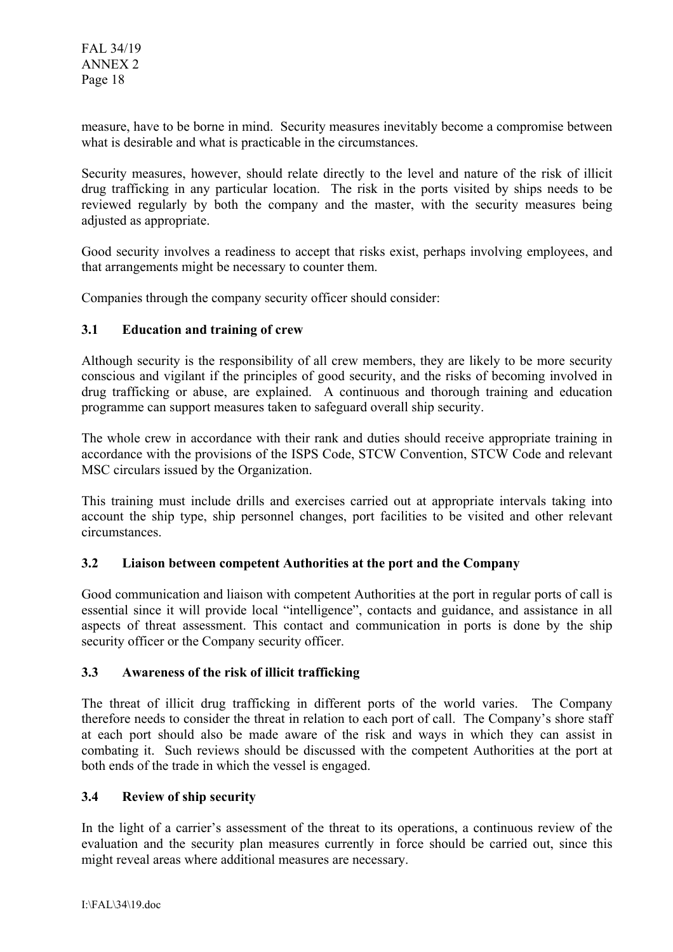measure, have to be borne in mind. Security measures inevitably become a compromise between what is desirable and what is practicable in the circumstances.

Security measures, however, should relate directly to the level and nature of the risk of illicit drug trafficking in any particular location. The risk in the ports visited by ships needs to be reviewed regularly by both the company and the master, with the security measures being adjusted as appropriate.

Good security involves a readiness to accept that risks exist, perhaps involving employees, and that arrangements might be necessary to counter them.

Companies through the company security officer should consider:

## **3.1 Education and training of crew**

Although security is the responsibility of all crew members, they are likely to be more security conscious and vigilant if the principles of good security, and the risks of becoming involved in drug trafficking or abuse, are explained. A continuous and thorough training and education programme can support measures taken to safeguard overall ship security.

The whole crew in accordance with their rank and duties should receive appropriate training in accordance with the provisions of the ISPS Code, STCW Convention, STCW Code and relevant MSC circulars issued by the Organization.

This training must include drills and exercises carried out at appropriate intervals taking into account the ship type, ship personnel changes, port facilities to be visited and other relevant circumstances.

### **3.2 Liaison between competent Authorities at the port and the Company**

Good communication and liaison with competent Authorities at the port in regular ports of call is essential since it will provide local "intelligence", contacts and guidance, and assistance in all aspects of threat assessment. This contact and communication in ports is done by the ship security officer or the Company security officer.

### **3.3 Awareness of the risk of illicit trafficking**

The threat of illicit drug trafficking in different ports of the world varies. The Company therefore needs to consider the threat in relation to each port of call. The Company's shore staff at each port should also be made aware of the risk and ways in which they can assist in combating it. Such reviews should be discussed with the competent Authorities at the port at both ends of the trade in which the vessel is engaged.

### **3.4 Review of ship security**

In the light of a carrier's assessment of the threat to its operations, a continuous review of the evaluation and the security plan measures currently in force should be carried out, since this might reveal areas where additional measures are necessary.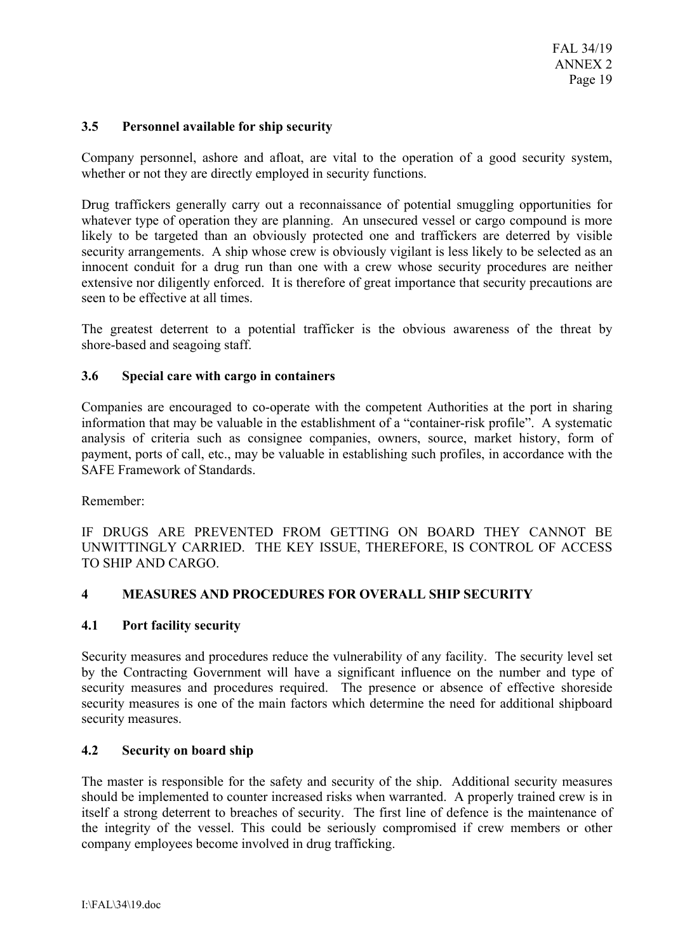# **3.5 Personnel available for ship security**

Company personnel, ashore and afloat, are vital to the operation of a good security system, whether or not they are directly employed in security functions.

Drug traffickers generally carry out a reconnaissance of potential smuggling opportunities for whatever type of operation they are planning. An unsecured vessel or cargo compound is more likely to be targeted than an obviously protected one and traffickers are deterred by visible security arrangements. A ship whose crew is obviously vigilant is less likely to be selected as an innocent conduit for a drug run than one with a crew whose security procedures are neither extensive nor diligently enforced. It is therefore of great importance that security precautions are seen to be effective at all times.

The greatest deterrent to a potential trafficker is the obvious awareness of the threat by shore-based and seagoing staff.

### **3.6 Special care with cargo in containers**

Companies are encouraged to co-operate with the competent Authorities at the port in sharing information that may be valuable in the establishment of a "container-risk profile". A systematic analysis of criteria such as consignee companies, owners, source, market history, form of payment, ports of call, etc., may be valuable in establishing such profiles, in accordance with the SAFE Framework of Standards.

Remember:

IF DRUGS ARE PREVENTED FROM GETTING ON BOARD THEY CANNOT BE UNWITTINGLY CARRIED. THE KEY ISSUE, THEREFORE, IS CONTROL OF ACCESS TO SHIP AND CARGO.

### **4 MEASURES AND PROCEDURES FOR OVERALL SHIP SECURITY**

#### **4.1 Port facility security**

Security measures and procedures reduce the vulnerability of any facility. The security level set by the Contracting Government will have a significant influence on the number and type of security measures and procedures required. The presence or absence of effective shoreside security measures is one of the main factors which determine the need for additional shipboard security measures.

### **4.2 Security on board ship**

The master is responsible for the safety and security of the ship. Additional security measures should be implemented to counter increased risks when warranted. A properly trained crew is in itself a strong deterrent to breaches of security. The first line of defence is the maintenance of the integrity of the vessel. This could be seriously compromised if crew members or other company employees become involved in drug trafficking.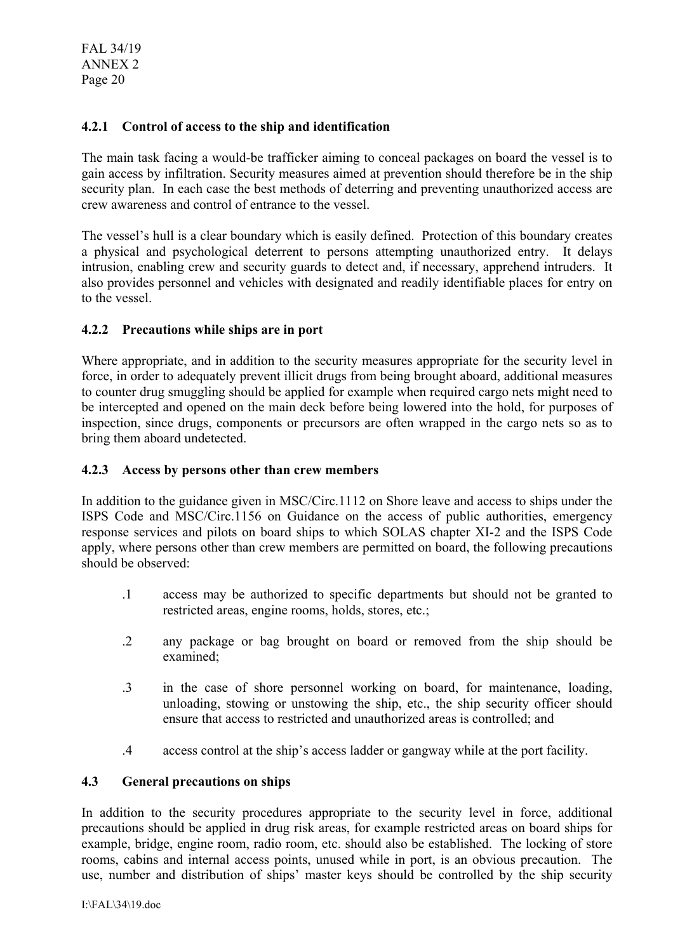FAL 34/19 ANNEX 2 Page 20

## **4.2.1 Control of access to the ship and identification**

The main task facing a would-be trafficker aiming to conceal packages on board the vessel is to gain access by infiltration. Security measures aimed at prevention should therefore be in the ship security plan. In each case the best methods of deterring and preventing unauthorized access are crew awareness and control of entrance to the vessel.

The vessel's hull is a clear boundary which is easily defined. Protection of this boundary creates a physical and psychological deterrent to persons attempting unauthorized entry. It delays intrusion, enabling crew and security guards to detect and, if necessary, apprehend intruders. It also provides personnel and vehicles with designated and readily identifiable places for entry on to the vessel.

## **4.2.2 Precautions while ships are in port**

Where appropriate, and in addition to the security measures appropriate for the security level in force, in order to adequately prevent illicit drugs from being brought aboard, additional measures to counter drug smuggling should be applied for example when required cargo nets might need to be intercepted and opened on the main deck before being lowered into the hold, for purposes of inspection, since drugs, components or precursors are often wrapped in the cargo nets so as to bring them aboard undetected.

### **4.2.3 Access by persons other than crew members**

In addition to the guidance given in MSC/Circ.1112 on Shore leave and access to ships under the ISPS Code and MSC/Circ.1156 on Guidance on the access of public authorities, emergency response services and pilots on board ships to which SOLAS chapter XI-2 and the ISPS Code apply, where persons other than crew members are permitted on board, the following precautions should be observed:

- .1 access may be authorized to specific departments but should not be granted to restricted areas, engine rooms, holds, stores, etc.;
- .2 any package or bag brought on board or removed from the ship should be examined;
- .3 in the case of shore personnel working on board, for maintenance, loading, unloading, stowing or unstowing the ship, etc., the ship security officer should ensure that access to restricted and unauthorized areas is controlled; and
- .4 access control at the ship's access ladder or gangway while at the port facility.

### **4.3 General precautions on ships**

In addition to the security procedures appropriate to the security level in force, additional precautions should be applied in drug risk areas, for example restricted areas on board ships for example, bridge, engine room, radio room, etc. should also be established. The locking of store rooms, cabins and internal access points, unused while in port, is an obvious precaution. The use, number and distribution of ships' master keys should be controlled by the ship security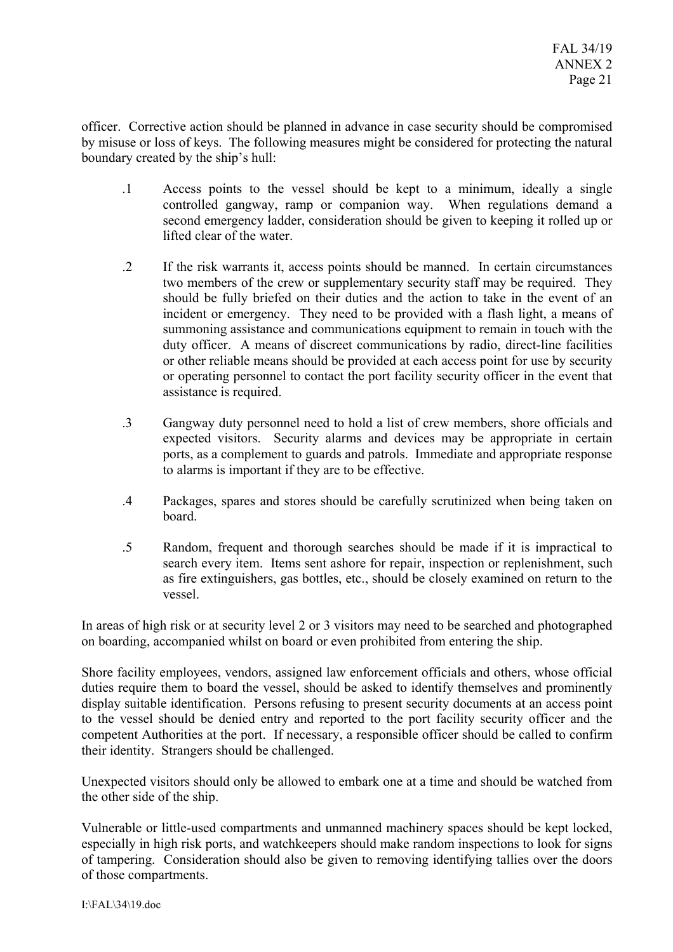officer. Corrective action should be planned in advance in case security should be compromised by misuse or loss of keys. The following measures might be considered for protecting the natural boundary created by the ship's hull:

- .1 Access points to the vessel should be kept to a minimum, ideally a single controlled gangway, ramp or companion way. When regulations demand a second emergency ladder, consideration should be given to keeping it rolled up or lifted clear of the water.
- .2 If the risk warrants it, access points should be manned. In certain circumstances two members of the crew or supplementary security staff may be required. They should be fully briefed on their duties and the action to take in the event of an incident or emergency. They need to be provided with a flash light, a means of summoning assistance and communications equipment to remain in touch with the duty officer. A means of discreet communications by radio, direct-line facilities or other reliable means should be provided at each access point for use by security or operating personnel to contact the port facility security officer in the event that assistance is required.
- .3 Gangway duty personnel need to hold a list of crew members, shore officials and expected visitors. Security alarms and devices may be appropriate in certain ports, as a complement to guards and patrols. Immediate and appropriate response to alarms is important if they are to be effective.
- .4 Packages, spares and stores should be carefully scrutinized when being taken on board.
- .5 Random, frequent and thorough searches should be made if it is impractical to search every item. Items sent ashore for repair, inspection or replenishment, such as fire extinguishers, gas bottles, etc., should be closely examined on return to the vessel.

In areas of high risk or at security level 2 or 3 visitors may need to be searched and photographed on boarding, accompanied whilst on board or even prohibited from entering the ship.

Shore facility employees, vendors, assigned law enforcement officials and others, whose official duties require them to board the vessel, should be asked to identify themselves and prominently display suitable identification. Persons refusing to present security documents at an access point to the vessel should be denied entry and reported to the port facility security officer and the competent Authorities at the port. If necessary, a responsible officer should be called to confirm their identity. Strangers should be challenged.

Unexpected visitors should only be allowed to embark one at a time and should be watched from the other side of the ship.

Vulnerable or little-used compartments and unmanned machinery spaces should be kept locked, especially in high risk ports, and watchkeepers should make random inspections to look for signs of tampering. Consideration should also be given to removing identifying tallies over the doors of those compartments.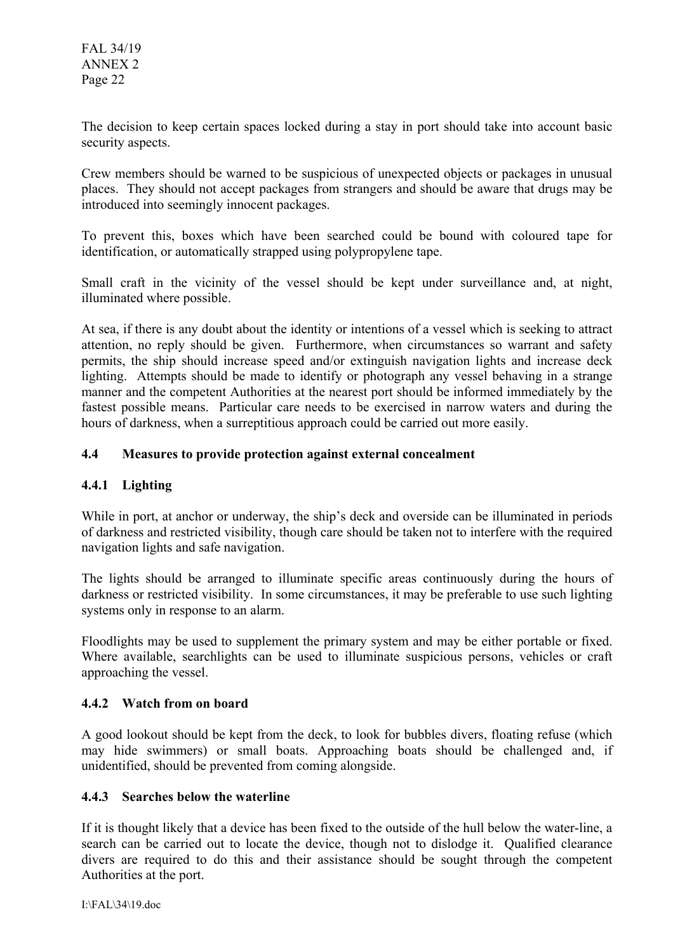The decision to keep certain spaces locked during a stay in port should take into account basic security aspects.

Crew members should be warned to be suspicious of unexpected objects or packages in unusual places. They should not accept packages from strangers and should be aware that drugs may be introduced into seemingly innocent packages.

To prevent this, boxes which have been searched could be bound with coloured tape for identification, or automatically strapped using polypropylene tape.

Small craft in the vicinity of the vessel should be kept under surveillance and, at night, illuminated where possible.

At sea, if there is any doubt about the identity or intentions of a vessel which is seeking to attract attention, no reply should be given. Furthermore, when circumstances so warrant and safety permits, the ship should increase speed and/or extinguish navigation lights and increase deck lighting. Attempts should be made to identify or photograph any vessel behaving in a strange manner and the competent Authorities at the nearest port should be informed immediately by the fastest possible means. Particular care needs to be exercised in narrow waters and during the hours of darkness, when a surreptitious approach could be carried out more easily.

# **4.4 Measures to provide protection against external concealment**

# **4.4.1 Lighting**

While in port, at anchor or underway, the ship's deck and overside can be illuminated in periods of darkness and restricted visibility, though care should be taken not to interfere with the required navigation lights and safe navigation.

The lights should be arranged to illuminate specific areas continuously during the hours of darkness or restricted visibility. In some circumstances, it may be preferable to use such lighting systems only in response to an alarm.

Floodlights may be used to supplement the primary system and may be either portable or fixed. Where available, searchlights can be used to illuminate suspicious persons, vehicles or craft approaching the vessel.

# **4.4.2 Watch from on board**

A good lookout should be kept from the deck, to look for bubbles divers, floating refuse (which may hide swimmers) or small boats. Approaching boats should be challenged and, if unidentified, should be prevented from coming alongside.

### **4.4.3 Searches below the waterline**

If it is thought likely that a device has been fixed to the outside of the hull below the water-line, a search can be carried out to locate the device, though not to dislodge it. Qualified clearance divers are required to do this and their assistance should be sought through the competent Authorities at the port.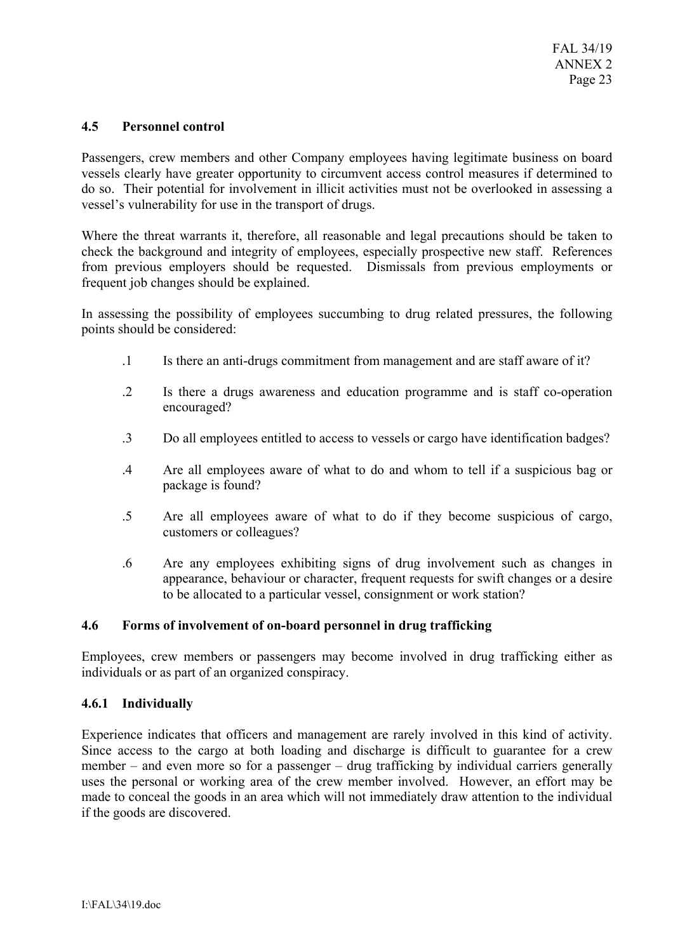### **4.5 Personnel control**

Passengers, crew members and other Company employees having legitimate business on board vessels clearly have greater opportunity to circumvent access control measures if determined to do so. Their potential for involvement in illicit activities must not be overlooked in assessing a vessel's vulnerability for use in the transport of drugs.

Where the threat warrants it, therefore, all reasonable and legal precautions should be taken to check the background and integrity of employees, especially prospective new staff. References from previous employers should be requested. Dismissals from previous employments or frequent job changes should be explained.

In assessing the possibility of employees succumbing to drug related pressures, the following points should be considered:

- .1 Is there an anti-drugs commitment from management and are staff aware of it?
- .2 Is there a drugs awareness and education programme and is staff co-operation encouraged?
- .3 Do all employees entitled to access to vessels or cargo have identification badges?
- .4 Are all employees aware of what to do and whom to tell if a suspicious bag or package is found?
- .5 Are all employees aware of what to do if they become suspicious of cargo, customers or colleagues?
- .6 Are any employees exhibiting signs of drug involvement such as changes in appearance, behaviour or character, frequent requests for swift changes or a desire to be allocated to a particular vessel, consignment or work station?

### **4.6 Forms of involvement of on-board personnel in drug trafficking**

Employees, crew members or passengers may become involved in drug trafficking either as individuals or as part of an organized conspiracy.

### **4.6.1 Individually**

Experience indicates that officers and management are rarely involved in this kind of activity. Since access to the cargo at both loading and discharge is difficult to guarantee for a crew member – and even more so for a passenger – drug trafficking by individual carriers generally uses the personal or working area of the crew member involved. However, an effort may be made to conceal the goods in an area which will not immediately draw attention to the individual if the goods are discovered.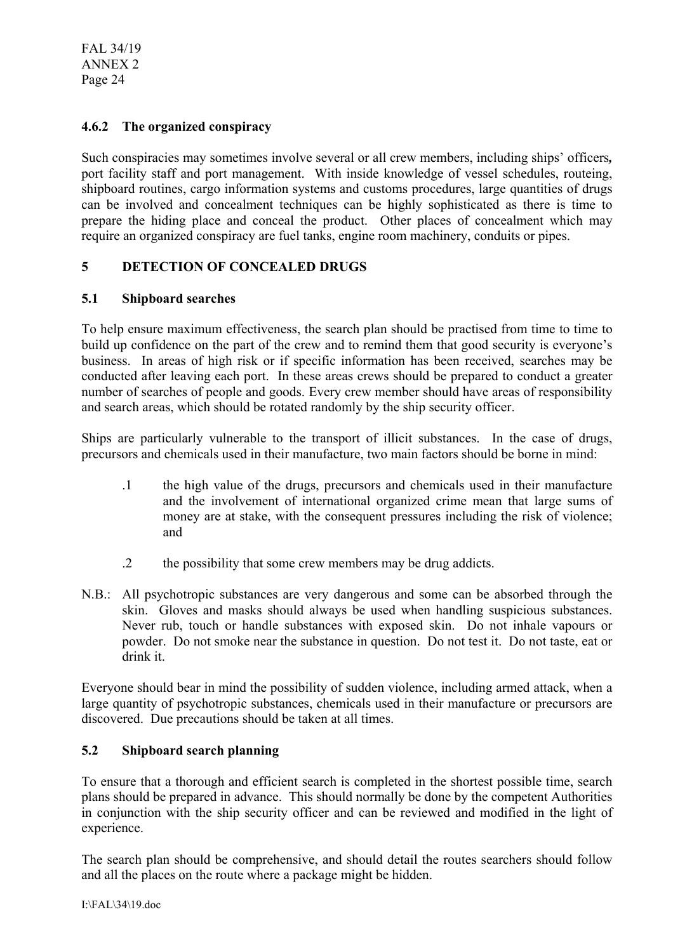FAL 34/19 ANNEX 2 Page 24

# **4.6.2 The organized conspiracy**

Such conspiracies may sometimes involve several or all crew members, including ships' officers*,*  port facility staff and port management. With inside knowledge of vessel schedules, routeing, shipboard routines, cargo information systems and customs procedures, large quantities of drugs can be involved and concealment techniques can be highly sophisticated as there is time to prepare the hiding place and conceal the product. Other places of concealment which may require an organized conspiracy are fuel tanks, engine room machinery, conduits or pipes.

# **5 DETECTION OF CONCEALED DRUGS**

### **5.1 Shipboard searches**

To help ensure maximum effectiveness, the search plan should be practised from time to time to build up confidence on the part of the crew and to remind them that good security is everyone's business. In areas of high risk or if specific information has been received, searches may be conducted after leaving each port. In these areas crews should be prepared to conduct a greater number of searches of people and goods. Every crew member should have areas of responsibility and search areas, which should be rotated randomly by the ship security officer.

Ships are particularly vulnerable to the transport of illicit substances. In the case of drugs, precursors and chemicals used in their manufacture, two main factors should be borne in mind:

- .1 the high value of the drugs, precursors and chemicals used in their manufacture and the involvement of international organized crime mean that large sums of money are at stake, with the consequent pressures including the risk of violence; and
- .2 the possibility that some crew members may be drug addicts.
- N.B.: All psychotropic substances are very dangerous and some can be absorbed through the skin. Gloves and masks should always be used when handling suspicious substances. Never rub, touch or handle substances with exposed skin. Do not inhale vapours or powder. Do not smoke near the substance in question. Do not test it. Do not taste, eat or drink it.

Everyone should bear in mind the possibility of sudden violence, including armed attack, when a large quantity of psychotropic substances, chemicals used in their manufacture or precursors are discovered. Due precautions should be taken at all times.

### **5.2 Shipboard search planning**

To ensure that a thorough and efficient search is completed in the shortest possible time, search plans should be prepared in advance. This should normally be done by the competent Authorities in conjunction with the ship security officer and can be reviewed and modified in the light of experience.

The search plan should be comprehensive, and should detail the routes searchers should follow and all the places on the route where a package might be hidden.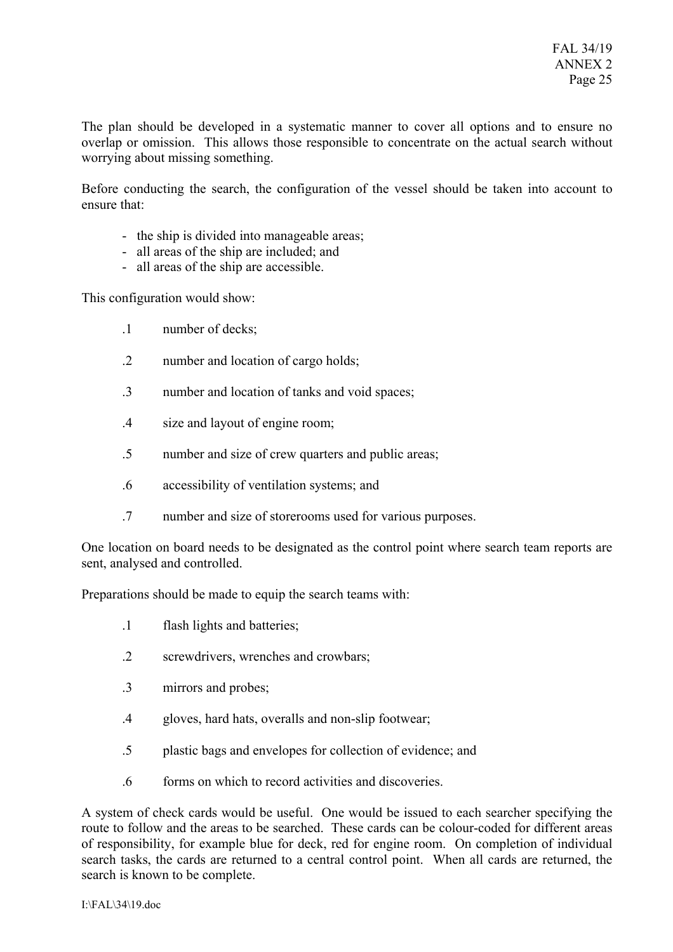The plan should be developed in a systematic manner to cover all options and to ensure no overlap or omission. This allows those responsible to concentrate on the actual search without worrying about missing something.

Before conducting the search, the configuration of the vessel should be taken into account to ensure that:

- the ship is divided into manageable areas;
- all areas of the ship are included; and
- all areas of the ship are accessible.

This configuration would show:

- .1 number of decks;
- .2 number and location of cargo holds;
- .3 number and location of tanks and void spaces;
- .4 size and layout of engine room;
- .5 number and size of crew quarters and public areas;
- .6 accessibility of ventilation systems; and
- .7 number and size of storerooms used for various purposes.

One location on board needs to be designated as the control point where search team reports are sent, analysed and controlled.

Preparations should be made to equip the search teams with:

- .1 flash lights and batteries;
- .2 screwdrivers, wrenches and crowbars;
- .3 mirrors and probes;
- .4 gloves, hard hats, overalls and non-slip footwear;
- .5 plastic bags and envelopes for collection of evidence; and
- .6 forms on which to record activities and discoveries.

A system of check cards would be useful. One would be issued to each searcher specifying the route to follow and the areas to be searched. These cards can be colour-coded for different areas of responsibility, for example blue for deck, red for engine room. On completion of individual search tasks, the cards are returned to a central control point. When all cards are returned, the search is known to be complete.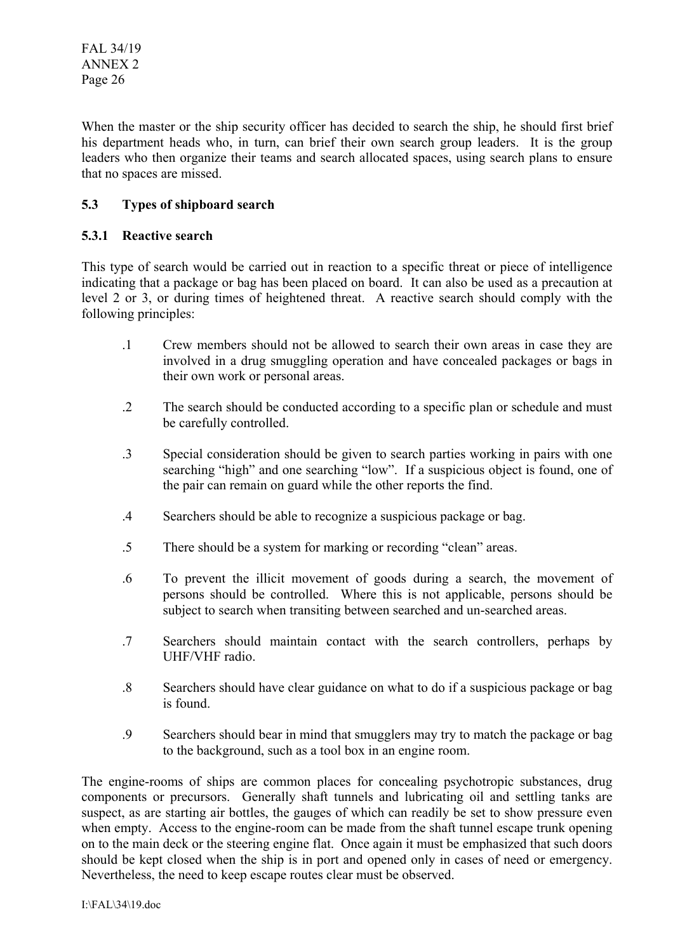When the master or the ship security officer has decided to search the ship, he should first brief his department heads who, in turn, can brief their own search group leaders. It is the group leaders who then organize their teams and search allocated spaces, using search plans to ensure that no spaces are missed.

# **5.3 Types of shipboard search**

## **5.3.1 Reactive search**

This type of search would be carried out in reaction to a specific threat or piece of intelligence indicating that a package or bag has been placed on board. It can also be used as a precaution at level 2 or 3, or during times of heightened threat. A reactive search should comply with the following principles:

- .1 Crew members should not be allowed to search their own areas in case they are involved in a drug smuggling operation and have concealed packages or bags in their own work or personal areas.
- .2 The search should be conducted according to a specific plan or schedule and must be carefully controlled.
- .3 Special consideration should be given to search parties working in pairs with one searching "high" and one searching "low". If a suspicious object is found, one of the pair can remain on guard while the other reports the find.
- .4 Searchers should be able to recognize a suspicious package or bag.
- .5 There should be a system for marking or recording "clean" areas.
- .6 To prevent the illicit movement of goods during a search, the movement of persons should be controlled. Where this is not applicable, persons should be subject to search when transiting between searched and un-searched areas.
- .7 Searchers should maintain contact with the search controllers, perhaps by UHF/VHF radio.
- .8 Searchers should have clear guidance on what to do if a suspicious package or bag is found.
- .9 Searchers should bear in mind that smugglers may try to match the package or bag to the background, such as a tool box in an engine room.

The engine-rooms of ships are common places for concealing psychotropic substances, drug components or precursors. Generally shaft tunnels and lubricating oil and settling tanks are suspect, as are starting air bottles, the gauges of which can readily be set to show pressure even when empty. Access to the engine-room can be made from the shaft tunnel escape trunk opening on to the main deck or the steering engine flat. Once again it must be emphasized that such doors should be kept closed when the ship is in port and opened only in cases of need or emergency. Nevertheless, the need to keep escape routes clear must be observed.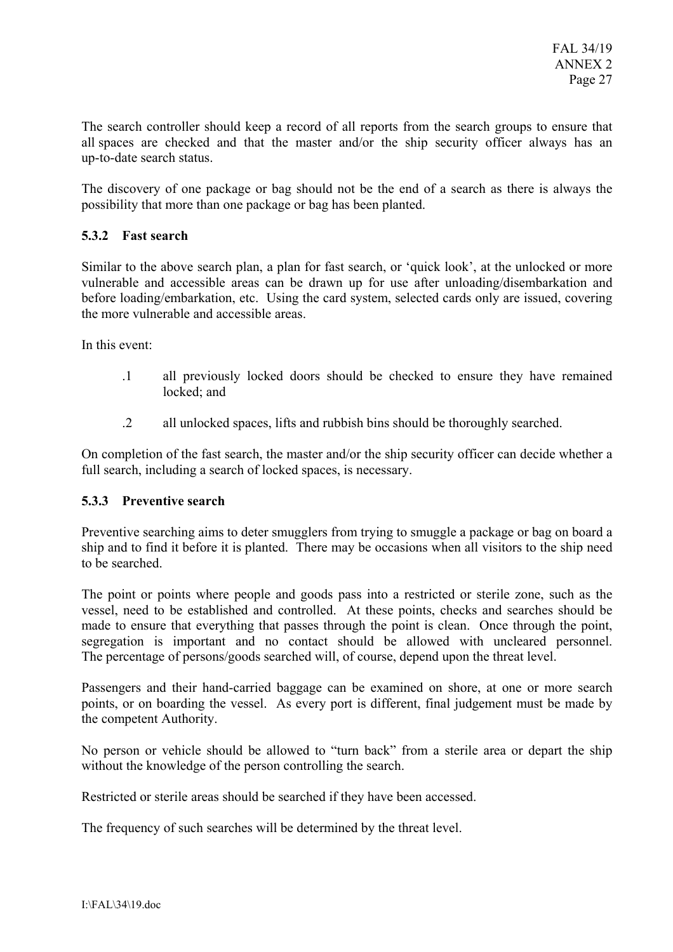The search controller should keep a record of all reports from the search groups to ensure that all spaces are checked and that the master and/or the ship security officer always has an up-to-date search status.

The discovery of one package or bag should not be the end of a search as there is always the possibility that more than one package or bag has been planted.

## **5.3.2 Fast search**

Similar to the above search plan, a plan for fast search, or 'quick look', at the unlocked or more vulnerable and accessible areas can be drawn up for use after unloading/disembarkation and before loading/embarkation, etc. Using the card system, selected cards only are issued, covering the more vulnerable and accessible areas.

In this event:

- .1 all previously locked doors should be checked to ensure they have remained locked<sup>-</sup> and
- .2 all unlocked spaces, lifts and rubbish bins should be thoroughly searched.

On completion of the fast search, the master and/or the ship security officer can decide whether a full search, including a search of locked spaces, is necessary.

### **5.3.3 Preventive search**

Preventive searching aims to deter smugglers from trying to smuggle a package or bag on board a ship and to find it before it is planted. There may be occasions when all visitors to the ship need to be searched.

The point or points where people and goods pass into a restricted or sterile zone, such as the vessel, need to be established and controlled. At these points, checks and searches should be made to ensure that everything that passes through the point is clean. Once through the point, segregation is important and no contact should be allowed with uncleared personnel. The percentage of persons/goods searched will, of course, depend upon the threat level.

Passengers and their hand-carried baggage can be examined on shore, at one or more search points, or on boarding the vessel. As every port is different, final judgement must be made by the competent Authority.

No person or vehicle should be allowed to "turn back" from a sterile area or depart the ship without the knowledge of the person controlling the search.

Restricted or sterile areas should be searched if they have been accessed.

The frequency of such searches will be determined by the threat level.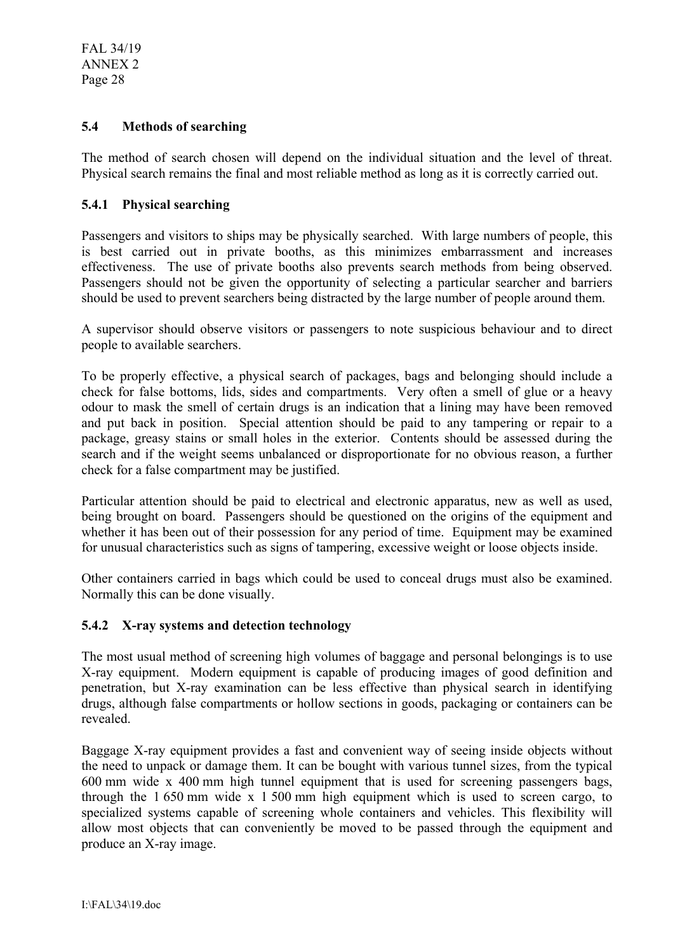# **5.4 Methods of searching**

The method of search chosen will depend on the individual situation and the level of threat. Physical search remains the final and most reliable method as long as it is correctly carried out.

# **5.4.1 Physical searching**

Passengers and visitors to ships may be physically searched. With large numbers of people, this is best carried out in private booths, as this minimizes embarrassment and increases effectiveness. The use of private booths also prevents search methods from being observed. Passengers should not be given the opportunity of selecting a particular searcher and barriers should be used to prevent searchers being distracted by the large number of people around them.

A supervisor should observe visitors or passengers to note suspicious behaviour and to direct people to available searchers.

To be properly effective, a physical search of packages, bags and belonging should include a check for false bottoms, lids, sides and compartments. Very often a smell of glue or a heavy odour to mask the smell of certain drugs is an indication that a lining may have been removed and put back in position. Special attention should be paid to any tampering or repair to a package, greasy stains or small holes in the exterior. Contents should be assessed during the search and if the weight seems unbalanced or disproportionate for no obvious reason, a further check for a false compartment may be justified.

Particular attention should be paid to electrical and electronic apparatus, new as well as used, being brought on board. Passengers should be questioned on the origins of the equipment and whether it has been out of their possession for any period of time. Equipment may be examined for unusual characteristics such as signs of tampering, excessive weight or loose objects inside.

Other containers carried in bags which could be used to conceal drugs must also be examined. Normally this can be done visually.

# **5.4.2 X-ray systems and detection technology**

The most usual method of screening high volumes of baggage and personal belongings is to use X-ray equipment. Modern equipment is capable of producing images of good definition and penetration, but X-ray examination can be less effective than physical search in identifying drugs, although false compartments or hollow sections in goods, packaging or containers can be revealed.

Baggage X-ray equipment provides a fast and convenient way of seeing inside objects without the need to unpack or damage them. It can be bought with various tunnel sizes, from the typical 600 mm wide x 400 mm high tunnel equipment that is used for screening passengers bags, through the 1 650 mm wide x 1 500 mm high equipment which is used to screen cargo, to specialized systems capable of screening whole containers and vehicles. This flexibility will allow most objects that can conveniently be moved to be passed through the equipment and produce an X-ray image.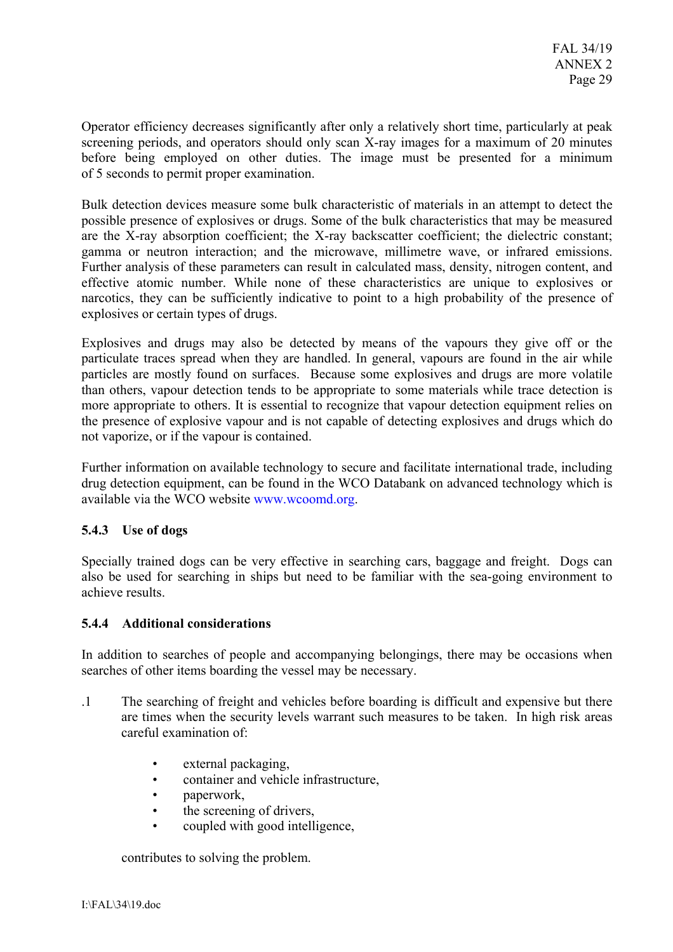Operator efficiency decreases significantly after only a relatively short time, particularly at peak screening periods, and operators should only scan X-ray images for a maximum of 20 minutes before being employed on other duties. The image must be presented for a minimum of 5 seconds to permit proper examination.

Bulk detection devices measure some bulk characteristic of materials in an attempt to detect the possible presence of explosives or drugs. Some of the bulk characteristics that may be measured are the X-ray absorption coefficient; the X-ray backscatter coefficient; the dielectric constant; gamma or neutron interaction; and the microwave, millimetre wave, or infrared emissions. Further analysis of these parameters can result in calculated mass, density, nitrogen content, and effective atomic number. While none of these characteristics are unique to explosives or narcotics, they can be sufficiently indicative to point to a high probability of the presence of explosives or certain types of drugs.

Explosives and drugs may also be detected by means of the vapours they give off or the particulate traces spread when they are handled. In general, vapours are found in the air while particles are mostly found on surfaces. Because some explosives and drugs are more volatile than others, vapour detection tends to be appropriate to some materials while trace detection is more appropriate to others. It is essential to recognize that vapour detection equipment relies on the presence of explosive vapour and is not capable of detecting explosives and drugs which do not vaporize, or if the vapour is contained.

Further information on available technology to secure and facilitate international trade, including drug detection equipment, can be found in the WCO Databank on advanced technology which is available via the WCO website www.wcoomd.org.

# **5.4.3 Use of dogs**

Specially trained dogs can be very effective in searching cars, baggage and freight. Dogs can also be used for searching in ships but need to be familiar with the sea-going environment to achieve results.

# **5.4.4 Additional considerations**

In addition to searches of people and accompanying belongings, there may be occasions when searches of other items boarding the vessel may be necessary.

- .1 The searching of freight and vehicles before boarding is difficult and expensive but there are times when the security levels warrant such measures to be taken. In high risk areas careful examination of:
	- external packaging,
	- container and vehicle infrastructure,
	- paperwork,
	- the screening of drivers,
	- coupled with good intelligence,

contributes to solving the problem.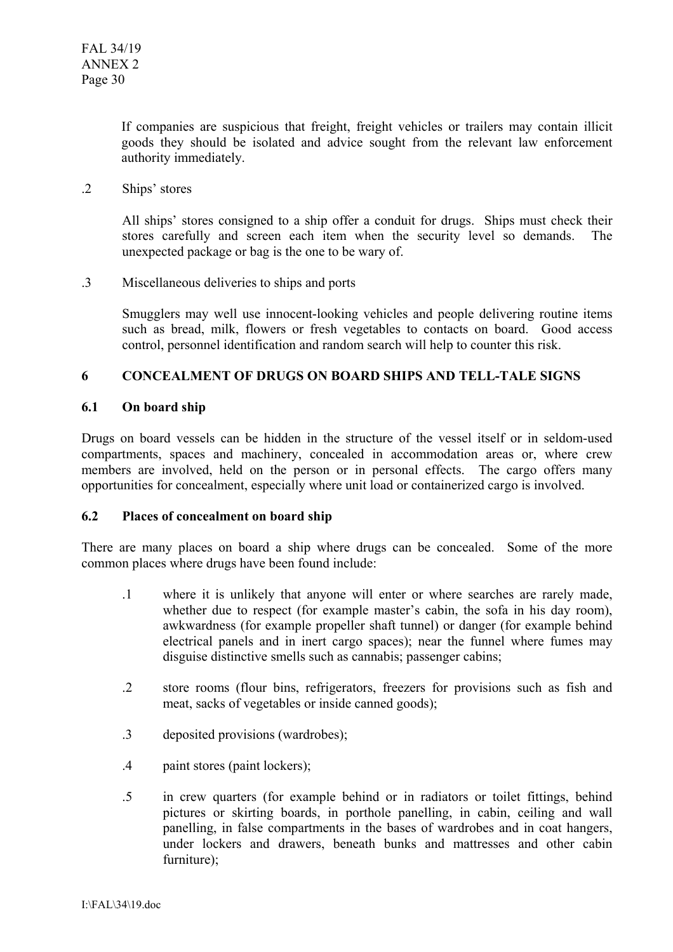If companies are suspicious that freight, freight vehicles or trailers may contain illicit goods they should be isolated and advice sought from the relevant law enforcement authority immediately.

.2 Ships' stores

All ships' stores consigned to a ship offer a conduit for drugs. Ships must check their stores carefully and screen each item when the security level so demands. The unexpected package or bag is the one to be wary of.

.3 Miscellaneous deliveries to ships and ports

Smugglers may well use innocent-looking vehicles and people delivering routine items such as bread, milk, flowers or fresh vegetables to contacts on board. Good access control, personnel identification and random search will help to counter this risk.

# **6 CONCEALMENT OF DRUGS ON BOARD SHIPS AND TELL-TALE SIGNS**

## **6.1 On board ship**

Drugs on board vessels can be hidden in the structure of the vessel itself or in seldom-used compartments, spaces and machinery, concealed in accommodation areas or, where crew members are involved, held on the person or in personal effects. The cargo offers many opportunities for concealment, especially where unit load or containerized cargo is involved.

### **6.2 Places of concealment on board ship**

There are many places on board a ship where drugs can be concealed. Some of the more common places where drugs have been found include:

- .1 where it is unlikely that anyone will enter or where searches are rarely made, whether due to respect (for example master's cabin, the sofa in his day room), awkwardness (for example propeller shaft tunnel) or danger (for example behind electrical panels and in inert cargo spaces); near the funnel where fumes may disguise distinctive smells such as cannabis; passenger cabins;
- .2 store rooms (flour bins, refrigerators, freezers for provisions such as fish and meat, sacks of vegetables or inside canned goods);
- .3 deposited provisions (wardrobes);
- .4 paint stores (paint lockers);
- .5 in crew quarters (for example behind or in radiators or toilet fittings, behind pictures or skirting boards, in porthole panelling, in cabin, ceiling and wall panelling, in false compartments in the bases of wardrobes and in coat hangers, under lockers and drawers, beneath bunks and mattresses and other cabin furniture);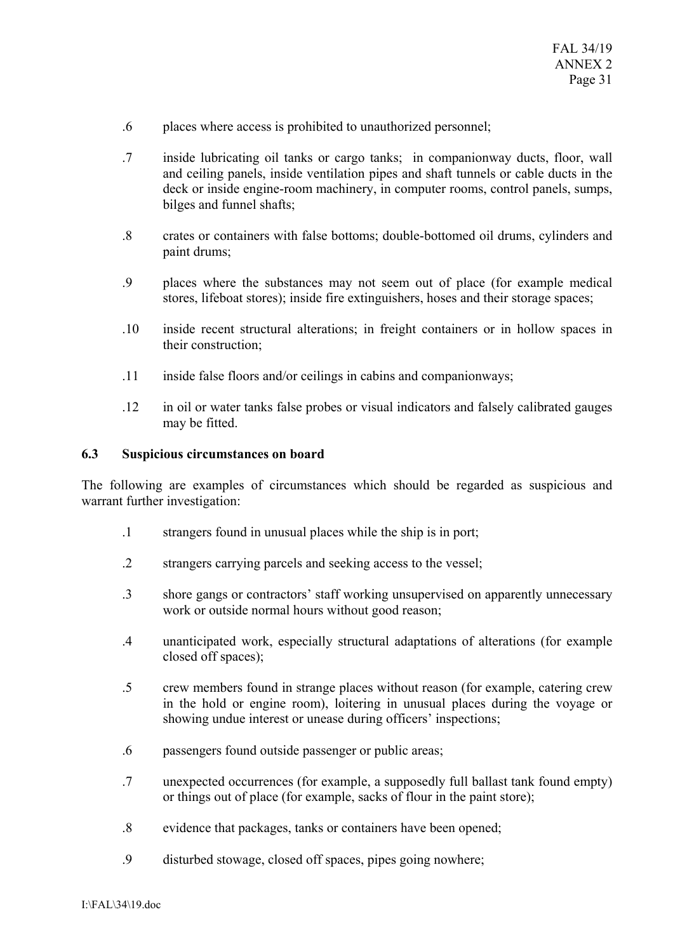- .6 places where access is prohibited to unauthorized personnel;
- .7 inside lubricating oil tanks or cargo tanks; in companionway ducts, floor, wall and ceiling panels, inside ventilation pipes and shaft tunnels or cable ducts in the deck or inside engine-room machinery, in computer rooms, control panels, sumps, bilges and funnel shafts;
- .8 crates or containers with false bottoms; double-bottomed oil drums, cylinders and paint drums;
- .9 places where the substances may not seem out of place (for example medical stores, lifeboat stores); inside fire extinguishers, hoses and their storage spaces;
- .10 inside recent structural alterations; in freight containers or in hollow spaces in their construction;
- .11 inside false floors and/or ceilings in cabins and companionways;
- .12 in oil or water tanks false probes or visual indicators and falsely calibrated gauges may be fitted.

### **6.3 Suspicious circumstances on board**

The following are examples of circumstances which should be regarded as suspicious and warrant further investigation:

- .1 strangers found in unusual places while the ship is in port;
- .2 strangers carrying parcels and seeking access to the vessel;
- .3 shore gangs or contractors' staff working unsupervised on apparently unnecessary work or outside normal hours without good reason;
- .4 unanticipated work, especially structural adaptations of alterations (for example closed off spaces);
- .5 crew members found in strange places without reason (for example, catering crew in the hold or engine room), loitering in unusual places during the voyage or showing undue interest or unease during officers' inspections;
- .6 passengers found outside passenger or public areas;
- .7 unexpected occurrences (for example, a supposedly full ballast tank found empty) or things out of place (for example, sacks of flour in the paint store);
- .8 evidence that packages, tanks or containers have been opened;
- .9 disturbed stowage, closed off spaces, pipes going nowhere;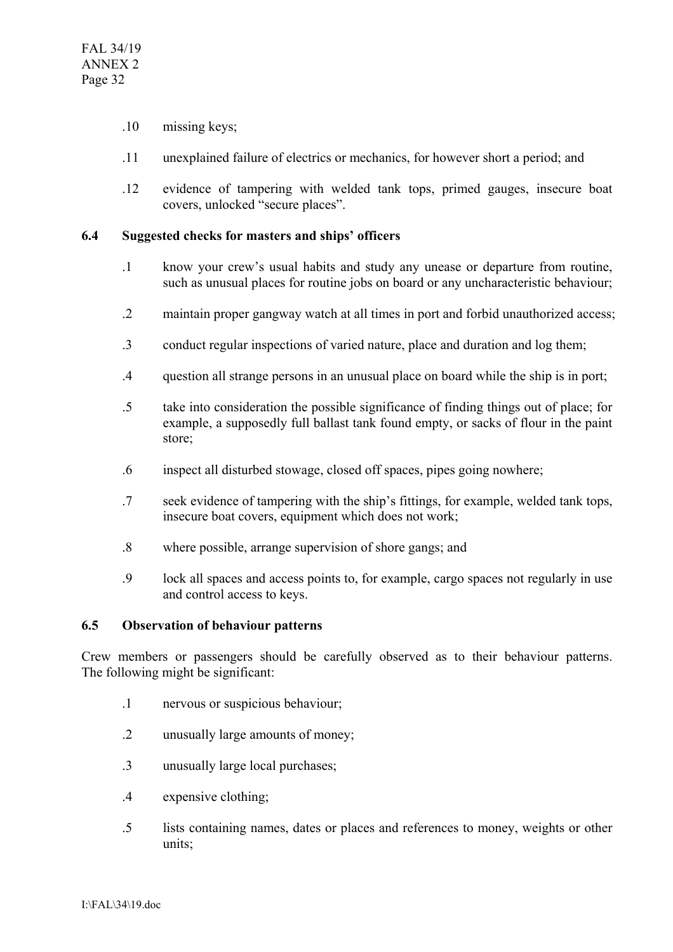- .10 missing keys;
- .11 unexplained failure of electrics or mechanics, for however short a period; and
- .12 evidence of tampering with welded tank tops, primed gauges, insecure boat covers, unlocked "secure places".

### **6.4 Suggested checks for masters and ships' officers**

- .1 know your crew's usual habits and study any unease or departure from routine, such as unusual places for routine jobs on board or any uncharacteristic behaviour;
- .2 maintain proper gangway watch at all times in port and forbid unauthorized access;
- .3 conduct regular inspections of varied nature, place and duration and log them;
- .4 question all strange persons in an unusual place on board while the ship is in port;
- .5 take into consideration the possible significance of finding things out of place; for example, a supposedly full ballast tank found empty, or sacks of flour in the paint store;
- .6 inspect all disturbed stowage, closed off spaces, pipes going nowhere;
- .7 seek evidence of tampering with the ship's fittings, for example, welded tank tops, insecure boat covers, equipment which does not work;
- .8 where possible, arrange supervision of shore gangs; and
- .9 lock all spaces and access points to, for example, cargo spaces not regularly in use and control access to keys.

### **6.5 Observation of behaviour patterns**

Crew members or passengers should be carefully observed as to their behaviour patterns. The following might be significant:

- .1 nervous or suspicious behaviour;
- .2 unusually large amounts of money;
- .3 unusually large local purchases;
- .4 expensive clothing;
- .5 lists containing names, dates or places and references to money, weights or other units;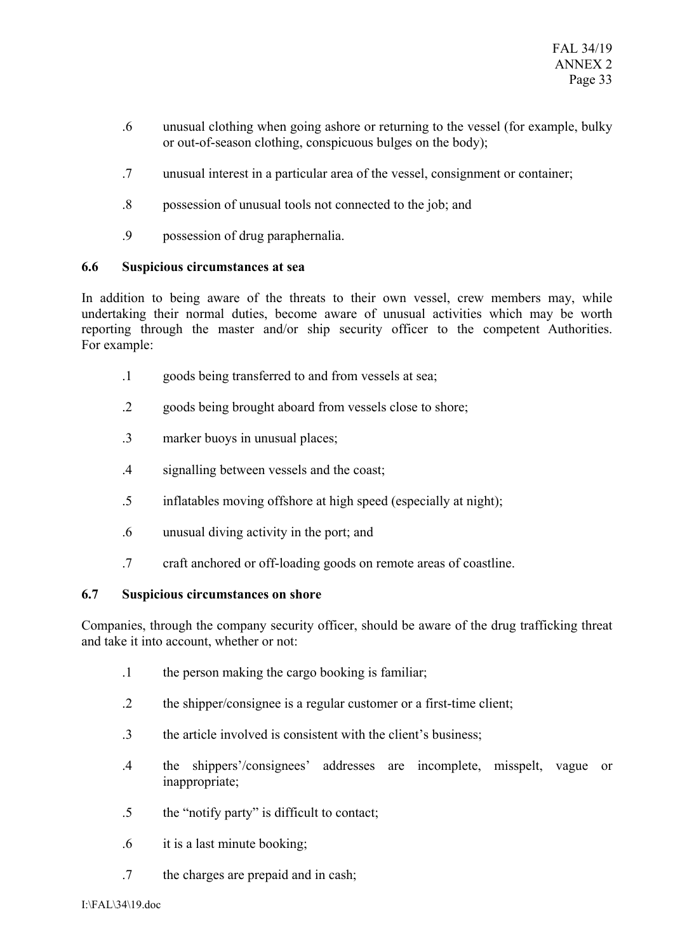- .6 unusual clothing when going ashore or returning to the vessel (for example, bulky or out-of-season clothing, conspicuous bulges on the body);
- .7 unusual interest in a particular area of the vessel, consignment or container;
- .8 possession of unusual tools not connected to the job; and
- .9 possession of drug paraphernalia.

## **6.6 Suspicious circumstances at sea**

In addition to being aware of the threats to their own vessel, crew members may, while undertaking their normal duties, become aware of unusual activities which may be worth reporting through the master and/or ship security officer to the competent Authorities. For example:

- .1 goods being transferred to and from vessels at sea;
- .2 goods being brought aboard from vessels close to shore;
- .3 marker buoys in unusual places;
- .4 signalling between vessels and the coast;
- .5 inflatables moving offshore at high speed (especially at night);
- .6 unusual diving activity in the port; and
- .7 craft anchored or off-loading goods on remote areas of coastline.

# **6.7 Suspicious circumstances on shore**

Companies, through the company security officer, should be aware of the drug trafficking threat and take it into account, whether or not:

- .1 the person making the cargo booking is familiar;
- .2 the shipper/consignee is a regular customer or a first-time client;
- .3 the article involved is consistent with the client's business;
- .4 the shippers'/consignees' addresses are incomplete, misspelt, vague or inappropriate;
- .5 the "notify party" is difficult to contact;
- .6 it is a last minute booking;
- .7 the charges are prepaid and in cash;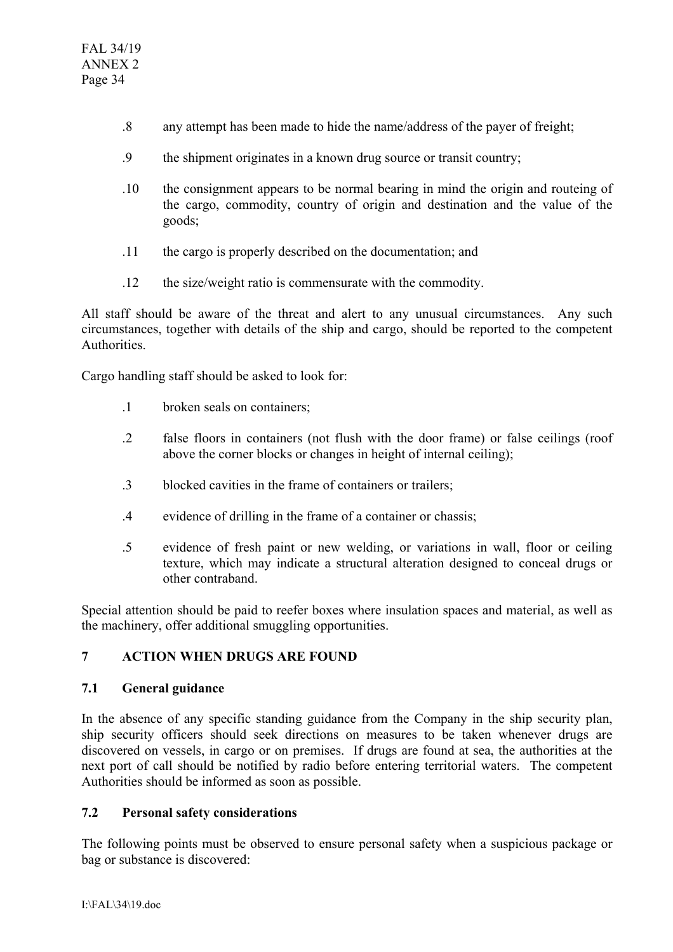- .8 any attempt has been made to hide the name/address of the payer of freight;
- .9 the shipment originates in a known drug source or transit country;
- .10 the consignment appears to be normal bearing in mind the origin and routeing of the cargo, commodity, country of origin and destination and the value of the goods;
- .11 the cargo is properly described on the documentation; and
- .12 the size/weight ratio is commensurate with the commodity.

All staff should be aware of the threat and alert to any unusual circumstances. Any such circumstances, together with details of the ship and cargo, should be reported to the competent Authorities.

Cargo handling staff should be asked to look for:

- .1 broken seals on containers;
- .2 false floors in containers (not flush with the door frame) or false ceilings (roof above the corner blocks or changes in height of internal ceiling);
- .3 blocked cavities in the frame of containers or trailers;
- .4 evidence of drilling in the frame of a container or chassis;
- .5 evidence of fresh paint or new welding, or variations in wall, floor or ceiling texture, which may indicate a structural alteration designed to conceal drugs or other contraband.

Special attention should be paid to reefer boxes where insulation spaces and material, as well as the machinery, offer additional smuggling opportunities.

# **7 ACTION WHEN DRUGS ARE FOUND**

# **7.1 General guidance**

In the absence of any specific standing guidance from the Company in the ship security plan, ship security officers should seek directions on measures to be taken whenever drugs are discovered on vessels, in cargo or on premises. If drugs are found at sea, the authorities at the next port of call should be notified by radio before entering territorial waters. The competent Authorities should be informed as soon as possible.

# **7.2 Personal safety considerations**

The following points must be observed to ensure personal safety when a suspicious package or bag or substance is discovered: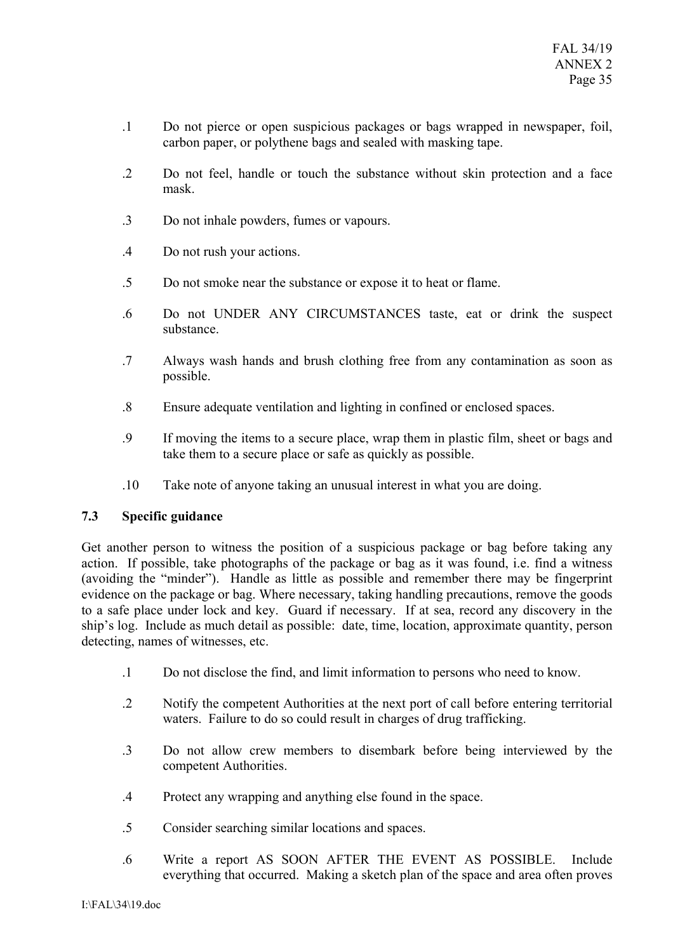- .1 Do not pierce or open suspicious packages or bags wrapped in newspaper, foil, carbon paper, or polythene bags and sealed with masking tape.
- .2 Do not feel, handle or touch the substance without skin protection and a face mask.
- .3 Do not inhale powders, fumes or vapours.
- .4 Do not rush your actions.
- .5 Do not smoke near the substance or expose it to heat or flame.
- .6 Do not UNDER ANY CIRCUMSTANCES taste, eat or drink the suspect substance.
- .7 Always wash hands and brush clothing free from any contamination as soon as possible.
- .8 Ensure adequate ventilation and lighting in confined or enclosed spaces.
- .9 If moving the items to a secure place, wrap them in plastic film, sheet or bags and take them to a secure place or safe as quickly as possible.
- .10 Take note of anyone taking an unusual interest in what you are doing.

# **7.3 Specific guidance**

Get another person to witness the position of a suspicious package or bag before taking any action. If possible, take photographs of the package or bag as it was found, i.e. find a witness (avoiding the "minder"). Handle as little as possible and remember there may be fingerprint evidence on the package or bag. Where necessary, taking handling precautions, remove the goods to a safe place under lock and key. Guard if necessary. If at sea, record any discovery in the ship's log. Include as much detail as possible: date, time, location, approximate quantity, person detecting, names of witnesses, etc.

- .1 Do not disclose the find, and limit information to persons who need to know.
- .2 Notify the competent Authorities at the next port of call before entering territorial waters. Failure to do so could result in charges of drug trafficking.
- .3 Do not allow crew members to disembark before being interviewed by the competent Authorities.
- .4 Protect any wrapping and anything else found in the space.
- .5 Consider searching similar locations and spaces.
- .6 Write a report AS SOON AFTER THE EVENT AS POSSIBLE. Include everything that occurred. Making a sketch plan of the space and area often proves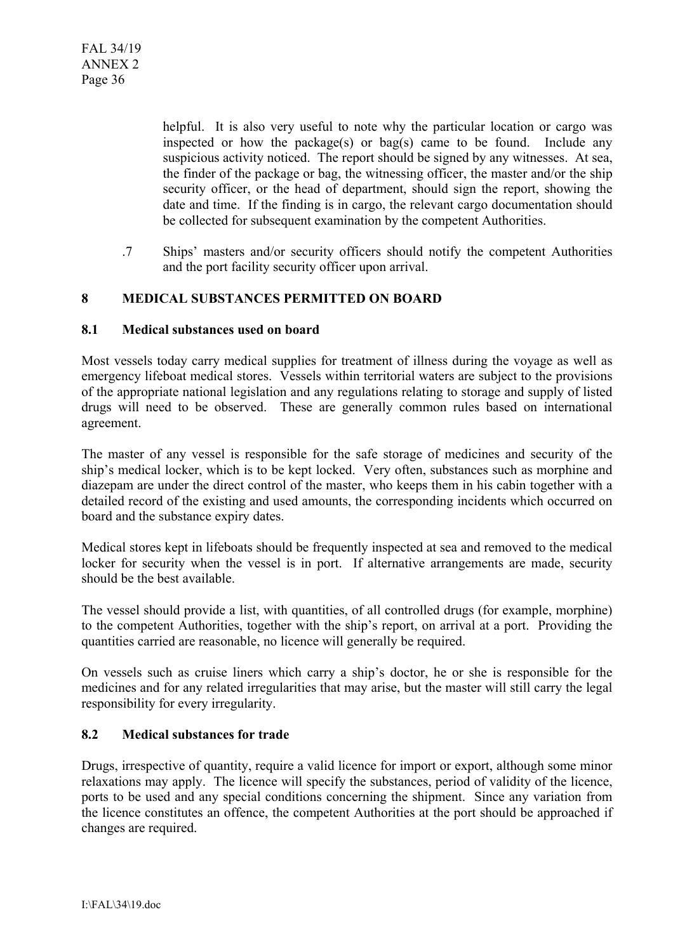helpful. It is also very useful to note why the particular location or cargo was inspected or how the package(s) or bag(s) came to be found. Include any suspicious activity noticed. The report should be signed by any witnesses. At sea, the finder of the package or bag, the witnessing officer, the master and/or the ship security officer, or the head of department, should sign the report, showing the date and time. If the finding is in cargo, the relevant cargo documentation should be collected for subsequent examination by the competent Authorities.

.7 Ships' masters and/or security officers should notify the competent Authorities and the port facility security officer upon arrival.

## **8 MEDICAL SUBSTANCES PERMITTED ON BOARD**

### **8.1 Medical substances used on board**

Most vessels today carry medical supplies for treatment of illness during the voyage as well as emergency lifeboat medical stores. Vessels within territorial waters are subject to the provisions of the appropriate national legislation and any regulations relating to storage and supply of listed drugs will need to be observed. These are generally common rules based on international agreement.

The master of any vessel is responsible for the safe storage of medicines and security of the ship's medical locker, which is to be kept locked. Very often, substances such as morphine and diazepam are under the direct control of the master, who keeps them in his cabin together with a detailed record of the existing and used amounts, the corresponding incidents which occurred on board and the substance expiry dates.

Medical stores kept in lifeboats should be frequently inspected at sea and removed to the medical locker for security when the vessel is in port. If alternative arrangements are made, security should be the best available.

The vessel should provide a list, with quantities, of all controlled drugs (for example, morphine) to the competent Authorities, together with the ship's report, on arrival at a port. Providing the quantities carried are reasonable, no licence will generally be required.

On vessels such as cruise liners which carry a ship's doctor, he or she is responsible for the medicines and for any related irregularities that may arise, but the master will still carry the legal responsibility for every irregularity.

### **8.2 Medical substances for trade**

Drugs, irrespective of quantity, require a valid licence for import or export, although some minor relaxations may apply. The licence will specify the substances, period of validity of the licence, ports to be used and any special conditions concerning the shipment. Since any variation from the licence constitutes an offence, the competent Authorities at the port should be approached if changes are required.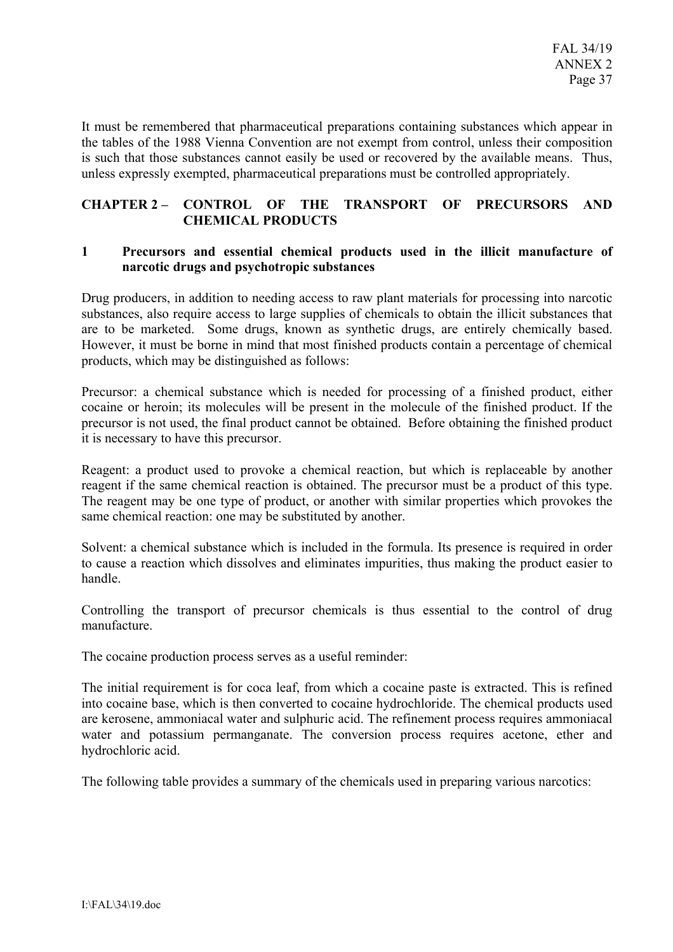It must be remembered that pharmaceutical preparations containing substances which appear in the tables of the 1988 Vienna Convention are not exempt from control, unless their composition is such that those substances cannot easily be used or recovered by the available means. Thus, unless expressly exempted, pharmaceutical preparations must be controlled appropriately.

# **CHAPTER 2 – CONTROL OF THE TRANSPORT OF PRECURSORS AND CHEMICAL PRODUCTS**

## **1 Precursors and essential chemical products used in the illicit manufacture of narcotic drugs and psychotropic substances**

Drug producers, in addition to needing access to raw plant materials for processing into narcotic substances, also require access to large supplies of chemicals to obtain the illicit substances that are to be marketed. Some drugs, known as synthetic drugs, are entirely chemically based. However, it must be borne in mind that most finished products contain a percentage of chemical products, which may be distinguished as follows:

Precursor: a chemical substance which is needed for processing of a finished product, either cocaine or heroin; its molecules will be present in the molecule of the finished product. If the precursor is not used, the final product cannot be obtained. Before obtaining the finished product it is necessary to have this precursor.

Reagent: a product used to provoke a chemical reaction, but which is replaceable by another reagent if the same chemical reaction is obtained. The precursor must be a product of this type. The reagent may be one type of product, or another with similar properties which provokes the same chemical reaction: one may be substituted by another.

Solvent: a chemical substance which is included in the formula. Its presence is required in order to cause a reaction which dissolves and eliminates impurities, thus making the product easier to handle.

Controlling the transport of precursor chemicals is thus essential to the control of drug manufacture.

The cocaine production process serves as a useful reminder:

The initial requirement is for coca leaf, from which a cocaine paste is extracted. This is refined into cocaine base, which is then converted to cocaine hydrochloride. The chemical products used are kerosene, ammoniacal water and sulphuric acid. The refinement process requires ammoniacal water and potassium permanganate. The conversion process requires acetone, ether and hydrochloric acid.

The following table provides a summary of the chemicals used in preparing various narcotics: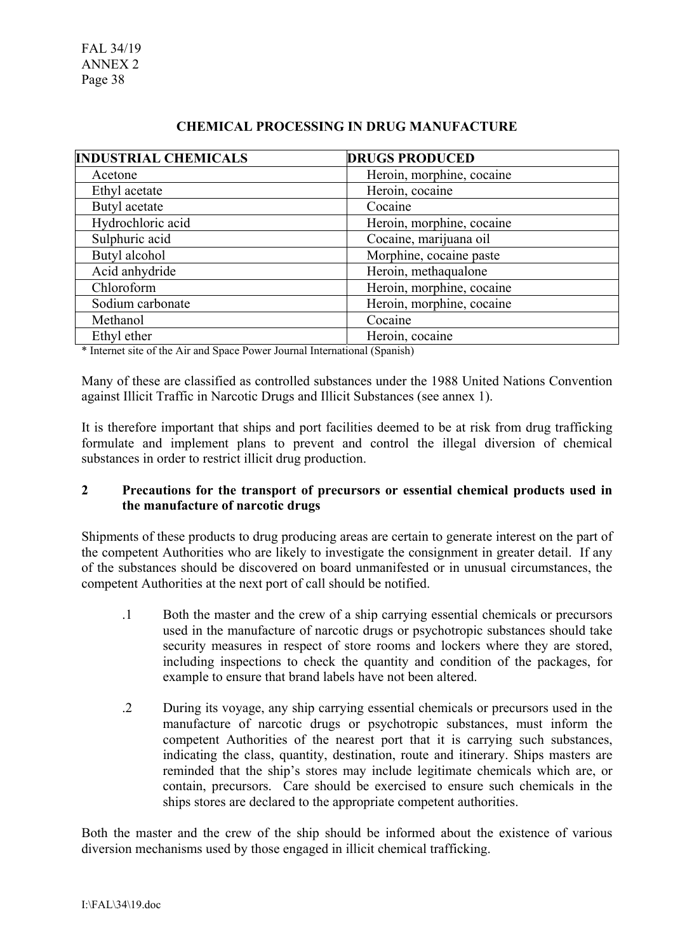FAL 34/19 ANNEX 2 Page 38

| <b>INDUSTRIAL CHEMICALS</b> | <b>DRUGS PRODUCED</b>     |
|-----------------------------|---------------------------|
| Acetone                     | Heroin, morphine, cocaine |
| Ethyl acetate               | Heroin, cocaine           |
| Butyl acetate               | Cocaine                   |
| Hydrochloric acid           | Heroin, morphine, cocaine |
| Sulphuric acid              | Cocaine, marijuana oil    |
| Butyl alcohol               | Morphine, cocaine paste   |
| Acid anhydride              | Heroin, methaqualone      |
| Chloroform                  | Heroin, morphine, cocaine |
| Sodium carbonate            | Heroin, morphine, cocaine |
| Methanol                    | Cocaine                   |
| Ethyl ether                 | Heroin, cocaine           |

## **CHEMICAL PROCESSING IN DRUG MANUFACTURE**

\* Internet site of the Air and Space Power Journal International (Spanish)

Many of these are classified as controlled substances under the 1988 United Nations Convention against Illicit Traffic in Narcotic Drugs and Illicit Substances (see annex 1).

It is therefore important that ships and port facilities deemed to be at risk from drug trafficking formulate and implement plans to prevent and control the illegal diversion of chemical substances in order to restrict illicit drug production.

# **2 Precautions for the transport of precursors or essential chemical products used in the manufacture of narcotic drugs**

Shipments of these products to drug producing areas are certain to generate interest on the part of the competent Authorities who are likely to investigate the consignment in greater detail. If any of the substances should be discovered on board unmanifested or in unusual circumstances, the competent Authorities at the next port of call should be notified.

- .1 Both the master and the crew of a ship carrying essential chemicals or precursors used in the manufacture of narcotic drugs or psychotropic substances should take security measures in respect of store rooms and lockers where they are stored, including inspections to check the quantity and condition of the packages, for example to ensure that brand labels have not been altered.
- .2 During its voyage, any ship carrying essential chemicals or precursors used in the manufacture of narcotic drugs or psychotropic substances, must inform the competent Authorities of the nearest port that it is carrying such substances, indicating the class, quantity, destination, route and itinerary. Ships masters are reminded that the ship's stores may include legitimate chemicals which are, or contain, precursors. Care should be exercised to ensure such chemicals in the ships stores are declared to the appropriate competent authorities.

Both the master and the crew of the ship should be informed about the existence of various diversion mechanisms used by those engaged in illicit chemical trafficking.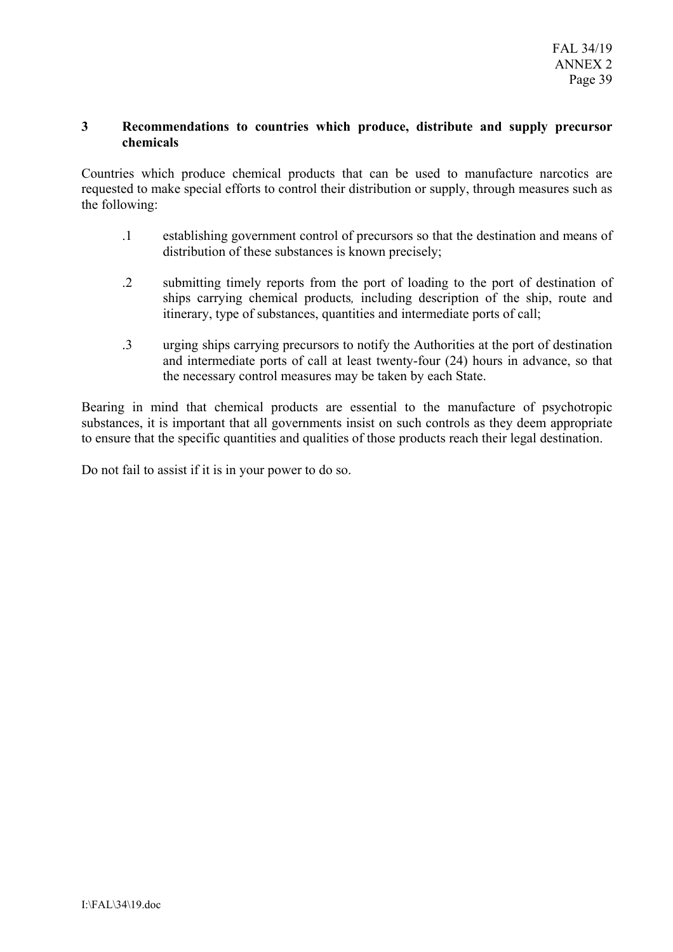## **3 Recommendations to countries which produce, distribute and supply precursor chemicals**

Countries which produce chemical products that can be used to manufacture narcotics are requested to make special efforts to control their distribution or supply, through measures such as the following:

- .1 establishing government control of precursors so that the destination and means of distribution of these substances is known precisely;
- .2 submitting timely reports from the port of loading to the port of destination of ships carrying chemical products*,* including description of the ship, route and itinerary, type of substances, quantities and intermediate ports of call;
- .3 urging ships carrying precursors to notify the Authorities at the port of destination and intermediate ports of call at least twenty-four (24) hours in advance, so that the necessary control measures may be taken by each State.

Bearing in mind that chemical products are essential to the manufacture of psychotropic substances, it is important that all governments insist on such controls as they deem appropriate to ensure that the specific quantities and qualities of those products reach their legal destination.

Do not fail to assist if it is in your power to do so.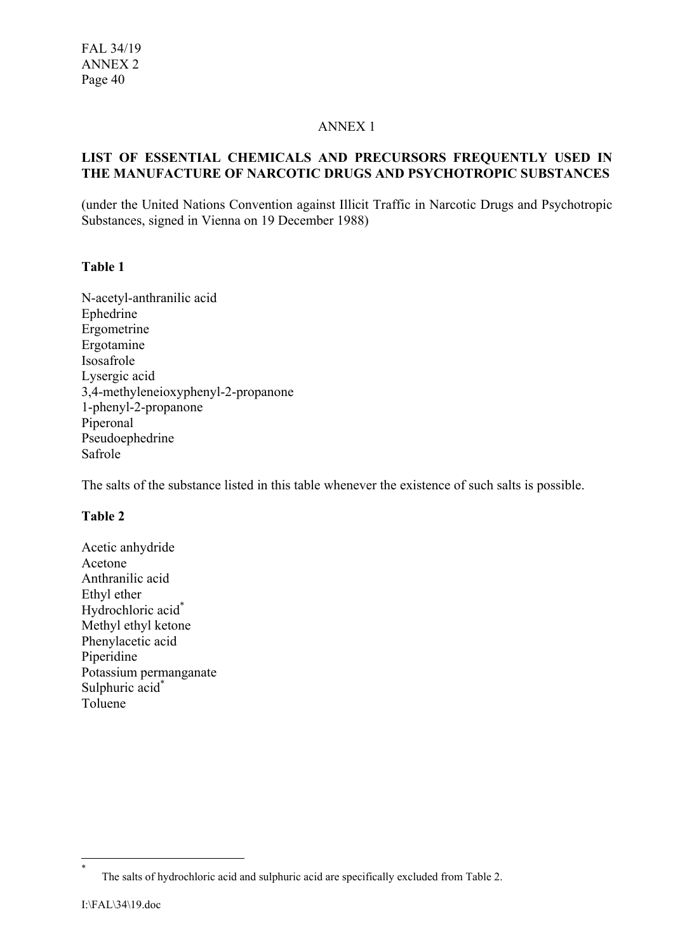### ANNEX 1

## **LIST OF ESSENTIAL CHEMICALS AND PRECURSORS FREQUENTLY USED IN THE MANUFACTURE OF NARCOTIC DRUGS AND PSYCHOTROPIC SUBSTANCES**

(under the United Nations Convention against Illicit Traffic in Narcotic Drugs and Psychotropic Substances, signed in Vienna on 19 December 1988)

# **Table 1**

N-acetyl-anthranilic acid Ephedrine Ergometrine Ergotamine Isosafrole Lysergic acid 3,4-methyleneioxyphenyl-2-propanone 1-phenyl-2-propanone Piperonal Pseudoephedrine Safrole

The salts of the substance listed in this table whenever the existence of such salts is possible.

# **Table 2**

Acetic anhydride Acetone Anthranilic acid Ethyl ether Hydrochloric acid<sup>\*</sup> Methyl ethyl ketone Phenylacetic acid Piperidine Potassium permanganate Sulphuric acid<sup>\*</sup> Toluene

\*

The salts of hydrochloric acid and sulphuric acid are specifically excluded from Table 2.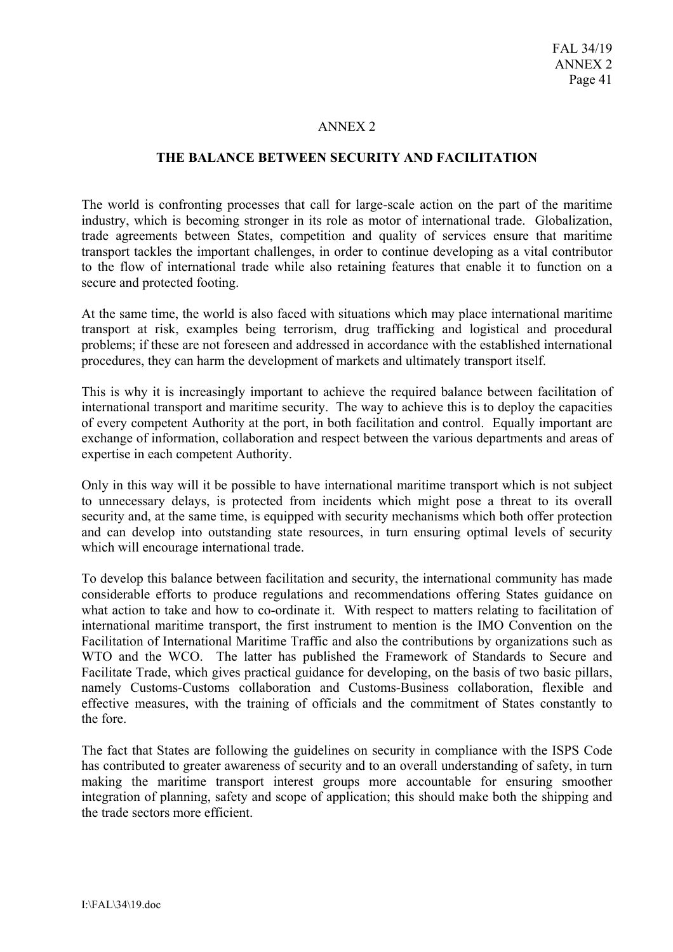### ANNEX 2

#### **THE BALANCE BETWEEN SECURITY AND FACILITATION**

The world is confronting processes that call for large-scale action on the part of the maritime industry, which is becoming stronger in its role as motor of international trade. Globalization, trade agreements between States, competition and quality of services ensure that maritime transport tackles the important challenges, in order to continue developing as a vital contributor to the flow of international trade while also retaining features that enable it to function on a secure and protected footing.

At the same time, the world is also faced with situations which may place international maritime transport at risk, examples being terrorism, drug trafficking and logistical and procedural problems; if these are not foreseen and addressed in accordance with the established international procedures, they can harm the development of markets and ultimately transport itself.

This is why it is increasingly important to achieve the required balance between facilitation of international transport and maritime security. The way to achieve this is to deploy the capacities of every competent Authority at the port, in both facilitation and control. Equally important are exchange of information, collaboration and respect between the various departments and areas of expertise in each competent Authority.

Only in this way will it be possible to have international maritime transport which is not subject to unnecessary delays, is protected from incidents which might pose a threat to its overall security and, at the same time, is equipped with security mechanisms which both offer protection and can develop into outstanding state resources, in turn ensuring optimal levels of security which will encourage international trade.

To develop this balance between facilitation and security, the international community has made considerable efforts to produce regulations and recommendations offering States guidance on what action to take and how to co-ordinate it. With respect to matters relating to facilitation of international maritime transport, the first instrument to mention is the IMO Convention on the Facilitation of International Maritime Traffic and also the contributions by organizations such as WTO and the WCO. The latter has published the Framework of Standards to Secure and Facilitate Trade, which gives practical guidance for developing, on the basis of two basic pillars, namely Customs-Customs collaboration and Customs-Business collaboration, flexible and effective measures, with the training of officials and the commitment of States constantly to the fore.

The fact that States are following the guidelines on security in compliance with the ISPS Code has contributed to greater awareness of security and to an overall understanding of safety, in turn making the maritime transport interest groups more accountable for ensuring smoother integration of planning, safety and scope of application; this should make both the shipping and the trade sectors more efficient.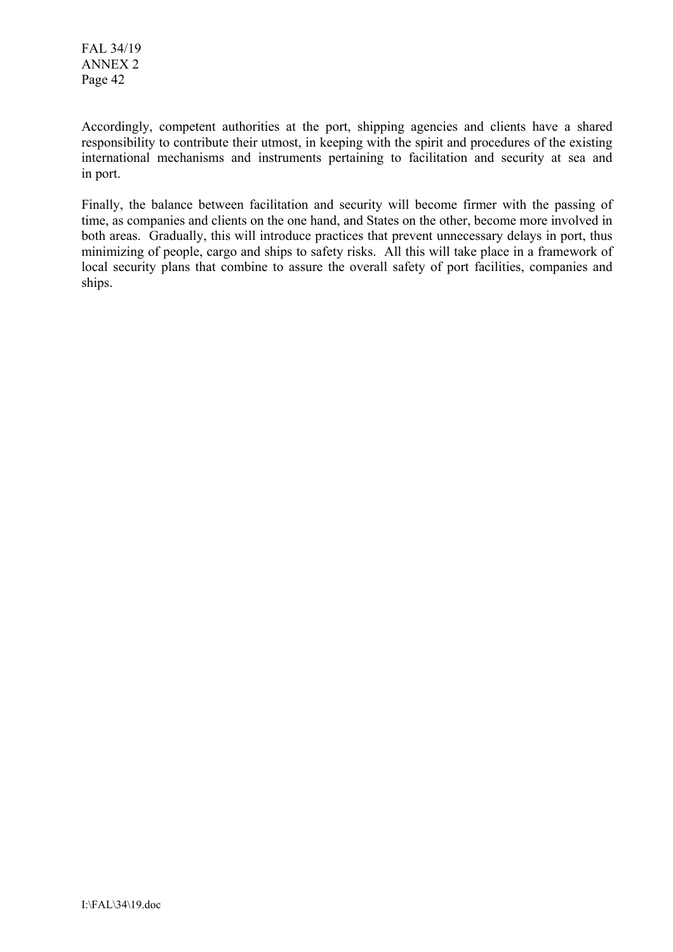FAL 34/19 ANNEX 2 Page 42

Accordingly, competent authorities at the port, shipping agencies and clients have a shared responsibility to contribute their utmost, in keeping with the spirit and procedures of the existing international mechanisms and instruments pertaining to facilitation and security at sea and in port.

Finally, the balance between facilitation and security will become firmer with the passing of time, as companies and clients on the one hand, and States on the other, become more involved in both areas. Gradually, this will introduce practices that prevent unnecessary delays in port, thus minimizing of people, cargo and ships to safety risks. All this will take place in a framework of local security plans that combine to assure the overall safety of port facilities, companies and ships.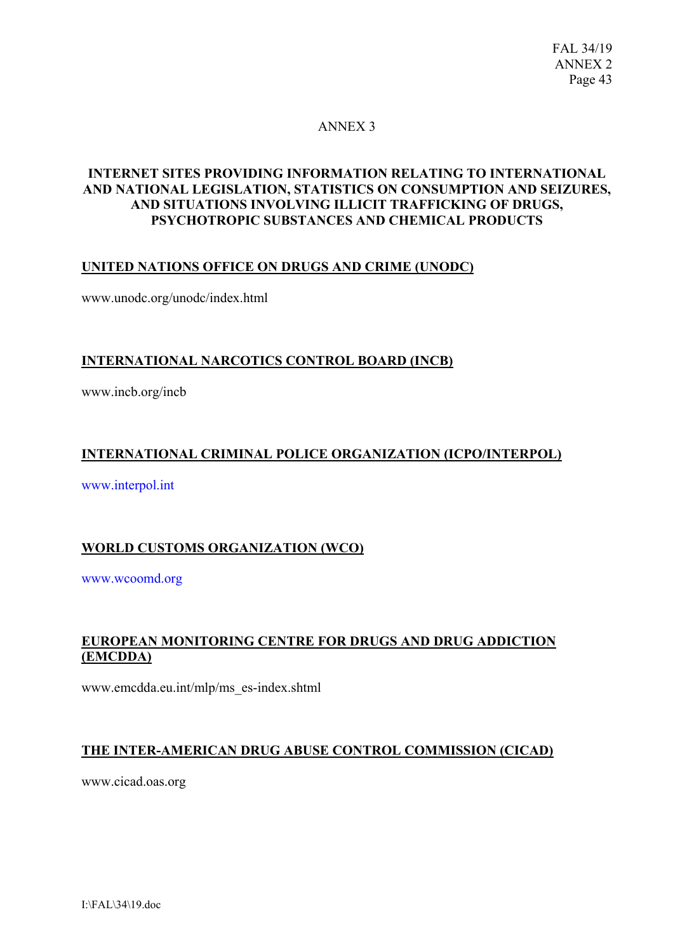# ANNEX 3

# **INTERNET SITES PROVIDING INFORMATION RELATING TO INTERNATIONAL AND NATIONAL LEGISLATION, STATISTICS ON CONSUMPTION AND SEIZURES, AND SITUATIONS INVOLVING ILLICIT TRAFFICKING OF DRUGS, PSYCHOTROPIC SUBSTANCES AND CHEMICAL PRODUCTS**

# **UNITED NATIONS OFFICE ON DRUGS AND CRIME (UNODC)**

www.unodc.org/unodc/index.html

## **INTERNATIONAL NARCOTICS CONTROL BOARD (INCB)**

www.incb.org/incb

# **INTERNATIONAL CRIMINAL POLICE ORGANIZATION (ICPO/INTERPOL)**

www.interpol.int

# **WORLD CUSTOMS ORGANIZATION (WCO)**

www.wcoomd.org

# **EUROPEAN MONITORING CENTRE FOR DRUGS AND DRUG ADDICTION (EMCDDA)**

www.emcdda.eu.int/mlp/ms\_es-index.shtml

# **THE INTER-AMERICAN DRUG ABUSE CONTROL COMMISSION (CICAD)**

www.cicad.oas.org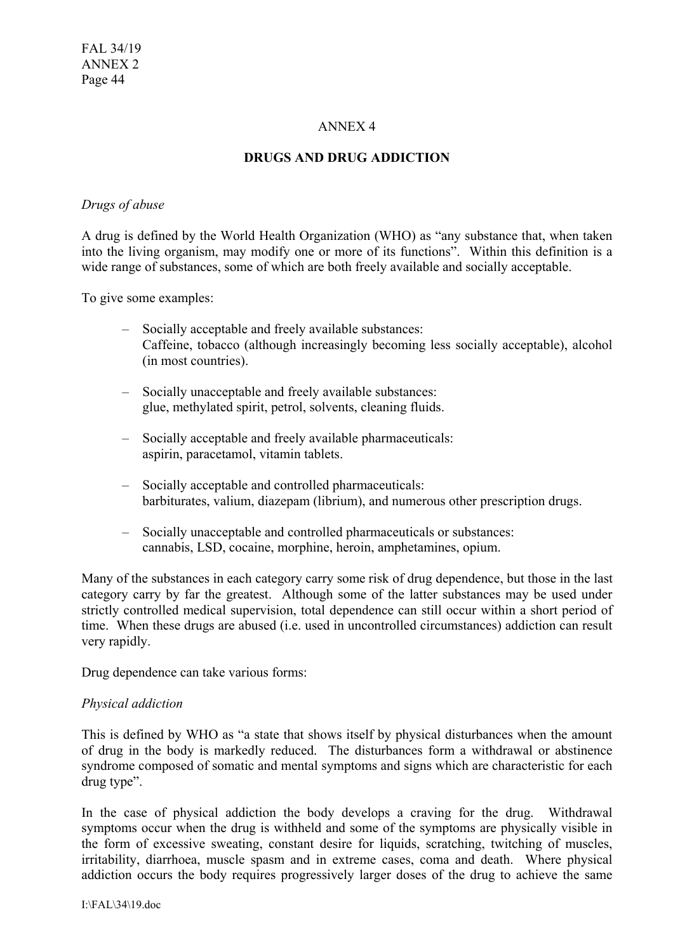## ANNEX 4

## **DRUGS AND DRUG ADDICTION**

#### *Drugs of abuse*

A drug is defined by the World Health Organization (WHO) as "any substance that, when taken into the living organism, may modify one or more of its functions". Within this definition is a wide range of substances, some of which are both freely available and socially acceptable.

To give some examples:

- Socially acceptable and freely available substances: Caffeine, tobacco (although increasingly becoming less socially acceptable), alcohol (in most countries).
- Socially unacceptable and freely available substances: glue, methylated spirit, petrol, solvents, cleaning fluids.
- Socially acceptable and freely available pharmaceuticals: aspirin, paracetamol, vitamin tablets.
- Socially acceptable and controlled pharmaceuticals: barbiturates, valium, diazepam (librium), and numerous other prescription drugs.
- Socially unacceptable and controlled pharmaceuticals or substances: cannabis, LSD, cocaine, morphine, heroin, amphetamines, opium.

Many of the substances in each category carry some risk of drug dependence, but those in the last category carry by far the greatest. Although some of the latter substances may be used under strictly controlled medical supervision, total dependence can still occur within a short period of time. When these drugs are abused (i.e. used in uncontrolled circumstances) addiction can result very rapidly.

Drug dependence can take various forms:

### *Physical addiction*

This is defined by WHO as "a state that shows itself by physical disturbances when the amount of drug in the body is markedly reduced. The disturbances form a withdrawal or abstinence syndrome composed of somatic and mental symptoms and signs which are characteristic for each drug type".

In the case of physical addiction the body develops a craving for the drug. Withdrawal symptoms occur when the drug is withheld and some of the symptoms are physically visible in the form of excessive sweating, constant desire for liquids, scratching, twitching of muscles, irritability, diarrhoea, muscle spasm and in extreme cases, coma and death. Where physical addiction occurs the body requires progressively larger doses of the drug to achieve the same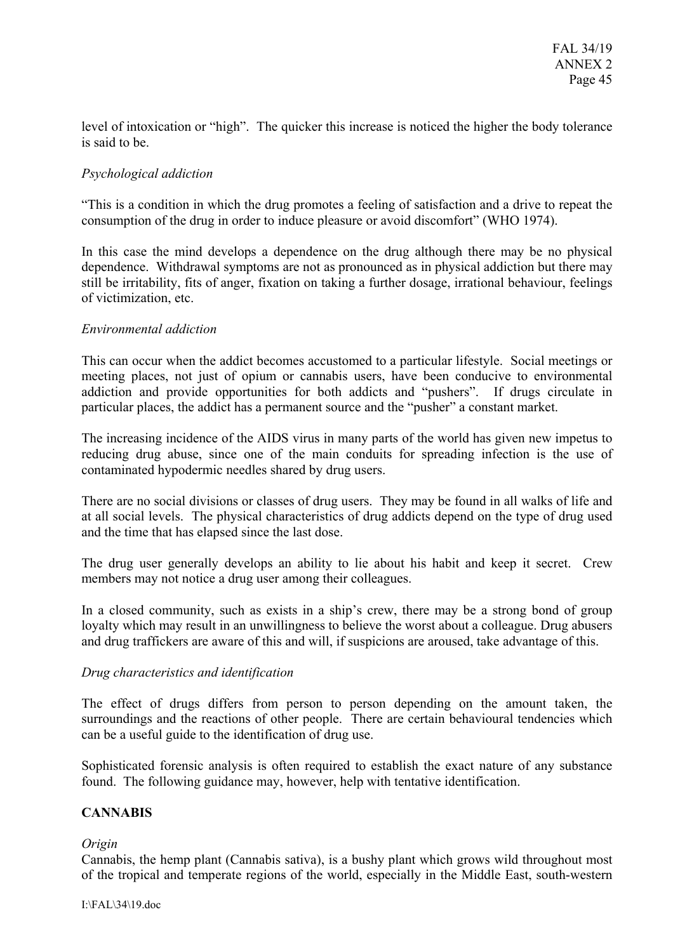level of intoxication or "high". The quicker this increase is noticed the higher the body tolerance is said to be.

# *Psychological addiction*

"This is a condition in which the drug promotes a feeling of satisfaction and a drive to repeat the consumption of the drug in order to induce pleasure or avoid discomfort" (WHO 1974).

In this case the mind develops a dependence on the drug although there may be no physical dependence. Withdrawal symptoms are not as pronounced as in physical addiction but there may still be irritability, fits of anger, fixation on taking a further dosage, irrational behaviour, feelings of victimization, etc.

# *Environmental addiction*

This can occur when the addict becomes accustomed to a particular lifestyle. Social meetings or meeting places, not just of opium or cannabis users, have been conducive to environmental addiction and provide opportunities for both addicts and "pushers". If drugs circulate in particular places, the addict has a permanent source and the "pusher" a constant market.

The increasing incidence of the AIDS virus in many parts of the world has given new impetus to reducing drug abuse, since one of the main conduits for spreading infection is the use of contaminated hypodermic needles shared by drug users.

There are no social divisions or classes of drug users. They may be found in all walks of life and at all social levels. The physical characteristics of drug addicts depend on the type of drug used and the time that has elapsed since the last dose.

The drug user generally develops an ability to lie about his habit and keep it secret. Crew members may not notice a drug user among their colleagues.

In a closed community, such as exists in a ship's crew, there may be a strong bond of group loyalty which may result in an unwillingness to believe the worst about a colleague. Drug abusers and drug traffickers are aware of this and will, if suspicions are aroused, take advantage of this.

### *Drug characteristics and identification*

The effect of drugs differs from person to person depending on the amount taken, the surroundings and the reactions of other people. There are certain behavioural tendencies which can be a useful guide to the identification of drug use.

Sophisticated forensic analysis is often required to establish the exact nature of any substance found. The following guidance may, however, help with tentative identification.

### **CANNABIS**

### *Origin*

Cannabis, the hemp plant (Cannabis sativa), is a bushy plant which grows wild throughout most of the tropical and temperate regions of the world, especially in the Middle East, south-western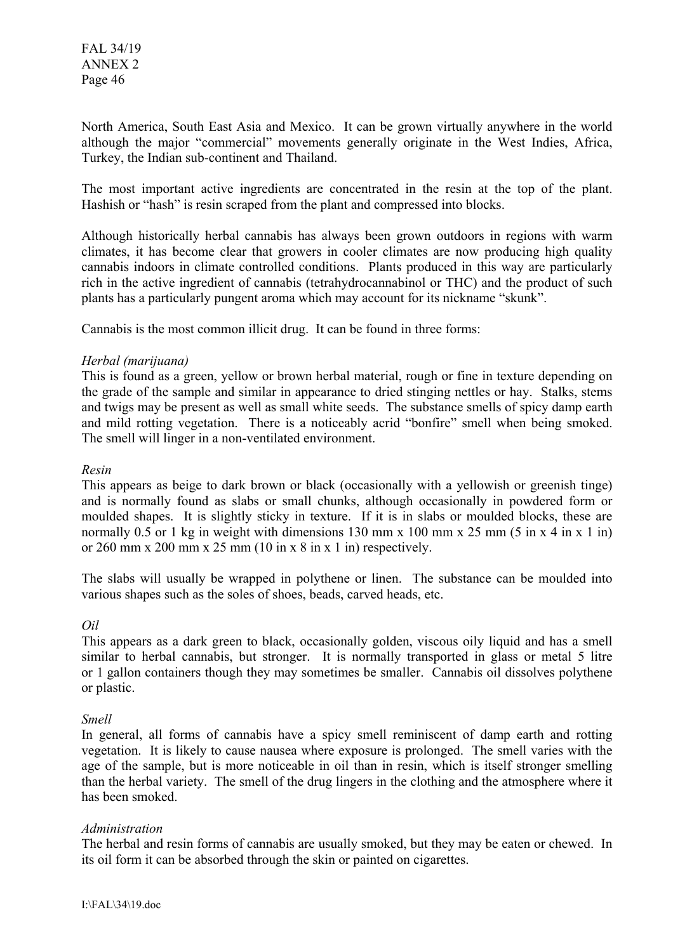FAL 34/19 ANNEX 2 Page 46

North America, South East Asia and Mexico. It can be grown virtually anywhere in the world although the major "commercial" movements generally originate in the West Indies, Africa, Turkey, the Indian sub-continent and Thailand.

The most important active ingredients are concentrated in the resin at the top of the plant. Hashish or "hash" is resin scraped from the plant and compressed into blocks.

Although historically herbal cannabis has always been grown outdoors in regions with warm climates, it has become clear that growers in cooler climates are now producing high quality cannabis indoors in climate controlled conditions. Plants produced in this way are particularly rich in the active ingredient of cannabis (tetrahydrocannabinol or THC) and the product of such plants has a particularly pungent aroma which may account for its nickname "skunk".

Cannabis is the most common illicit drug. It can be found in three forms:

### *Herbal (marijuana)*

This is found as a green, yellow or brown herbal material, rough or fine in texture depending on the grade of the sample and similar in appearance to dried stinging nettles or hay. Stalks, stems and twigs may be present as well as small white seeds. The substance smells of spicy damp earth and mild rotting vegetation. There is a noticeably acrid "bonfire" smell when being smoked. The smell will linger in a non-ventilated environment.

#### *Resin*

This appears as beige to dark brown or black (occasionally with a yellowish or greenish tinge) and is normally found as slabs or small chunks, although occasionally in powdered form or moulded shapes. It is slightly sticky in texture. If it is in slabs or moulded blocks, these are normally 0.5 or 1 kg in weight with dimensions 130 mm x 100 mm x 25 mm  $(5 \text{ in } x 4 \text{ in } x 1 \text{ in})$ or 260 mm x 200 mm x 25 mm (10 in x 8 in x 1 in) respectively.

The slabs will usually be wrapped in polythene or linen. The substance can be moulded into various shapes such as the soles of shoes, beads, carved heads, etc.

### *Oil*

This appears as a dark green to black, occasionally golden, viscous oily liquid and has a smell similar to herbal cannabis, but stronger. It is normally transported in glass or metal 5 litre or 1 gallon containers though they may sometimes be smaller. Cannabis oil dissolves polythene or plastic.

#### *Smell*

In general, all forms of cannabis have a spicy smell reminiscent of damp earth and rotting vegetation. It is likely to cause nausea where exposure is prolonged. The smell varies with the age of the sample, but is more noticeable in oil than in resin, which is itself stronger smelling than the herbal variety. The smell of the drug lingers in the clothing and the atmosphere where it has been smoked.

### *Administration*

The herbal and resin forms of cannabis are usually smoked, but they may be eaten or chewed. In its oil form it can be absorbed through the skin or painted on cigarettes.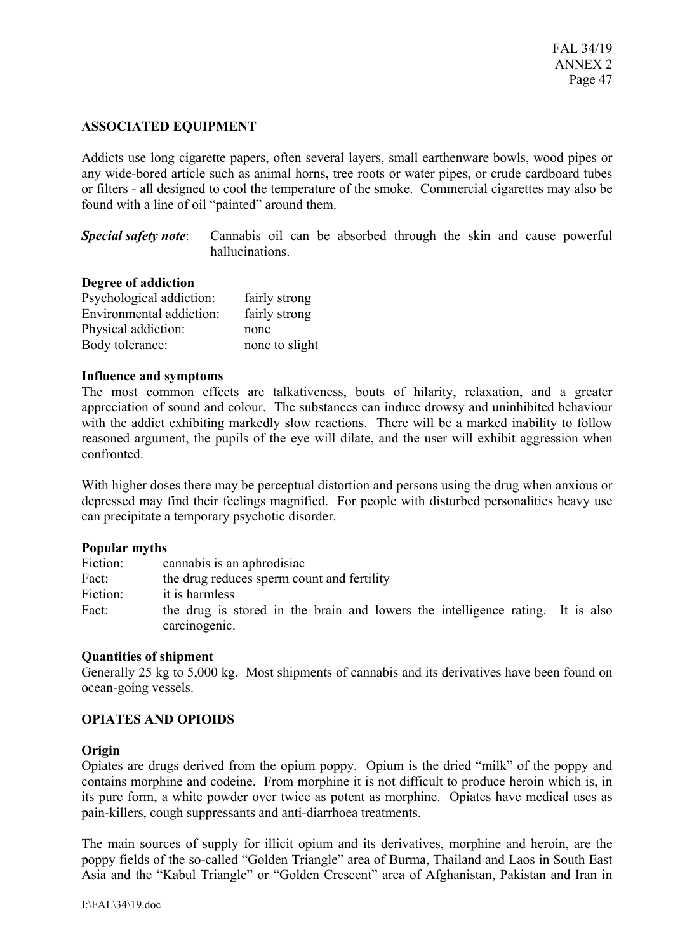### **ASSOCIATED EQUIPMENT**

Addicts use long cigarette papers, often several layers, small earthenware bowls, wood pipes or any wide-bored article such as animal horns, tree roots or water pipes, or crude cardboard tubes or filters - all designed to cool the temperature of the smoke. Commercial cigarettes may also be found with a line of oil "painted" around them.

*Special safety note*: Cannabis oil can be absorbed through the skin and cause powerful hallucinations.

#### **Degree of addiction**

| Psychological addiction: | fairly strong  |
|--------------------------|----------------|
| Environmental addiction: | fairly strong  |
| Physical addiction:      | none           |
| Body tolerance:          | none to slight |

#### **Influence and symptoms**

The most common effects are talkativeness, bouts of hilarity, relaxation, and a greater appreciation of sound and colour. The substances can induce drowsy and uninhibited behaviour with the addict exhibiting markedly slow reactions. There will be a marked inability to follow reasoned argument, the pupils of the eye will dilate, and the user will exhibit aggression when confronted.

With higher doses there may be perceptual distortion and persons using the drug when anxious or depressed may find their feelings magnified. For people with disturbed personalities heavy use can precipitate a temporary psychotic disorder.

#### **Popular myths**

| Fiction: | cannabis is an aphrodisiac                                                     |  |
|----------|--------------------------------------------------------------------------------|--|
| Fact:    | the drug reduces sperm count and fertility                                     |  |
| Fiction: | it is harmless                                                                 |  |
| Fact:    | the drug is stored in the brain and lowers the intelligence rating. It is also |  |
|          | carcinogenic.                                                                  |  |

### **Quantities of shipment**

Generally 25 kg to 5,000 kg. Most shipments of cannabis and its derivatives have been found on ocean-going vessels.

### **OPIATES AND OPIOIDS**

#### **Origin**

Opiates are drugs derived from the opium poppy. Opium is the dried "milk" of the poppy and contains morphine and codeine. From morphine it is not difficult to produce heroin which is, in its pure form, a white powder over twice as potent as morphine. Opiates have medical uses as pain-killers, cough suppressants and anti-diarrhoea treatments.

The main sources of supply for illicit opium and its derivatives, morphine and heroin, are the poppy fields of the so-called "Golden Triangle" area of Burma, Thailand and Laos in South East Asia and the "Kabul Triangle" or "Golden Crescent" area of Afghanistan, Pakistan and Iran in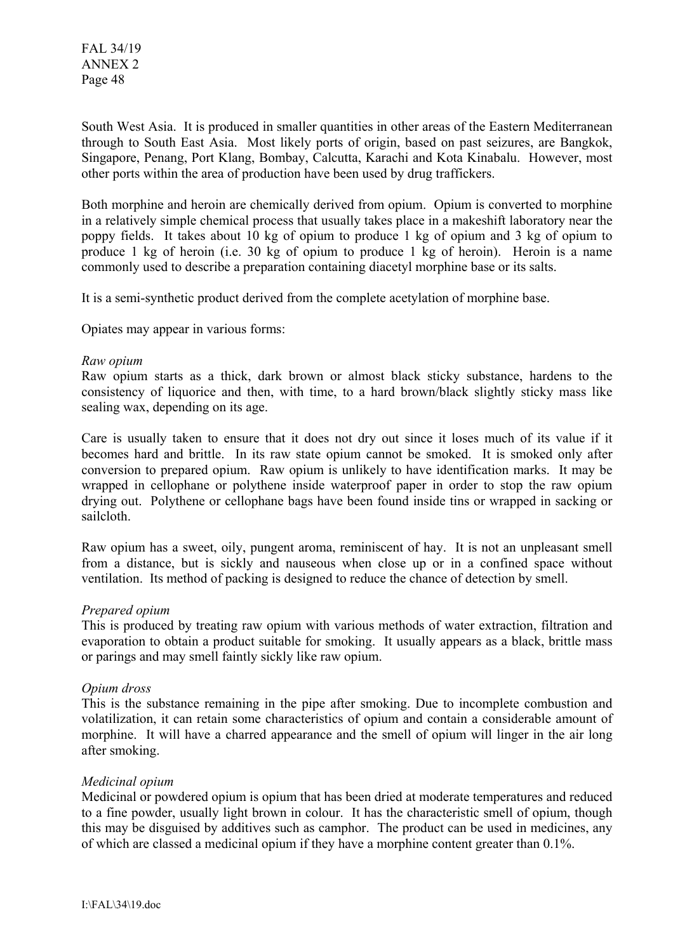FAL 34/19 ANNEX 2 Page 48

South West Asia. It is produced in smaller quantities in other areas of the Eastern Mediterranean through to South East Asia. Most likely ports of origin, based on past seizures, are Bangkok, Singapore, Penang, Port Klang, Bombay, Calcutta, Karachi and Kota Kinabalu. However, most other ports within the area of production have been used by drug traffickers.

Both morphine and heroin are chemically derived from opium. Opium is converted to morphine in a relatively simple chemical process that usually takes place in a makeshift laboratory near the poppy fields. It takes about 10 kg of opium to produce 1 kg of opium and 3 kg of opium to produce 1 kg of heroin (i.e. 30 kg of opium to produce 1 kg of heroin). Heroin is a name commonly used to describe a preparation containing diacetyl morphine base or its salts.

It is a semi-synthetic product derived from the complete acetylation of morphine base.

Opiates may appear in various forms:

#### *Raw opium*

Raw opium starts as a thick, dark brown or almost black sticky substance, hardens to the consistency of liquorice and then, with time, to a hard brown/black slightly sticky mass like sealing wax, depending on its age.

Care is usually taken to ensure that it does not dry out since it loses much of its value if it becomes hard and brittle. In its raw state opium cannot be smoked. It is smoked only after conversion to prepared opium. Raw opium is unlikely to have identification marks. It may be wrapped in cellophane or polythene inside waterproof paper in order to stop the raw opium drying out. Polythene or cellophane bags have been found inside tins or wrapped in sacking or sailcloth.

Raw opium has a sweet, oily, pungent aroma, reminiscent of hay. It is not an unpleasant smell from a distance, but is sickly and nauseous when close up or in a confined space without ventilation. Its method of packing is designed to reduce the chance of detection by smell.

#### *Prepared opium*

This is produced by treating raw opium with various methods of water extraction, filtration and evaporation to obtain a product suitable for smoking. It usually appears as a black, brittle mass or parings and may smell faintly sickly like raw opium.

#### *Opium dross*

This is the substance remaining in the pipe after smoking. Due to incomplete combustion and volatilization, it can retain some characteristics of opium and contain a considerable amount of morphine. It will have a charred appearance and the smell of opium will linger in the air long after smoking.

### *Medicinal opium*

Medicinal or powdered opium is opium that has been dried at moderate temperatures and reduced to a fine powder, usually light brown in colour. It has the characteristic smell of opium, though this may be disguised by additives such as camphor. The product can be used in medicines, any of which are classed a medicinal opium if they have a morphine content greater than 0.1%.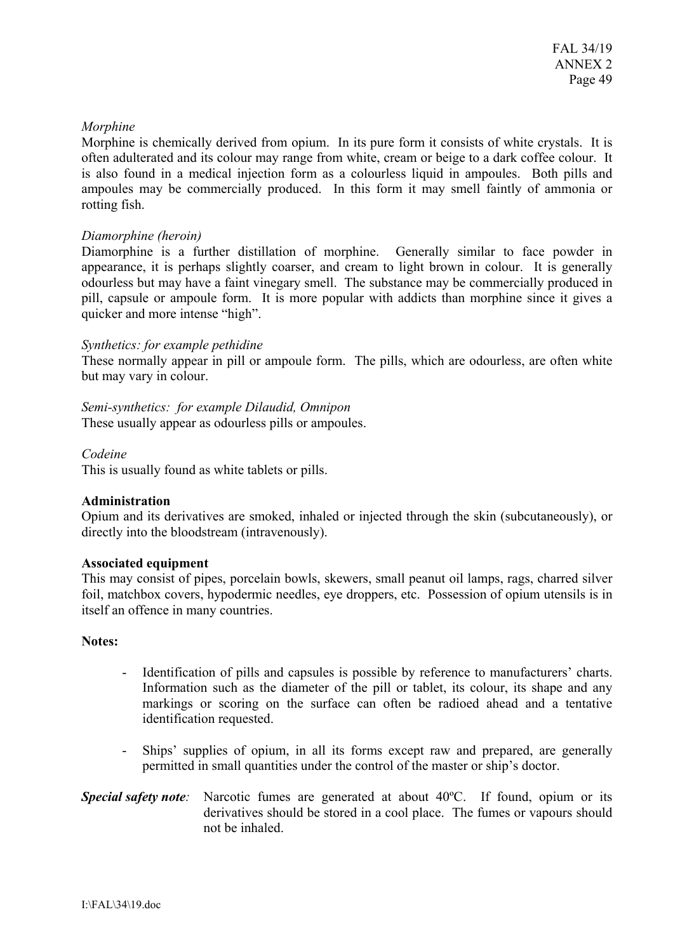### *Morphine*

Morphine is chemically derived from opium. In its pure form it consists of white crystals. It is often adulterated and its colour may range from white, cream or beige to a dark coffee colour. It is also found in a medical injection form as a colourless liquid in ampoules. Both pills and ampoules may be commercially produced. In this form it may smell faintly of ammonia or rotting fish.

### *Diamorphine (heroin)*

Diamorphine is a further distillation of morphine. Generally similar to face powder in appearance, it is perhaps slightly coarser, and cream to light brown in colour. It is generally odourless but may have a faint vinegary smell. The substance may be commercially produced in pill, capsule or ampoule form. It is more popular with addicts than morphine since it gives a quicker and more intense "high".

### *Synthetics: for example pethidine*

These normally appear in pill or ampoule form. The pills, which are odourless, are often white but may vary in colour.

*Semi-synthetics: for example Dilaudid, Omnipon*  These usually appear as odourless pills or ampoules.

### *Codeine*

This is usually found as white tablets or pills.

### **Administration**

Opium and its derivatives are smoked, inhaled or injected through the skin (subcutaneously), or directly into the bloodstream (intravenously).

#### **Associated equipment**

This may consist of pipes, porcelain bowls, skewers, small peanut oil lamps, rags, charred silver foil, matchbox covers, hypodermic needles, eye droppers, etc. Possession of opium utensils is in itself an offence in many countries.

#### **Notes:**

- Identification of pills and capsules is possible by reference to manufacturers' charts. Information such as the diameter of the pill or tablet, its colour, its shape and any markings or scoring on the surface can often be radioed ahead and a tentative identification requested.
- Ships' supplies of opium, in all its forms except raw and prepared, are generally permitted in small quantities under the control of the master or ship's doctor.
- *Special safety note:* Narcotic fumes are generated at about 40ºC. If found, opium or its derivatives should be stored in a cool place. The fumes or vapours should not be inhaled.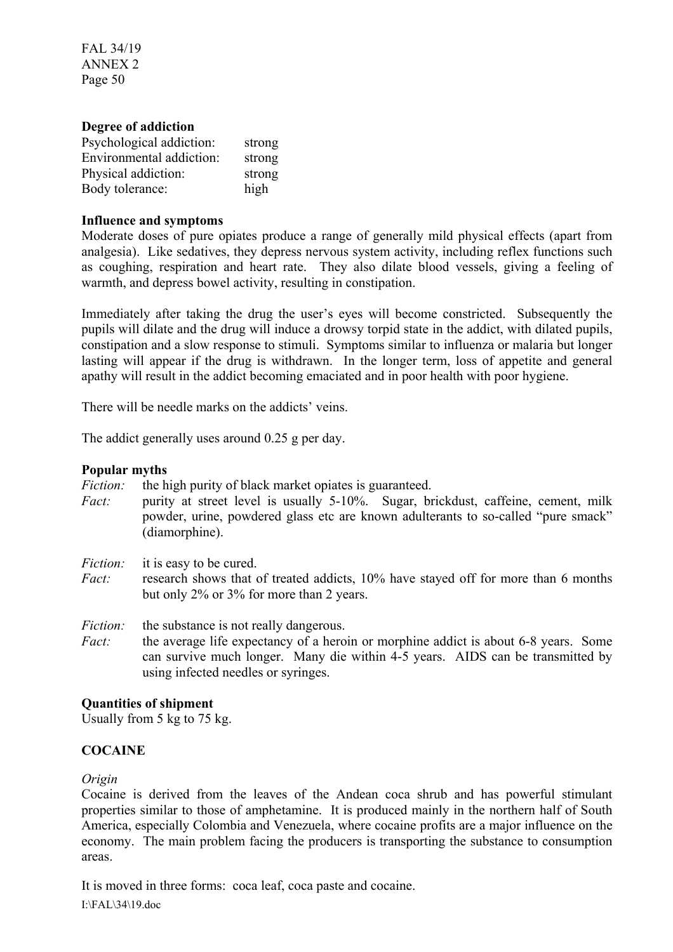FAL 34/19 ANNEX 2 Page 50

#### **Degree of addiction**

| Psychological addiction: | strong |
|--------------------------|--------|
| Environmental addiction: | strong |
| Physical addiction:      | strong |
| Body tolerance:          | high   |

#### **Influence and symptoms**

Moderate doses of pure opiates produce a range of generally mild physical effects (apart from analgesia). Like sedatives, they depress nervous system activity, including reflex functions such as coughing, respiration and heart rate. They also dilate blood vessels, giving a feeling of warmth, and depress bowel activity, resulting in constipation.

Immediately after taking the drug the user's eyes will become constricted. Subsequently the pupils will dilate and the drug will induce a drowsy torpid state in the addict, with dilated pupils, constipation and a slow response to stimuli. Symptoms similar to influenza or malaria but longer lasting will appear if the drug is withdrawn. In the longer term, loss of appetite and general apathy will result in the addict becoming emaciated and in poor health with poor hygiene.

There will be needle marks on the addicts' veins.

The addict generally uses around 0.25 g per day.

#### **Popular myths**

*Fiction:* the high purity of black market opiates is guaranteed.

- *Fact:* purity at street level is usually 5-10%. Sugar, brickdust, caffeine, cement, milk powder, urine, powdered glass etc are known adulterants to so-called "pure smack" (diamorphine).
- *Fiction:* it is easy to be cured.
- *Fact:* research shows that of treated addicts, 10% have stayed off for more than 6 months but only 2% or 3% for more than 2 years.
- *Fiction:* the substance is not really dangerous.
- *Fact:* the average life expectancy of a heroin or morphine addict is about 6-8 years. Some can survive much longer. Many die within 4-5 years. AIDS can be transmitted by using infected needles or syringes.

### **Quantities of shipment**

Usually from 5 kg to 75 kg.

# **COCAINE**

#### *Origin*

Cocaine is derived from the leaves of the Andean coca shrub and has powerful stimulant properties similar to those of amphetamine. It is produced mainly in the northern half of South America, especially Colombia and Venezuela, where cocaine profits are a major influence on the economy. The main problem facing the producers is transporting the substance to consumption areas.

It is moved in three forms: coca leaf, coca paste and cocaine.

I:\FAL\34\19.doc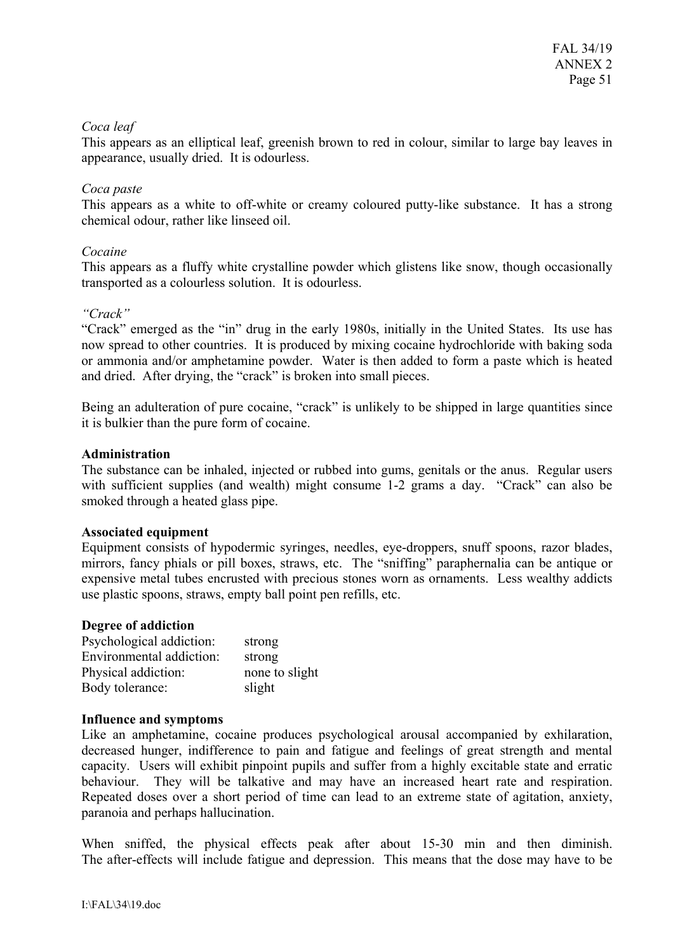### *Coca leaf*

This appears as an elliptical leaf, greenish brown to red in colour, similar to large bay leaves in appearance, usually dried. It is odourless.

## *Coca paste*

This appears as a white to off-white or creamy coloured putty-like substance. It has a strong chemical odour, rather like linseed oil.

## *Cocaine*

This appears as a fluffy white crystalline powder which glistens like snow, though occasionally transported as a colourless solution. It is odourless.

## *"Crack"*

"Crack" emerged as the "in" drug in the early 1980s, initially in the United States. Its use has now spread to other countries. It is produced by mixing cocaine hydrochloride with baking soda or ammonia and/or amphetamine powder. Water is then added to form a paste which is heated and dried. After drying, the "crack" is broken into small pieces.

Being an adulteration of pure cocaine, "crack" is unlikely to be shipped in large quantities since it is bulkier than the pure form of cocaine.

## **Administration**

The substance can be inhaled, injected or rubbed into gums, genitals or the anus. Regular users with sufficient supplies (and wealth) might consume 1-2 grams a day. "Crack" can also be smoked through a heated glass pipe.

### **Associated equipment**

Equipment consists of hypodermic syringes, needles, eye-droppers, snuff spoons, razor blades, mirrors, fancy phials or pill boxes, straws, etc. The "sniffing" paraphernalia can be antique or expensive metal tubes encrusted with precious stones worn as ornaments. Less wealthy addicts use plastic spoons, straws, empty ball point pen refills, etc.

### **Degree of addiction**

| Psychological addiction: | strong         |
|--------------------------|----------------|
| Environmental addiction: | strong         |
| Physical addiction:      | none to slight |
| Body tolerance:          | slight         |

### **Influence and symptoms**

Like an amphetamine, cocaine produces psychological arousal accompanied by exhilaration, decreased hunger, indifference to pain and fatigue and feelings of great strength and mental capacity. Users will exhibit pinpoint pupils and suffer from a highly excitable state and erratic behaviour. They will be talkative and may have an increased heart rate and respiration. Repeated doses over a short period of time can lead to an extreme state of agitation, anxiety, paranoia and perhaps hallucination.

When sniffed, the physical effects peak after about 15-30 min and then diminish. The after-effects will include fatigue and depression. This means that the dose may have to be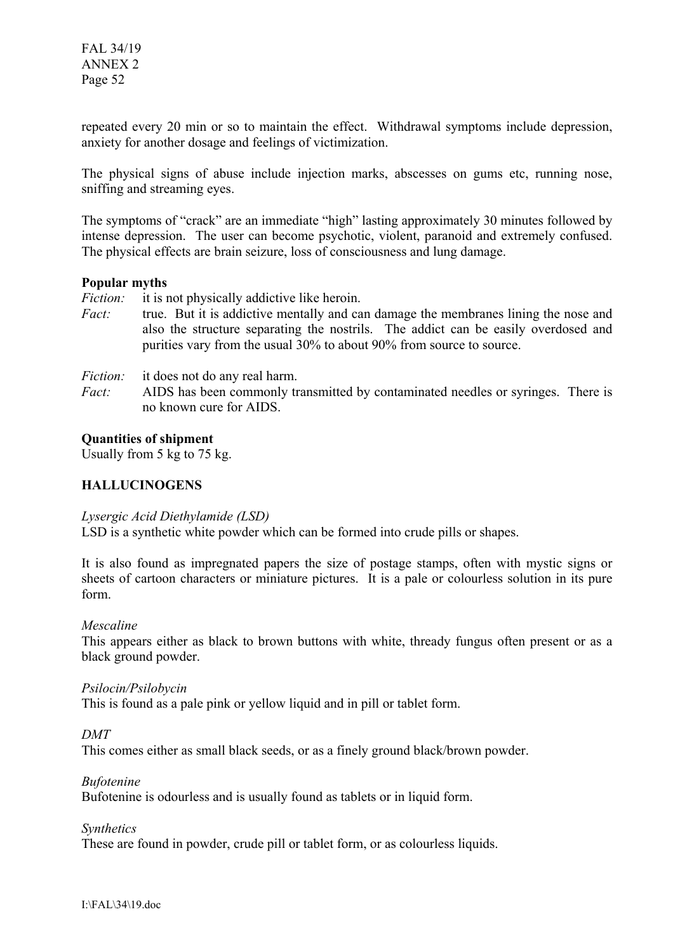repeated every 20 min or so to maintain the effect. Withdrawal symptoms include depression, anxiety for another dosage and feelings of victimization.

The physical signs of abuse include injection marks, abscesses on gums etc, running nose, sniffing and streaming eyes.

The symptoms of "crack" are an immediate "high" lasting approximately 30 minutes followed by intense depression. The user can become psychotic, violent, paranoid and extremely confused. The physical effects are brain seizure, loss of consciousness and lung damage.

### **Popular myths**

*Fiction:* it is not physically addictive like heroin.

*Fact:* true. But it is addictive mentally and can damage the membranes lining the nose and also the structure separating the nostrils. The addict can be easily overdosed and purities vary from the usual 30% to about 90% from source to source.

*Fiction:* it does not do any real harm.

*Fact:* AIDS has been commonly transmitted by contaminated needles or syringes. There is no known cure for AIDS.

### **Quantities of shipment**

Usually from 5 kg to 75 kg.

### **HALLUCINOGENS**

#### *Lysergic Acid Diethylamide (LSD)*

LSD is a synthetic white powder which can be formed into crude pills or shapes.

It is also found as impregnated papers the size of postage stamps, often with mystic signs or sheets of cartoon characters or miniature pictures. It is a pale or colourless solution in its pure form.

### *Mescaline*

This appears either as black to brown buttons with white, thready fungus often present or as a black ground powder.

#### *Psilocin/Psilobycin*

This is found as a pale pink or yellow liquid and in pill or tablet form.

*DMT* 

This comes either as small black seeds, or as a finely ground black/brown powder.

### *Bufotenine*

Bufotenine is odourless and is usually found as tablets or in liquid form.

*Synthetics* 

These are found in powder, crude pill or tablet form, or as colourless liquids.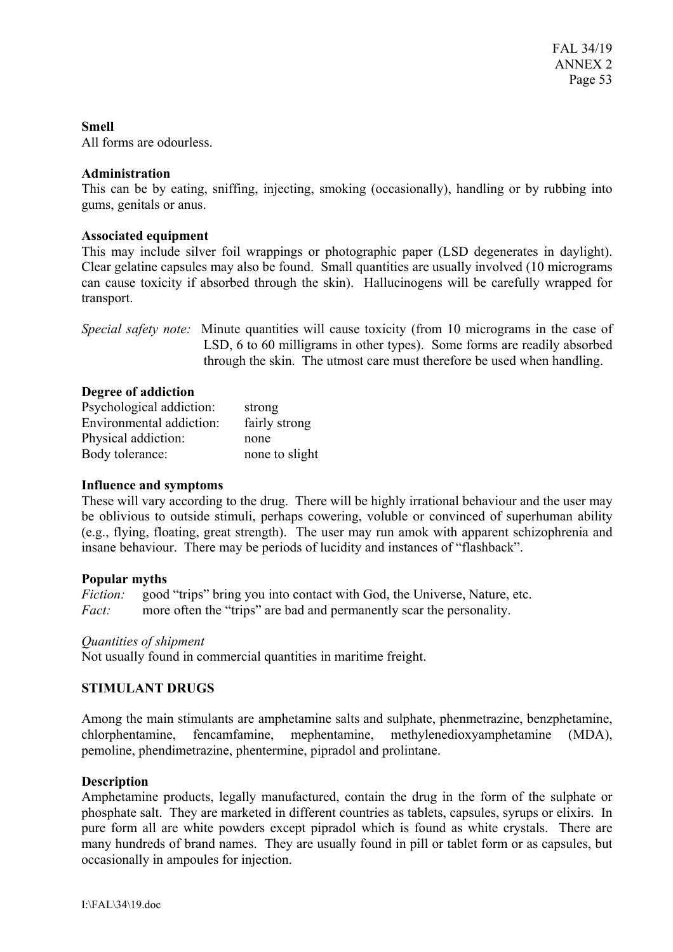### **Smell**

All forms are odourless.

### **Administration**

This can be by eating, sniffing, injecting, smoking (occasionally), handling or by rubbing into gums, genitals or anus.

### **Associated equipment**

This may include silver foil wrappings or photographic paper (LSD degenerates in daylight). Clear gelatine capsules may also be found. Small quantities are usually involved (10 micrograms can cause toxicity if absorbed through the skin). Hallucinogens will be carefully wrapped for transport.

*Special safety note:* Minute quantities will cause toxicity (from 10 micrograms in the case of LSD, 6 to 60 milligrams in other types). Some forms are readily absorbed through the skin. The utmost care must therefore be used when handling.

### **Degree of addiction**

| Psychological addiction: | strong         |
|--------------------------|----------------|
| Environmental addiction: | fairly strong  |
| Physical addiction:      | none           |
| Body tolerance:          | none to slight |

### **Influence and symptoms**

These will vary according to the drug. There will be highly irrational behaviour and the user may be oblivious to outside stimuli, perhaps cowering, voluble or convinced of superhuman ability (e.g., flying, floating, great strength). The user may run amok with apparent schizophrenia and insane behaviour. There may be periods of lucidity and instances of "flashback".

### **Popular myths**

*Fiction:* good "trips" bring you into contact with God, the Universe, Nature, etc. *Fact:* more often the "trips" are bad and permanently scar the personality.

### *Quantities of shipment*

Not usually found in commercial quantities in maritime freight.

# **STIMULANT DRUGS**

Among the main stimulants are amphetamine salts and sulphate, phenmetrazine, benzphetamine, chlorphentamine, fencamfamine, mephentamine, methylenedioxyamphetamine (MDA), pemoline, phendimetrazine, phentermine, pipradol and prolintane.

### **Description**

Amphetamine products, legally manufactured, contain the drug in the form of the sulphate or phosphate salt. They are marketed in different countries as tablets, capsules, syrups or elixirs. In pure form all are white powders except pipradol which is found as white crystals. There are many hundreds of brand names. They are usually found in pill or tablet form or as capsules, but occasionally in ampoules for injection.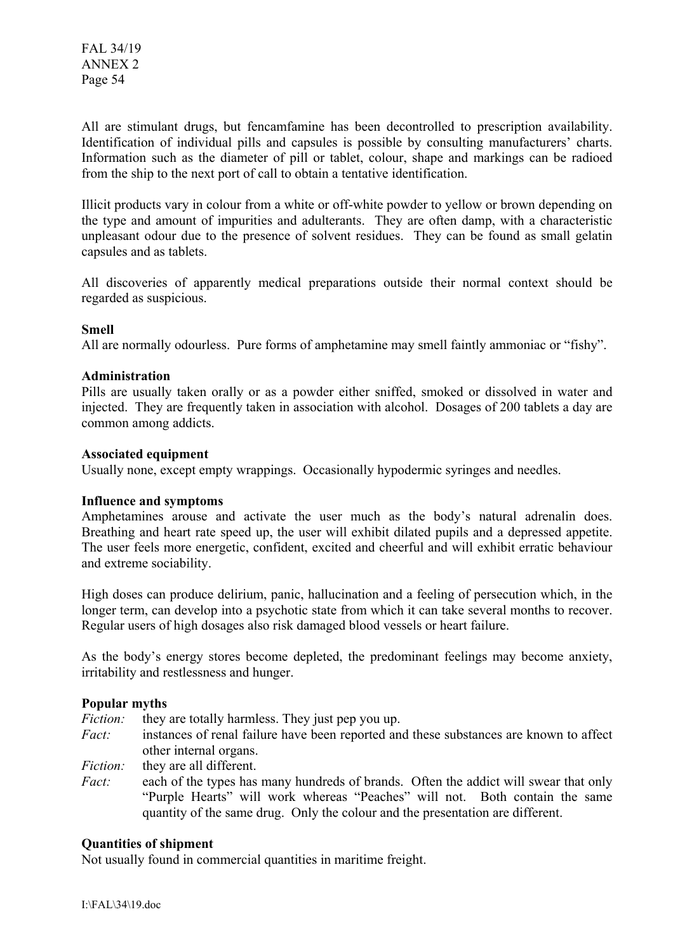All are stimulant drugs, but fencamfamine has been decontrolled to prescription availability. Identification of individual pills and capsules is possible by consulting manufacturers' charts. Information such as the diameter of pill or tablet, colour, shape and markings can be radioed from the ship to the next port of call to obtain a tentative identification.

Illicit products vary in colour from a white or off-white powder to yellow or brown depending on the type and amount of impurities and adulterants. They are often damp, with a characteristic unpleasant odour due to the presence of solvent residues. They can be found as small gelatin capsules and as tablets.

All discoveries of apparently medical preparations outside their normal context should be regarded as suspicious.

### **Smell**

All are normally odourless. Pure forms of amphetamine may smell faintly ammoniac or "fishy".

#### **Administration**

Pills are usually taken orally or as a powder either sniffed, smoked or dissolved in water and injected. They are frequently taken in association with alcohol. Dosages of 200 tablets a day are common among addicts.

#### **Associated equipment**

Usually none, except empty wrappings. Occasionally hypodermic syringes and needles.

#### **Influence and symptoms**

Amphetamines arouse and activate the user much as the body's natural adrenalin does. Breathing and heart rate speed up, the user will exhibit dilated pupils and a depressed appetite. The user feels more energetic, confident, excited and cheerful and will exhibit erratic behaviour and extreme sociability.

High doses can produce delirium, panic, hallucination and a feeling of persecution which, in the longer term, can develop into a psychotic state from which it can take several months to recover. Regular users of high dosages also risk damaged blood vessels or heart failure.

As the body's energy stores become depleted, the predominant feelings may become anxiety, irritability and restlessness and hunger.

#### **Popular myths**

*Fiction:* they are totally harmless. They just pep you up.

- *Fact:* instances of renal failure have been reported and these substances are known to affect other internal organs.
- *Fiction:* they are all different.
- *Fact:* each of the types has many hundreds of brands. Often the addict will swear that only "Purple Hearts" will work whereas "Peaches" will not. Both contain the same quantity of the same drug. Only the colour and the presentation are different.

#### **Quantities of shipment**

Not usually found in commercial quantities in maritime freight.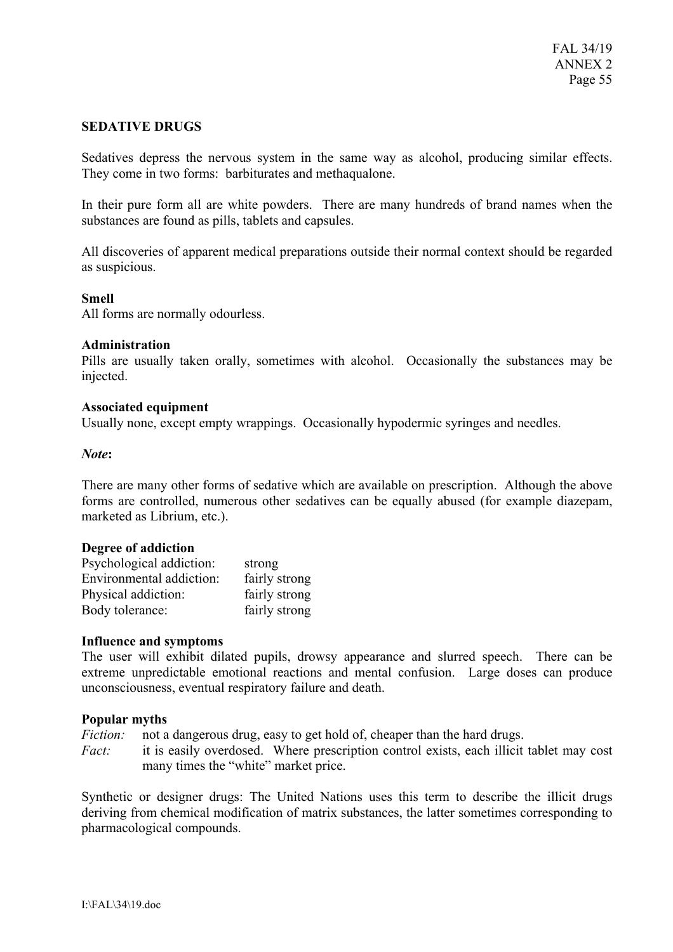### **SEDATIVE DRUGS**

Sedatives depress the nervous system in the same way as alcohol, producing similar effects. They come in two forms: barbiturates and methaqualone.

In their pure form all are white powders. There are many hundreds of brand names when the substances are found as pills, tablets and capsules.

All discoveries of apparent medical preparations outside their normal context should be regarded as suspicious.

#### **Smell**

All forms are normally odourless.

#### **Administration**

Pills are usually taken orally, sometimes with alcohol. Occasionally the substances may be injected.

#### **Associated equipment**

Usually none, except empty wrappings. Occasionally hypodermic syringes and needles.

#### *Note***:**

There are many other forms of sedative which are available on prescription. Although the above forms are controlled, numerous other sedatives can be equally abused (for example diazepam, marketed as Librium, etc.).

#### **Degree of addiction**

| Psychological addiction: | strong        |
|--------------------------|---------------|
| Environmental addiction: | fairly strong |
| Physical addiction:      | fairly strong |
| Body tolerance:          | fairly strong |

#### **Influence and symptoms**

The user will exhibit dilated pupils, drowsy appearance and slurred speech. There can be extreme unpredictable emotional reactions and mental confusion. Large doses can produce unconsciousness, eventual respiratory failure and death.

### **Popular myths**

*Fiction:* not a dangerous drug, easy to get hold of, cheaper than the hard drugs.

*Fact:* it is easily overdosed. Where prescription control exists, each illicit tablet may cost many times the "white" market price.

Synthetic or designer drugs: The United Nations uses this term to describe the illicit drugs deriving from chemical modification of matrix substances, the latter sometimes corresponding to pharmacological compounds.